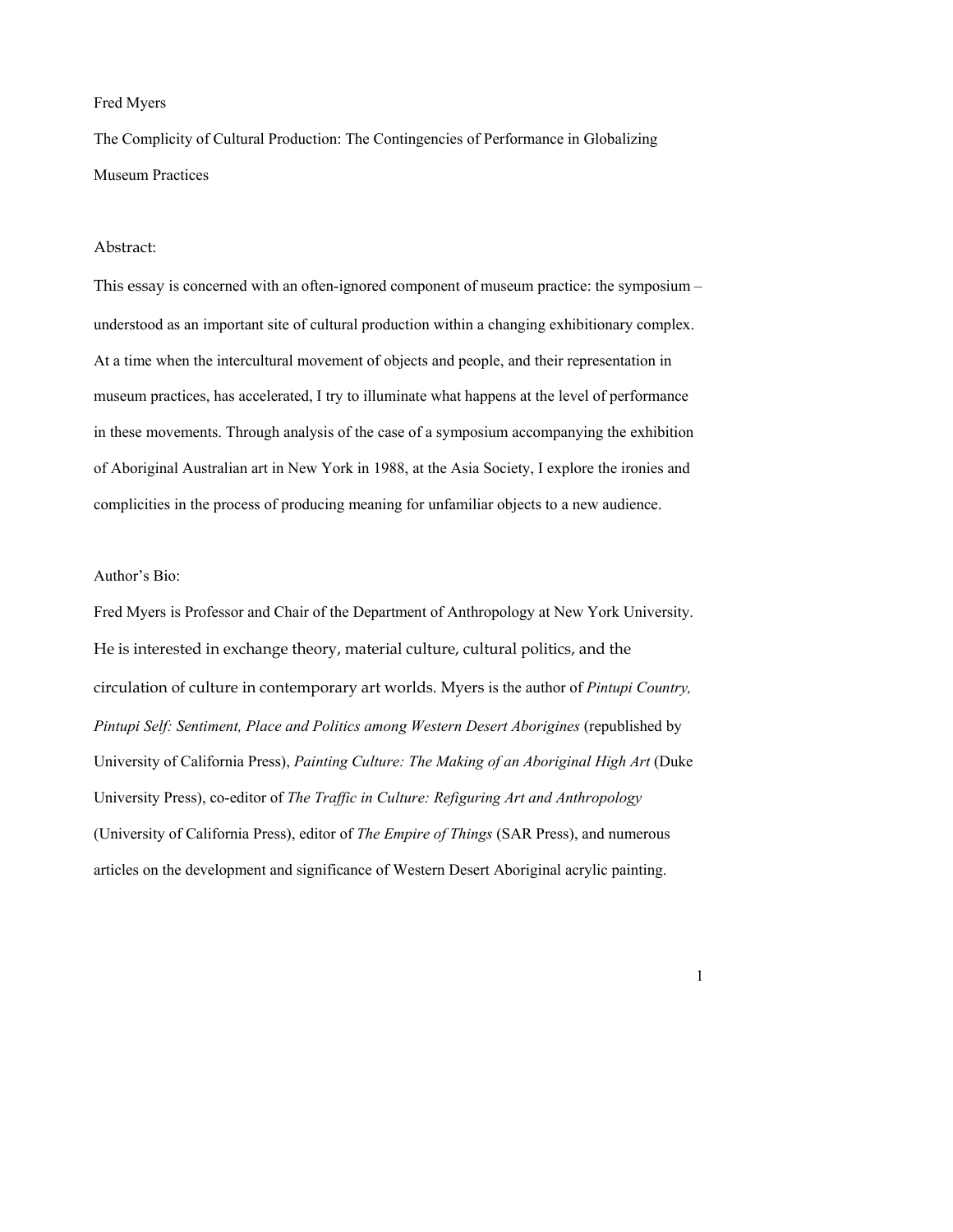# Fred Myers

The Complicity of Cultural Production: The Contingencies of Performance in Globalizing Museum Practices

### Abstract:

This essay is concerned with an often-ignored component of museum practice: the symposium – understood as an important site of cultural production within a changing exhibitionary complex. At a time when the intercultural movement of objects and people, and their representation in museum practices, has accelerated, I try to illuminate what happens at the level of performance in these movements. Through analysis of the case of a symposium accompanying the exhibition of Aboriginal Australian art in New York in 1988, at the Asia Society, I explore the ironies and complicities in the process of producing meaning for unfamiliar objects to a new audience.

### Author's Bio:

Fred Myers is Professor and Chair of the Department of Anthropology at New York University. He is interested in exchange theory, material culture, cultural politics, and the circulation of culture in contemporary art worlds. Myers is the author of *Pintupi Country, Pintupi Self: Sentiment, Place and Politics among Western Desert Aborigines* (republished by University of California Press), *Painting Culture: The Making of an Aboriginal High Art* (Duke University Press), co-editor of *The Traffic in Culture: Refiguring Art and Anthropology* (University of California Press), editor of *The Empire of Things* (SAR Press), and numerous articles on the development and significance of Western Desert Aboriginal acrylic painting.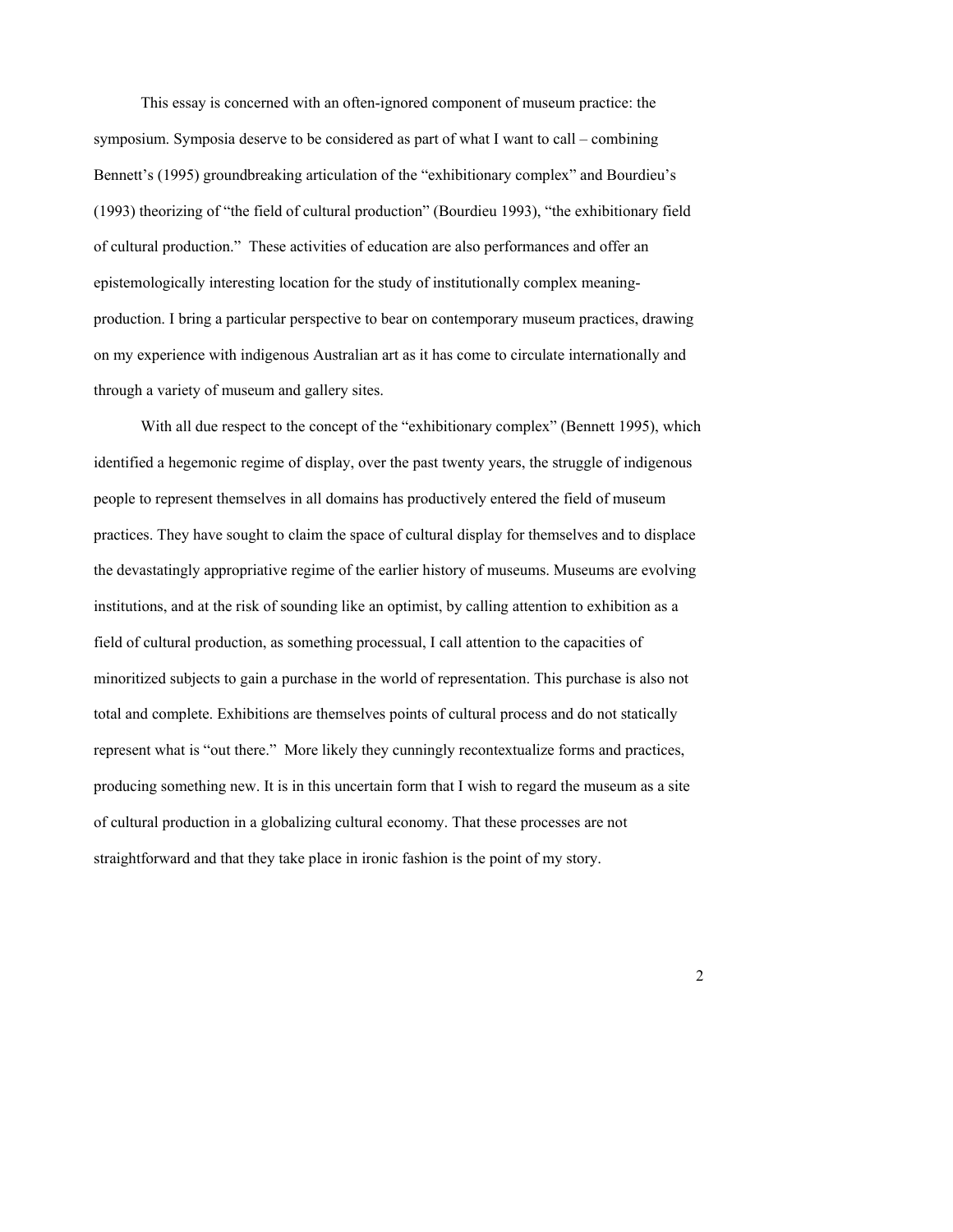This essay is concerned with an often-ignored component of museum practice: the symposium. Symposia deserve to be considered as part of what I want to call – combining Bennett's (1995) groundbreaking articulation of the "exhibitionary complex" and Bourdieu's (1993) theorizing of "the field of cultural production" (Bourdieu 1993), "the exhibitionary field of cultural production." These activities of education are also performances and offer an epistemologically interesting location for the study of institutionally complex meaningproduction. I bring a particular perspective to bear on contemporary museum practices, drawing on my experience with indigenous Australian art as it has come to circulate internationally and through a variety of museum and gallery sites.

 With all due respect to the concept of the "exhibitionary complex" (Bennett 1995), which identified a hegemonic regime of display, over the past twenty years, the struggle of indigenous people to represent themselves in all domains has productively entered the field of museum practices. They have sought to claim the space of cultural display for themselves and to displace the devastatingly appropriative regime of the earlier history of museums. Museums are evolving institutions, and at the risk of sounding like an optimist, by calling attention to exhibition as a field of cultural production, as something processual, I call attention to the capacities of minoritized subjects to gain a purchase in the world of representation. This purchase is also not total and complete. Exhibitions are themselves points of cultural process and do not statically represent what is "out there." More likely they cunningly recontextualize forms and practices, producing something new. It is in this uncertain form that I wish to regard the museum as a site of cultural production in a globalizing cultural economy. That these processes are not straightforward and that they take place in ironic fashion is the point of my story.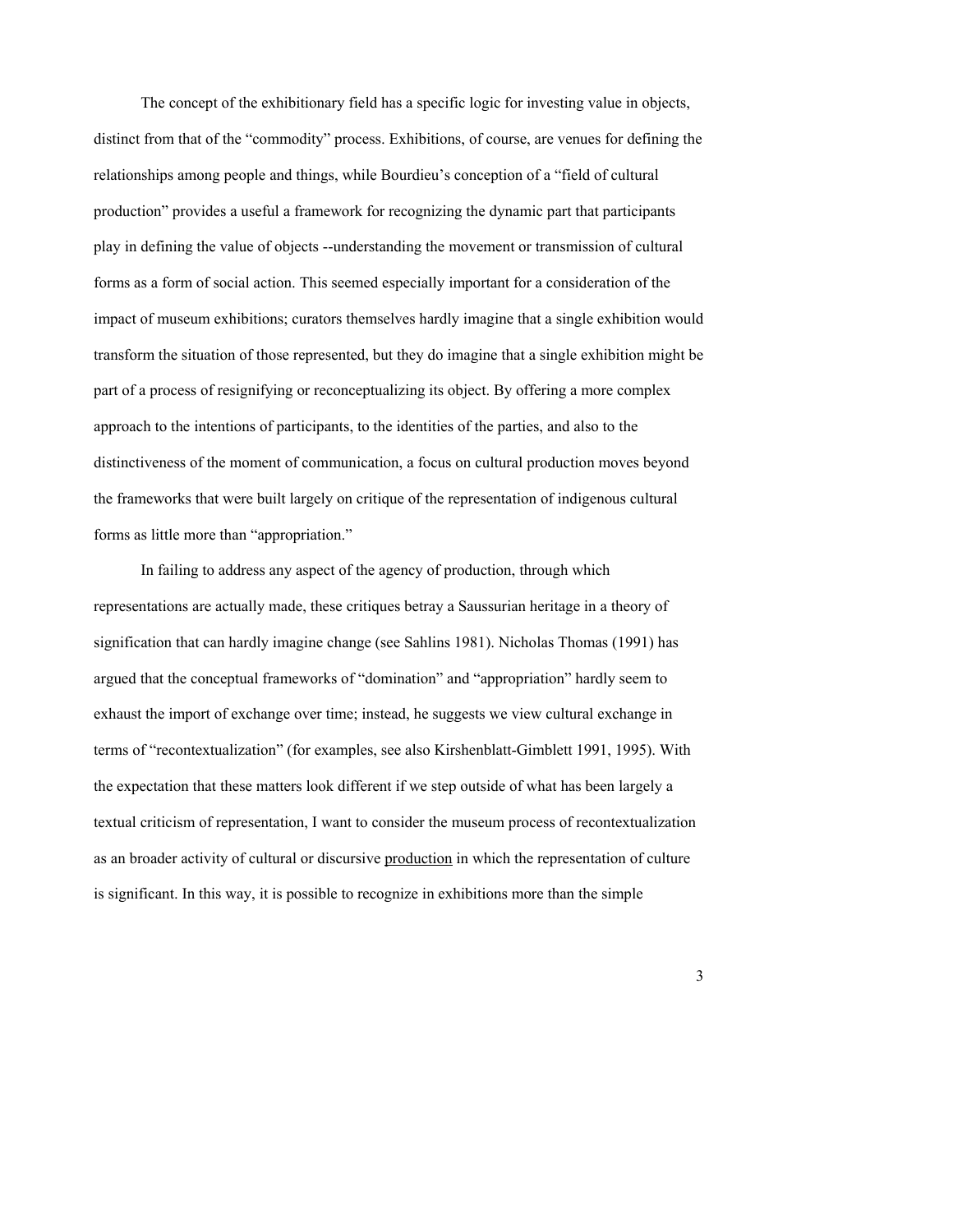The concept of the exhibitionary field has a specific logic for investing value in objects, distinct from that of the "commodity" process. Exhibitions, of course, are venues for defining the relationships among people and things, while Bourdieu's conception of a "field of cultural production" provides a useful a framework for recognizing the dynamic part that participants play in defining the value of objects --understanding the movement or transmission of cultural forms as a form of social action. This seemed especially important for a consideration of the impact of museum exhibitions; curators themselves hardly imagine that a single exhibition would transform the situation of those represented, but they do imagine that a single exhibition might be part of a process of resignifying or reconceptualizing its object. By offering a more complex approach to the intentions of participants, to the identities of the parties, and also to the distinctiveness of the moment of communication, a focus on cultural production moves beyond the frameworks that were built largely on critique of the representation of indigenous cultural forms as little more than "appropriation."

 In failing to address any aspect of the agency of production, through which representations are actually made, these critiques betray a Saussurian heritage in a theory of signification that can hardly imagine change (see Sahlins 1981). Nicholas Thomas (1991) has argued that the conceptual frameworks of "domination" and "appropriation" hardly seem to exhaust the import of exchange over time; instead, he suggests we view cultural exchange in terms of "recontextualization" (for examples, see also Kirshenblatt-Gimblett 1991, 1995). With the expectation that these matters look different if we step outside of what has been largely a textual criticism of representation, I want to consider the museum process of recontextualization as an broader activity of cultural or discursive production in which the representation of culture is significant. In this way, it is possible to recognize in exhibitions more than the simple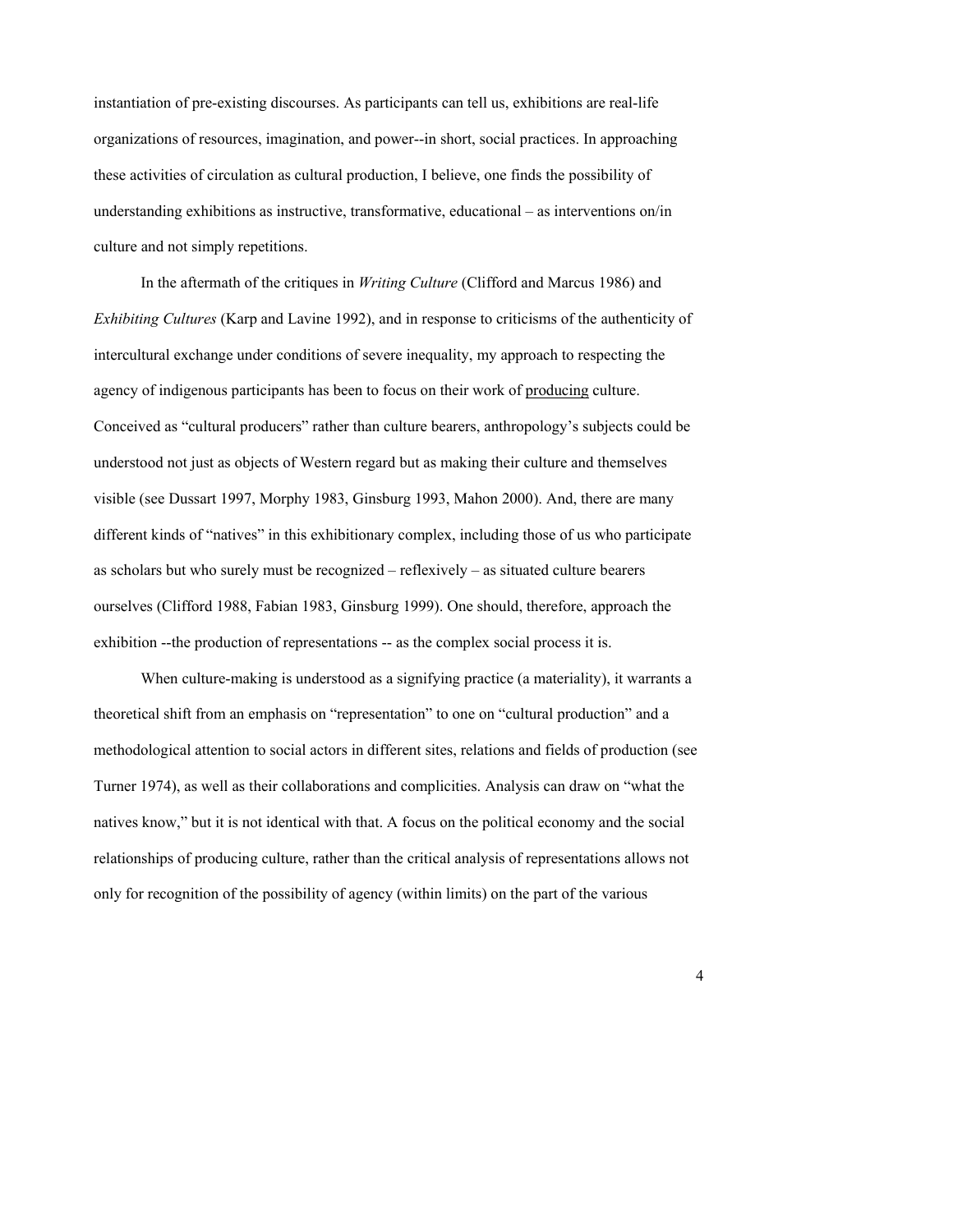instantiation of pre-existing discourses. As participants can tell us, exhibitions are real-life organizations of resources, imagination, and power--in short, social practices. In approaching these activities of circulation as cultural production, I believe, one finds the possibility of understanding exhibitions as instructive, transformative, educational – as interventions on/in culture and not simply repetitions.

 In the aftermath of the critiques in *Writing Culture* (Clifford and Marcus 1986) and *Exhibiting Cultures* (Karp and Lavine 1992), and in response to criticisms of the authenticity of intercultural exchange under conditions of severe inequality, my approach to respecting the agency of indigenous participants has been to focus on their work of producing culture. Conceived as "cultural producers" rather than culture bearers, anthropology's subjects could be understood not just as objects of Western regard but as making their culture and themselves visible (see Dussart 1997, Morphy 1983, Ginsburg 1993, Mahon 2000). And, there are many different kinds of "natives" in this exhibitionary complex, including those of us who participate as scholars but who surely must be recognized – reflexively – as situated culture bearers ourselves (Clifford 1988, Fabian 1983, Ginsburg 1999). One should, therefore, approach the exhibition --the production of representations -- as the complex social process it is.

 When culture-making is understood as a signifying practice (a materiality), it warrants a theoretical shift from an emphasis on "representation" to one on "cultural production" and a methodological attention to social actors in different sites, relations and fields of production (see Turner 1974), as well as their collaborations and complicities. Analysis can draw on "what the natives know," but it is not identical with that. A focus on the political economy and the social relationships of producing culture, rather than the critical analysis of representations allows not only for recognition of the possibility of agency (within limits) on the part of the various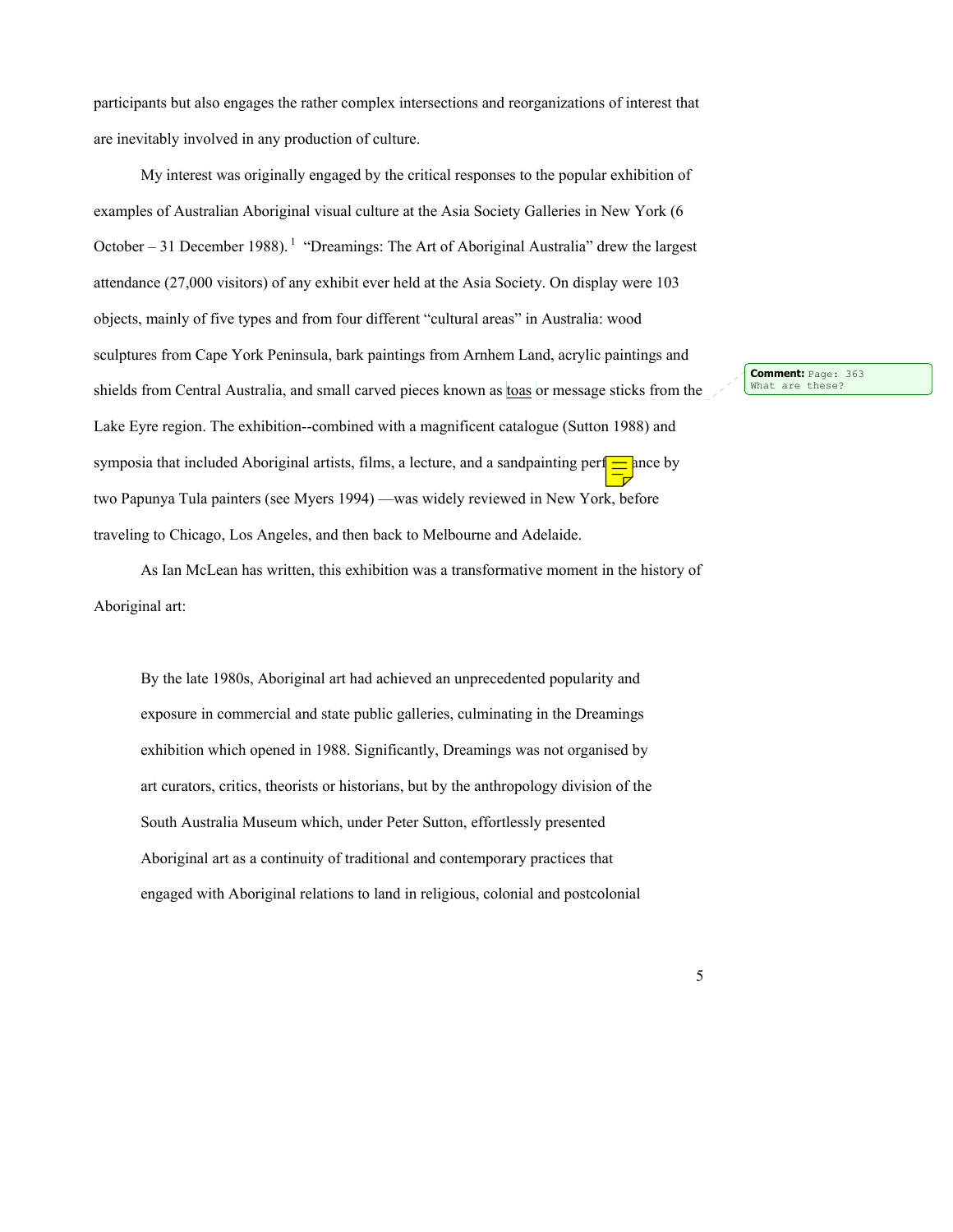participants but also engages the rather complex intersections and reorganizations of interest that are inevitably involved in any production of culture.

 My interest was originally engaged by the critical responses to the popular exhibition of examples of Australian Aboriginal visual culture at the Asia Society Galleries in New York (6 October – 31 December 1988).<sup>1</sup> "Dreamings: The Art of Aboriginal Australia" drew the largest attendance (27,000 visitors) of any exhi[bit](#page-49-0) ever held at the Asia Society. On display were 103 objects, mainly of five types and from four different "cultural areas" in Australia: wood sculptures from Cape York Peninsula, bark paintings from Arnhem Land, acrylic paintings and shields from Central Australia, and small carved pieces known as toas or message sticks from the Lake Eyre region. The exhibition--combined with a magnificent catalogue (Sutton 1988) and symposia that included Aboriginal artists, films, a lecture, and a sandpainting perf $\equiv$  ance by two Papunya Tula painters (see Myers 1994) —was widely reviewed in New York, before traveling to Chicago, Los Angeles, and then back to Melbourne and Adelaide.

As Ian McLean has written, this exhibition was a transformative moment in the history of Aboriginal art:

By the late 1980s, Aboriginal art had achieved an unprecedented popularity and exposure in commercial and state public galleries, culminating in the Dreamings exhibition which opened in 1988. Significantly, Dreamings was not organised by art curators, critics, theorists or historians, but by the anthropology division of the South Australia Museum which, under Peter Sutton, effortlessly presented Aboriginal art as a continuity of traditional and contemporary practices that engaged with Aboriginal relations to land in religious, colonial and postcolonial

**Comment:** Page: 363 What are these?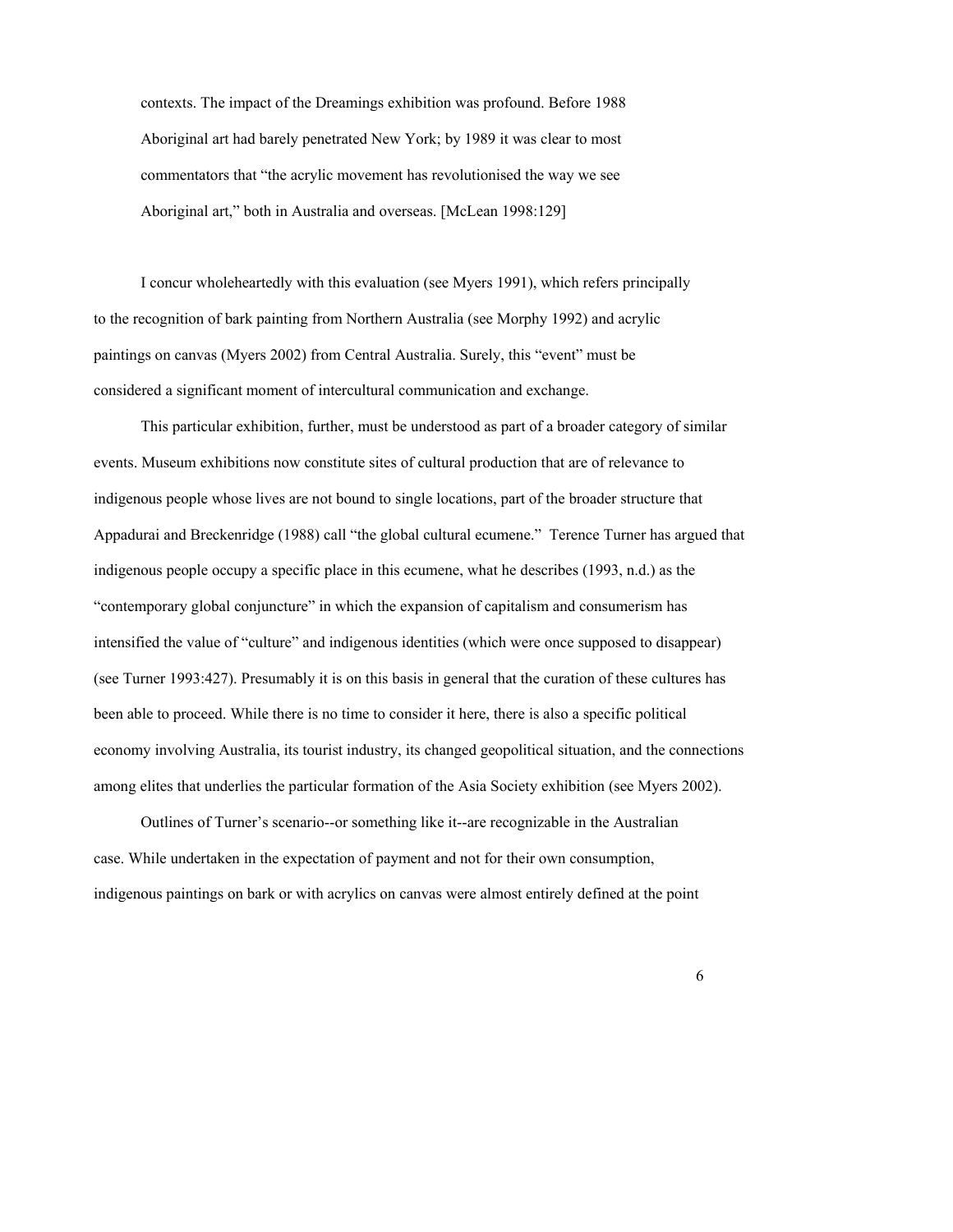contexts. The impact of the Dreamings exhibition was profound. Before 1988 Aboriginal art had barely penetrated New York; by 1989 it was clear to most commentators that "the acrylic movement has revolutionised the way we see Aboriginal art," both in Australia and overseas. [McLean 1998:129]

I concur wholeheartedly with this evaluation (see Myers 1991), which refers principally to the recognition of bark painting from Northern Australia (see Morphy 1992) and acrylic paintings on canvas (Myers 2002) from Central Australia. Surely, this "event" must be considered a significant moment of intercultural communication and exchange.

This particular exhibition, further, must be understood as part of a broader category of similar events. Museum exhibitions now constitute sites of cultural production that are of relevance to indigenous people whose lives are not bound to single locations, part of the broader structure that Appadurai and Breckenridge (1988) call "the global cultural ecumene." Terence Turner has argued that indigenous people occupy a specific place in this ecumene, what he describes (1993, n.d.) as the "contemporary global conjuncture" in which the expansion of capitalism and consumerism has intensified the value of "culture" and indigenous identities (which were once supposed to disappear) (see Turner 1993:427). Presumably it is on this basis in general that the curation of these cultures has been able to proceed. While there is no time to consider it here, there is also a specific political economy involving Australia, its tourist industry, its changed geopolitical situation, and the connections among elites that underlies the particular formation of the Asia Society exhibition (see Myers 2002).

 Outlines of Turner's scenario--or something like it--are recognizable in the Australian case. While undertaken in the expectation of payment and not for their own consumption, indigenous paintings on bark or with acrylics on canvas were almost entirely defined at the point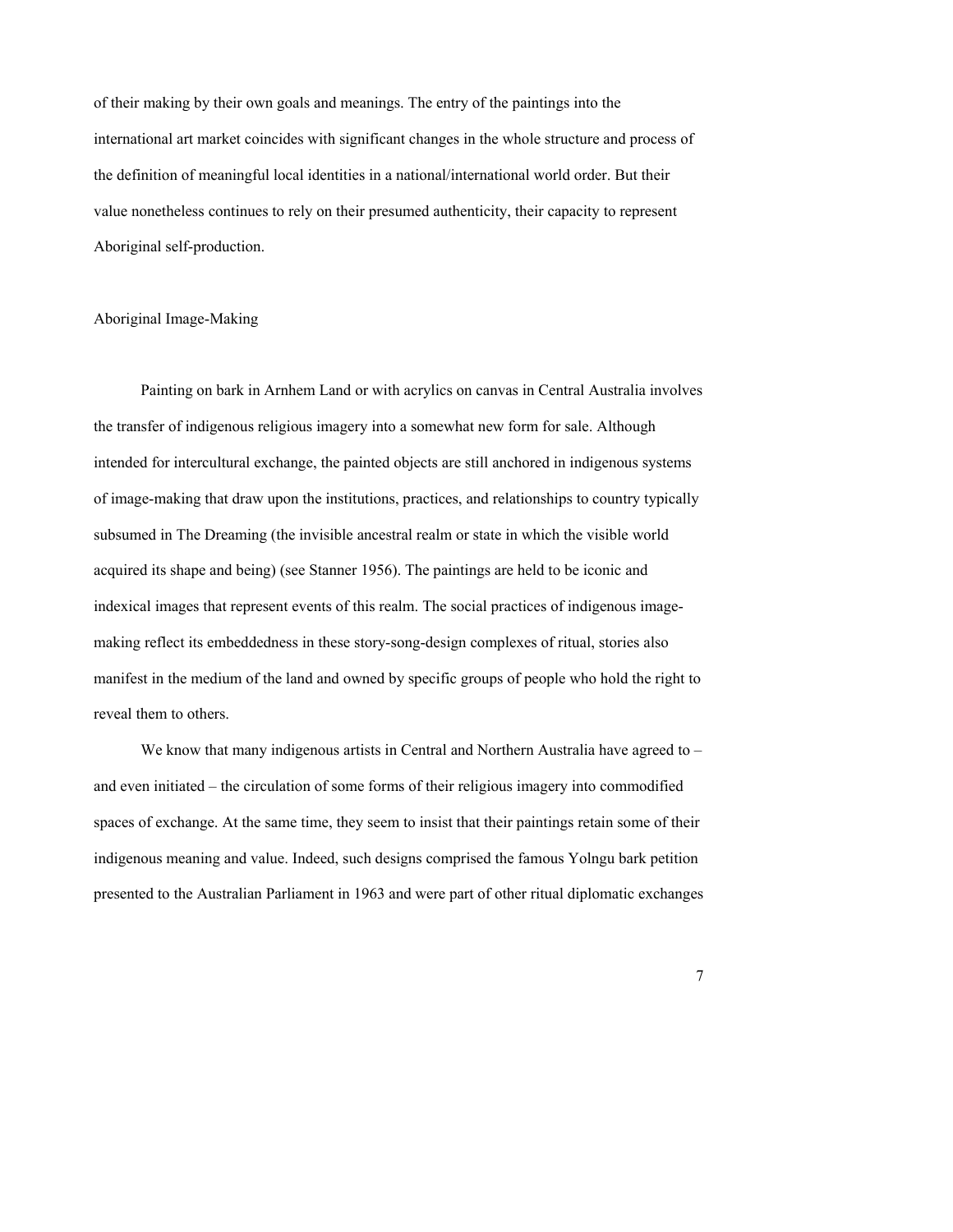of their making by their own goals and meanings. The entry of the paintings into the international art market coincides with significant changes in the whole structure and process of the definition of meaningful local identities in a national/international world order. But their value nonetheless continues to rely on their presumed authenticity, their capacity to represent Aboriginal self-production.

#### Aboriginal Image-Making

Painting on bark in Arnhem Land or with acrylics on canvas in Central Australia involves the transfer of indigenous religious imagery into a somewhat new form for sale. Although intended for intercultural exchange, the painted objects are still anchored in indigenous systems of image-making that draw upon the institutions, practices, and relationships to country typically subsumed in The Dreaming (the invisible ancestral realm or state in which the visible world acquired its shape and being) (see Stanner 1956). The paintings are held to be iconic and indexical images that represent events of this realm. The social practices of indigenous imagemaking reflect its embeddedness in these story-song-design complexes of ritual, stories also manifest in the medium of the land and owned by specific groups of people who hold the right to reveal them to others.

We know that many indigenous artists in Central and Northern Australia have agreed to – and even initiated – the circulation of some forms of their religious imagery into commodified spaces of exchange. At the same time, they seem to insist that their paintings retain some of their indigenous meaning and value. Indeed, such designs comprised the famous Yolngu bark petition presented to the Australian Parliament in 1963 and were part of other ritual diplomatic exchanges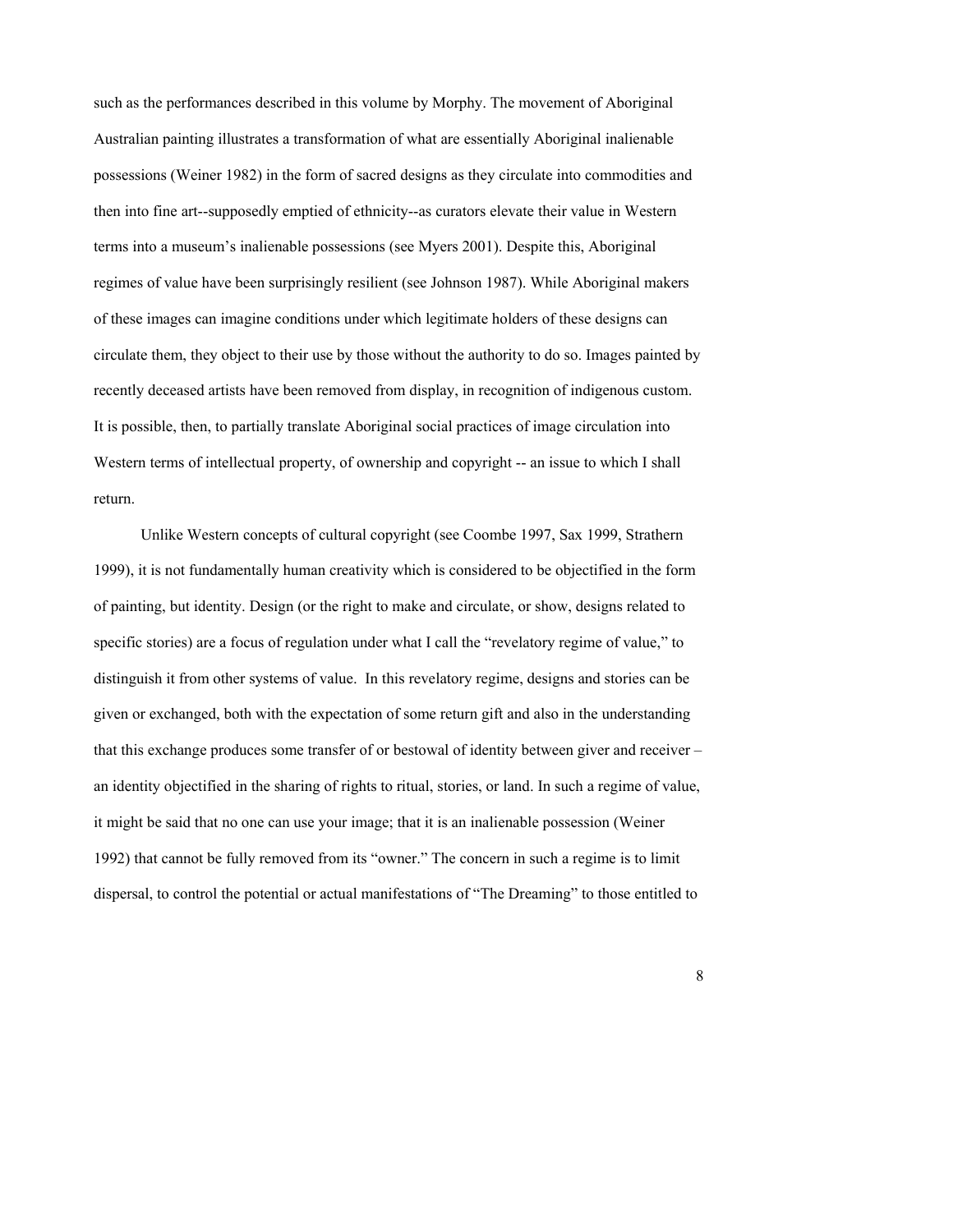such as the performances described in this volume by Morphy. The movement of Aboriginal Australian painting illustrates a transformation of what are essentially Aboriginal inalienable possessions (Weiner 1982) in the form of sacred designs as they circulate into commodities and then into fine art--supposedly emptied of ethnicity--as curators elevate their value in Western terms into a museum's inalienable possessions (see Myers 2001). Despite this, Aboriginal regimes of value have been surprisingly resilient (see Johnson 1987). While Aboriginal makers of these images can imagine conditions under which legitimate holders of these designs can circulate them, they object to their use by those without the authority to do so. Images painted by recently deceased artists have been removed from display, in recognition of indigenous custom. It is possible, then, to partially translate Aboriginal social practices of image circulation into Western terms of intellectual property, of ownership and copyright -- an issue to which I shall return.

Unlike Western concepts of cultural copyright (see Coombe 1997, Sax 1999, Strathern 1999), it is not fundamentally human creativity which is considered to be objectified in the form of painting, but identity. Design (or the right to make and circulate, or show, designs related to specific stories) are a focus of regulation under what I call the "revelatory regime of value," to distinguish it from other systems of value. In this revelatory regime, designs and stories can be given or exchanged, both with the expectation of some return gift and also in the understanding that this exchange produces some transfer of or bestowal of identity between giver and receiver – an identity objectified in the sharing of rights to ritual, stories, or land. In such a regime of value, it might be said that no one can use your image; that it is an inalienable possession (Weiner 1992) that cannot be fully removed from its "owner." The concern in such a regime is to limit dispersal, to control the potential or actual manifestations of "The Dreaming" to those entitled to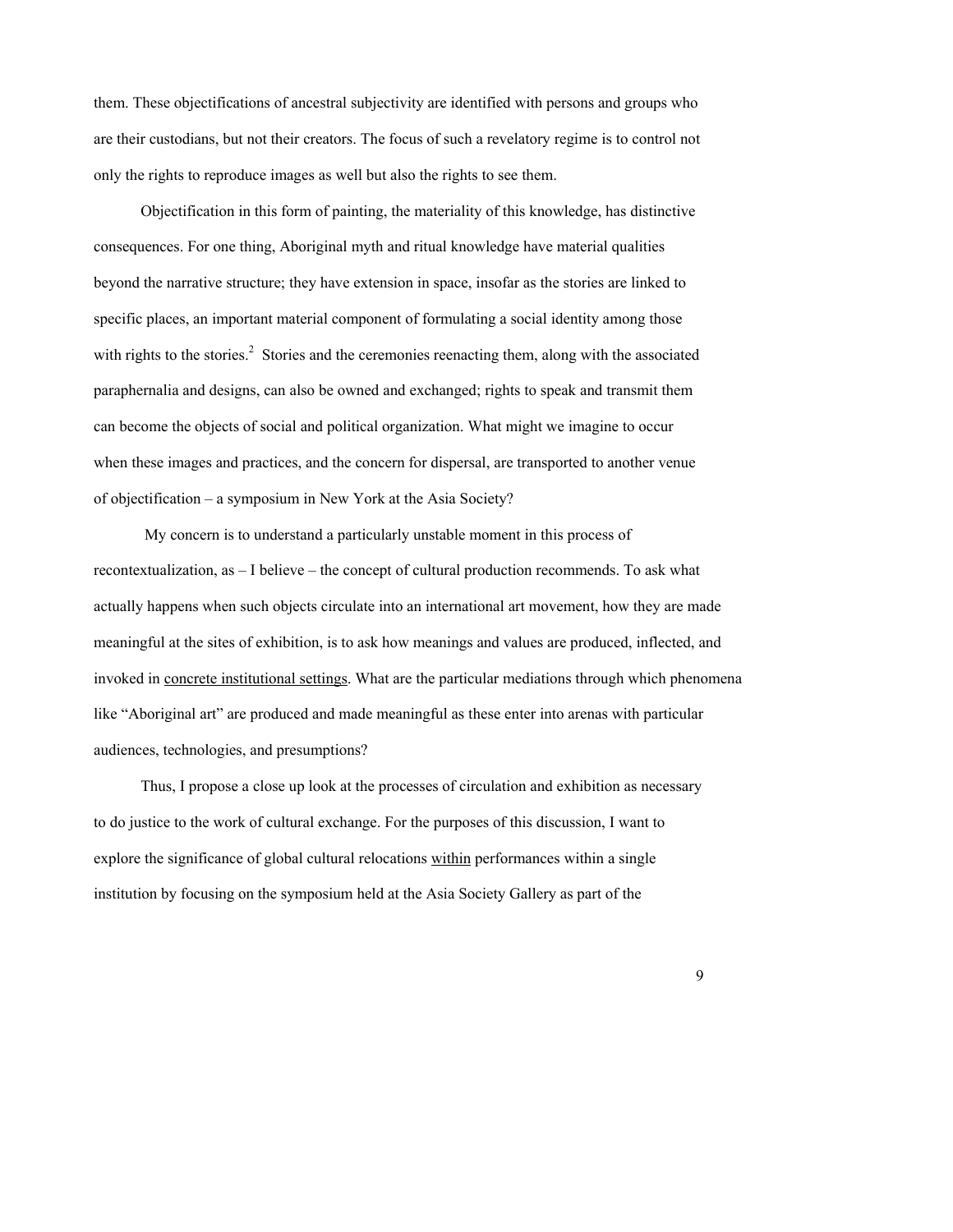them. These objectifications of ancestral subjectivity are identified with persons and groups who are their custodians, but not their creators. The focus of such a revelatory regime is to control not only the rights to reproduce images as well but also the rights to see them.

 Objectification in this form of painting, the materiality of this knowledge, has distinctive consequences. For one thing, Aboriginal myth and ritual knowledge have material qualities beyond the narrative structure; they have extension in space, insofar as the stories are linked to specific places, an important material component of formulating a social identity among those with rights to the stories.<sup>2</sup> Stories and the ceremonies reenacting them, along with the associated paraphernalia and designs, can also be owned and exchanged; rights to speak and transmit them can become the objects of social [an](#page-49-1)d political organization. What might we imagine to occur when these images and practices, and the concern for dispersal, are transported to another venue of objectification – a symposium in New York at the Asia Society?

 My concern is to understand a particularly unstable moment in this process of recontextualization, as – I believe – the concept of cultural production recommends. To ask what actually happens when such objects circulate into an international art movement, how they are made meaningful at the sites of exhibition, is to ask how meanings and values are produced, inflected, and invoked in concrete institutional settings. What are the particular mediations through which phenomena like "Aboriginal art" are produced and made meaningful as these enter into arenas with particular audiences, technologies, and presumptions?

 Thus, I propose a close up look at the processes of circulation and exhibition as necessary to do justice to the work of cultural exchange. For the purposes of this discussion, I want to explore the significance of global cultural relocations within performances within a single institution by focusing on the symposium held at the Asia Society Gallery as part of the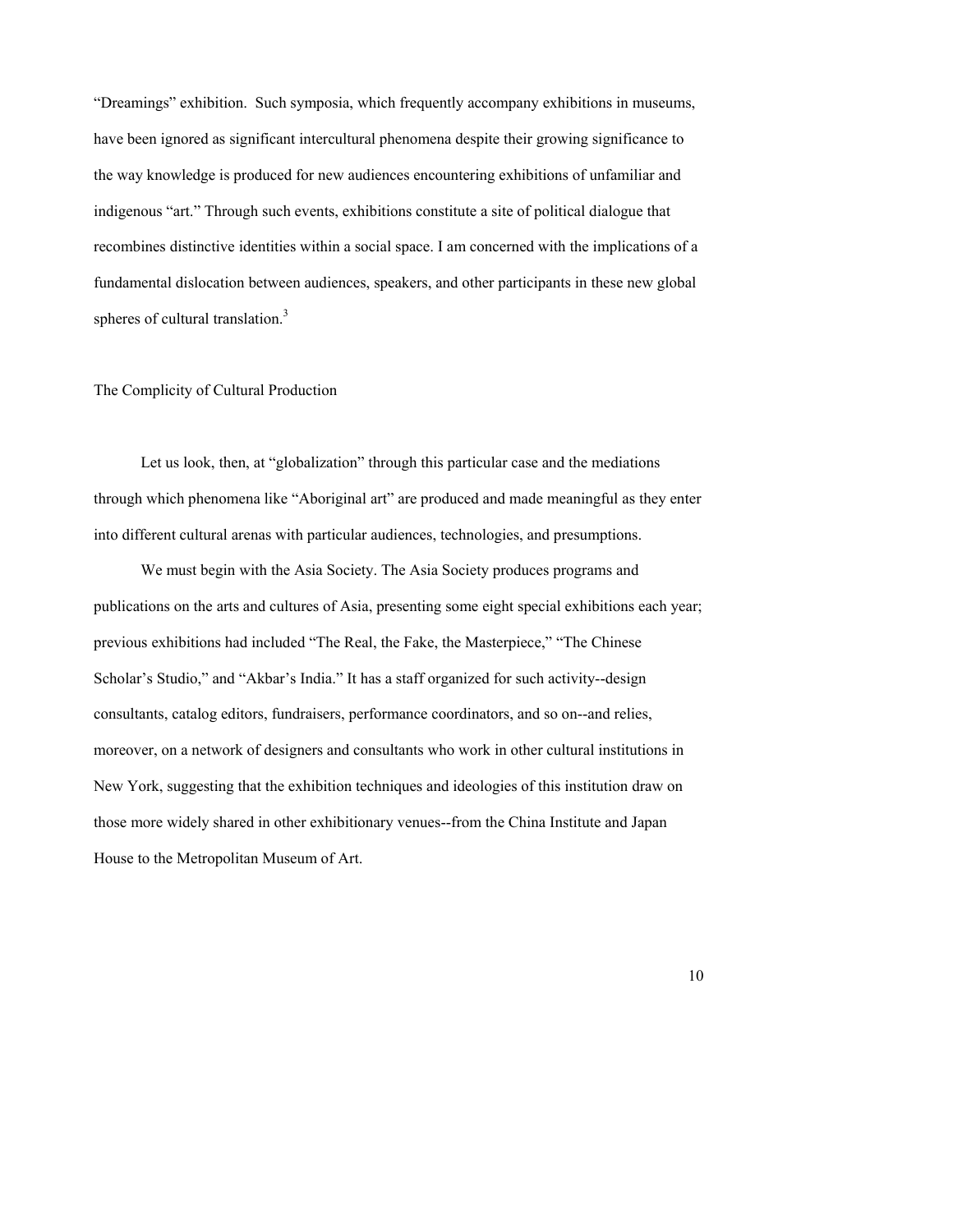"Dreamings" exhibition. Such symposia, which frequently accompany exhibitions in museums, have been ignored as significant intercultural phenomena despite their growing significance to the way knowledge is produced for new audiences encountering exhibitions of unfamiliar and indigenous "art." Through such events, exhibitions constitute a site of political dialogue that recombines distinctive identities within a social space. I am concerned with the implications of a fundamental dislocation between audiences, speakers, and other participants in these new global spheres of cultural translation.<sup>3</sup>

#### The Complicity of Cultural Production

 Let us look, then, at "globalization" through this particular case and the mediations through which phenomena like "Aboriginal art" are produced and made meaningful as they enter into different cultural arenas with particular audiences, technologies, and presumptions.

 We must begin with the Asia Society. The Asia Society produces programs and publications on the arts and cultures of Asia, presenting some eight special exhibitions each year; previous exhibitions had included "The Real, the Fake, the Masterpiece," "The Chinese Scholar's Studio," and "Akbar's India." It has a staff organized for such activity--design consultants, catalog editors, fundraisers, performance coordinators, and so on--and relies, moreover, on a network of designers and consultants who work in other cultural institutions in New York, suggesting that the exhibition techniques and ideologies of this institution draw on those more widely shared in other exhibitionary venues--from the China Institute and Japan House to the Metropolitan Museum of Art.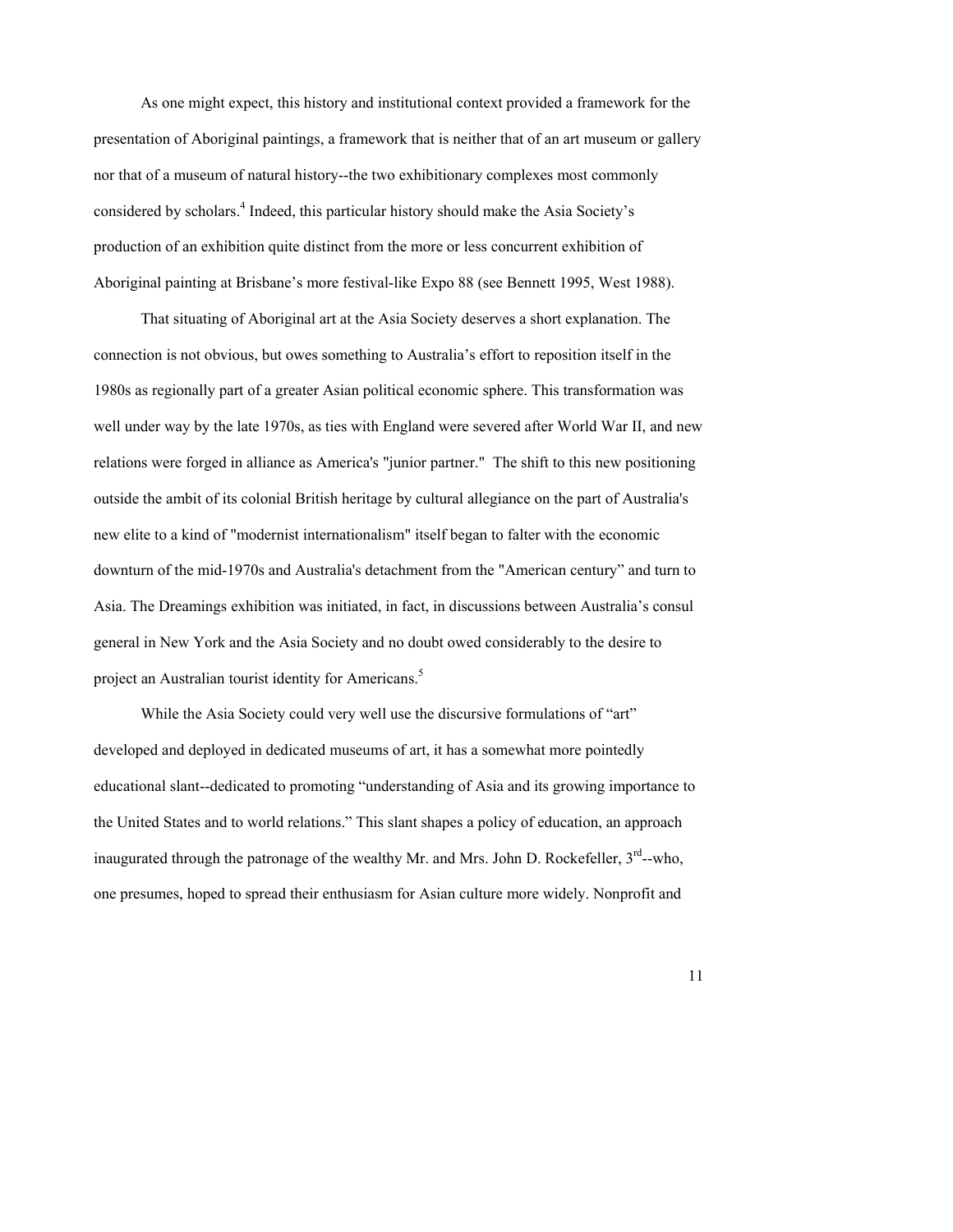As one might expect, this history and institutional context provided a framework for the presentation of Aboriginal paintings, a framework that is neither that of an art museum or gallery nor that of a museum of natural history--the two exhibitionary complexes most commonly considered by scholars.<sup>4</sup> Indeed, this particular history should make the Asia Society's production of an exhibition qu[ite](#page-49-3) distinct from the more or less concurrent exhibition of Aboriginal painting at Brisbane's more festival-like Expo 88 (see Bennett 1995, West 1988).

 That situating of Aboriginal art at the Asia Society deserves a short explanation. The connection is not obvious, but owes something to Australia's effort to reposition itself in the 1980s as regionally part of a greater Asian political economic sphere. This transformation was well under way by the late 1970s, as ties with England were severed after World War II, and new relations were forged in alliance as America's "junior partner." The shift to this new positioning outside the ambit of its colonial British heritage by cultural allegiance on the part of Australia's new elite to a kind of "modernist internationalism" itself began to falter with the economic downturn of the mid-1970s and Australia's detachment from the "American century" and turn to Asia. The Dreamings exhibition was initiated, in fact, in discussions between Australia's consul general in New York and the Asia Society and no doubt owed considerably to the desire to project an Australian tourist identity for Americans.<sup>5</sup>

While the Asia Society could very well use the discursive formulations of "art" developed and deployed in dedicated museums of art, it has a somewhat more pointedly educational slant--dedicated to promoting "understanding of Asia and its growing importance to the United States and to world relations." This slant shapes a pol[icy](#page-49-4) of education, an approach inaugurated through the patronage of the wealthy Mr. and Mrs. John D. Rockefeller,  $3<sup>rd</sup>$ -who, one presumes, hoped to spread their enthusiasm for Asian culture more widely. Nonprofit and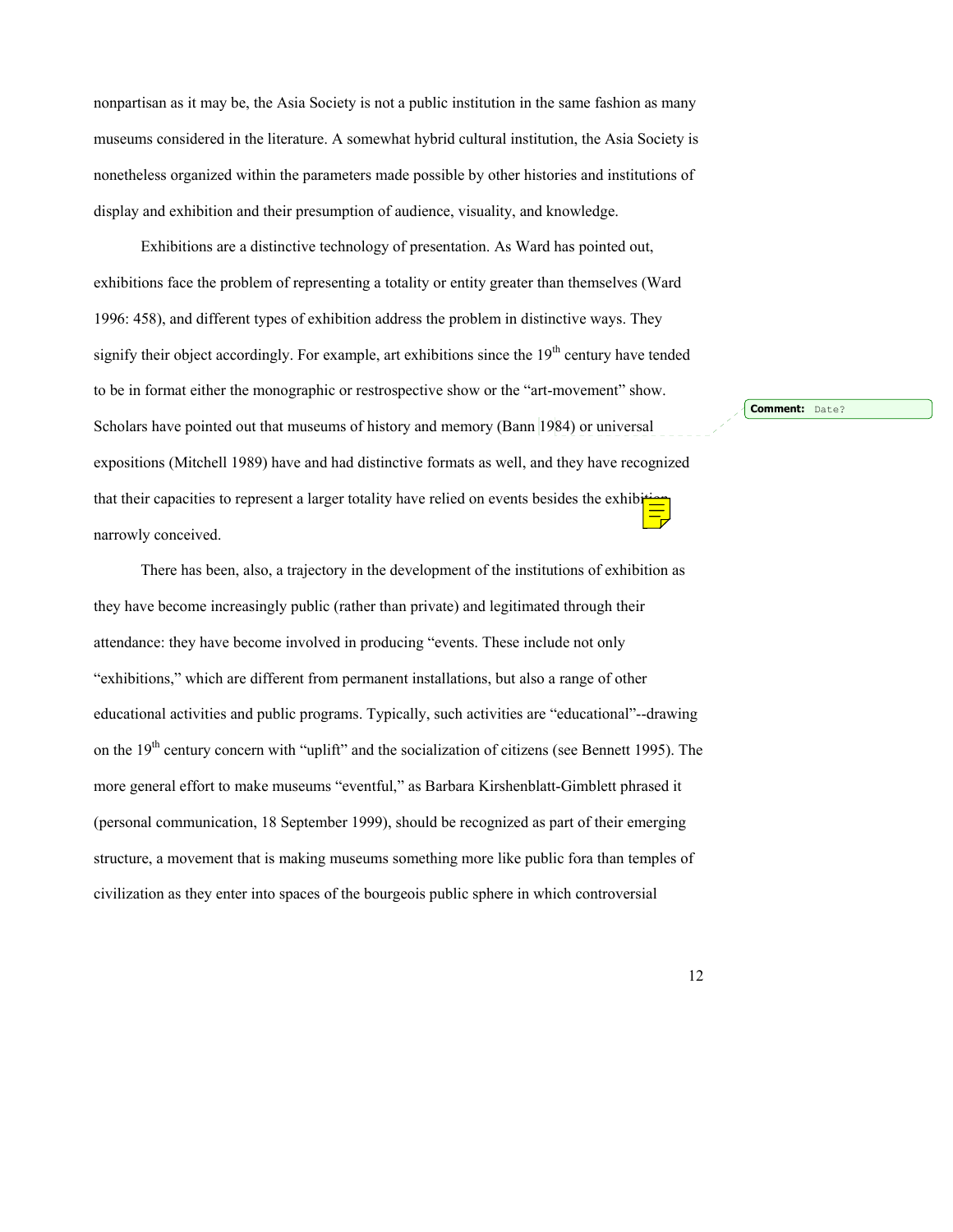nonpartisan as it may be, the Asia Society is not a public institution in the same fashion as many museums considered in the literature. A somewhat hybrid cultural institution, the Asia Society is nonetheless organized within the parameters made possible by other histories and institutions of display and exhibition and their presumption of audience, visuality, and knowledge.

 Exhibitions are a distinctive technology of presentation. As Ward has pointed out, exhibitions face the problem of representing a totality or entity greater than themselves (Ward 1996: 458), and different types of exhibition address the problem in distinctive ways. They signify their object accordingly. For example, art exhibitions since the 19<sup>th</sup> century have tended to be in format either the monographic or restrospective show or the "art-movement" show. Scholars have pointed out that museums of history and memory (Bann 1984) or universal expositions (Mitchell 1989) have and had distinctive formats as well, and they have recognized that their capacities to represent a larger totality have relied on events besides the exhibi narrowly conceived.

 There has been, also, a trajectory in the development of the institutions of exhibition as they have become increasingly public (rather than private) and legitimated through their attendance: they have become involved in producing "events. These include not only "exhibitions," which are different from permanent installations, but also a range of other educational activities and public programs. Typically, such activities are "educational"--drawing on the  $19<sup>th</sup>$  century concern with "uplift" and the socialization of citizens (see Bennett 1995). The more general effort to make museums "eventful," as Barbara Kirshenblatt-Gimblett phrased it (personal communication, 18 September 1999), should be recognized as part of their emerging structure, a movement that is making museums something more like public fora than temples of civilization as they enter into spaces of the bourgeois public sphere in which controversial

**Comment:** Date?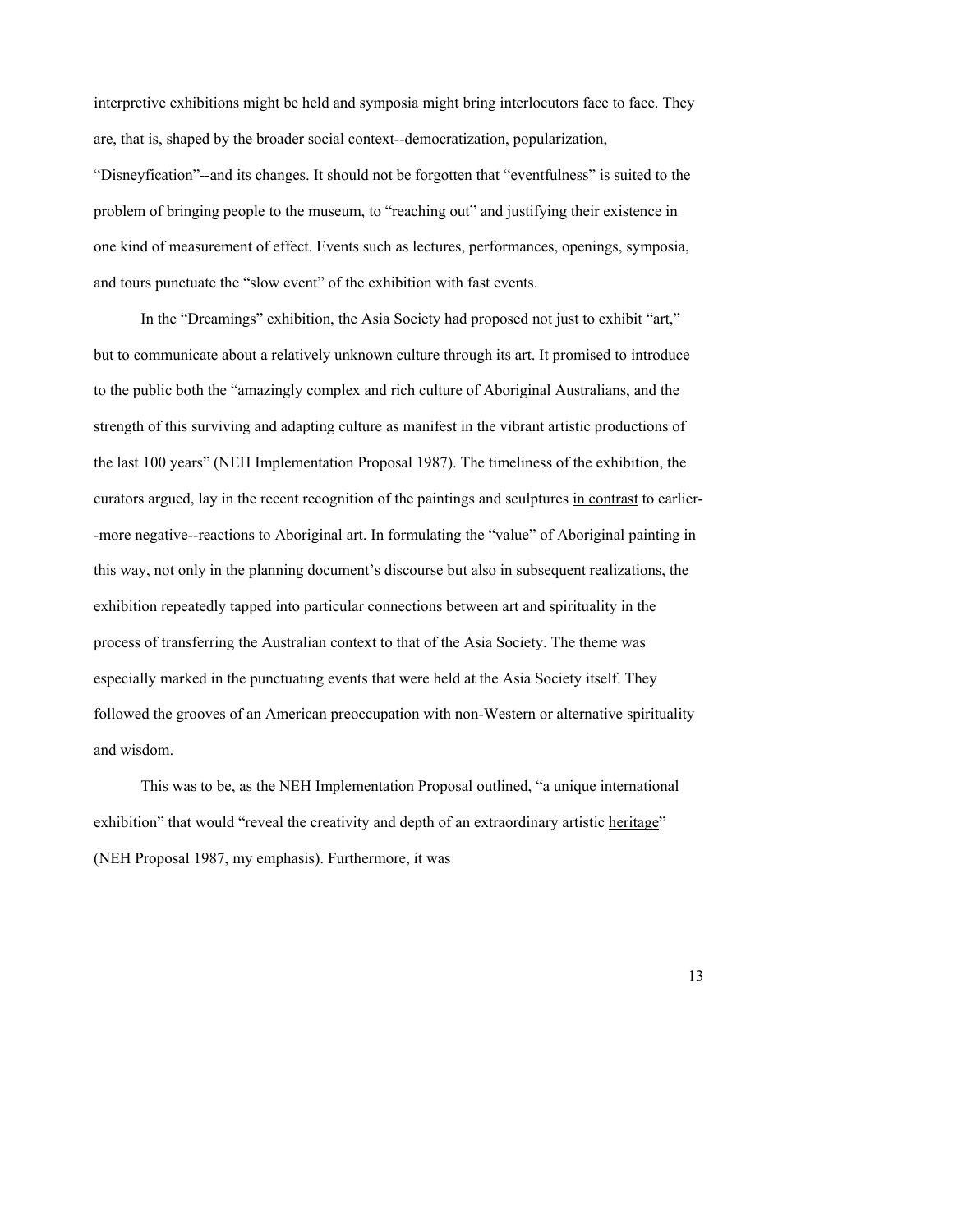interpretive exhibitions might be held and symposia might bring interlocutors face to face. They are, that is, shaped by the broader social context--democratization, popularization, "Disneyfication"--and its changes. It should not be forgotten that "eventfulness" is suited to the problem of bringing people to the museum, to "reaching out" and justifying their existence in one kind of measurement of effect. Events such as lectures, performances, openings, symposia, and tours punctuate the "slow event" of the exhibition with fast events.

 In the "Dreamings" exhibition, the Asia Society had proposed not just to exhibit "art," but to communicate about a relatively unknown culture through its art. It promised to introduce to the public both the "amazingly complex and rich culture of Aboriginal Australians, and the strength of this surviving and adapting culture as manifest in the vibrant artistic productions of the last 100 years" (NEH Implementation Proposal 1987). The timeliness of the exhibition, the curators argued, lay in the recent recognition of the paintings and sculptures in contrast to earlier- -more negative--reactions to Aboriginal art. In formulating the "value" of Aboriginal painting in this way, not only in the planning document's discourse but also in subsequent realizations, the exhibition repeatedly tapped into particular connections between art and spirituality in the process of transferring the Australian context to that of the Asia Society. The theme was especially marked in the punctuating events that were held at the Asia Society itself. They followed the grooves of an American preoccupation with non-Western or alternative spirituality and wisdom.

 This was to be, as the NEH Implementation Proposal outlined, "a unique international exhibition" that would "reveal the creativity and depth of an extraordinary artistic heritage" (NEH Proposal 1987, my emphasis). Furthermore, it was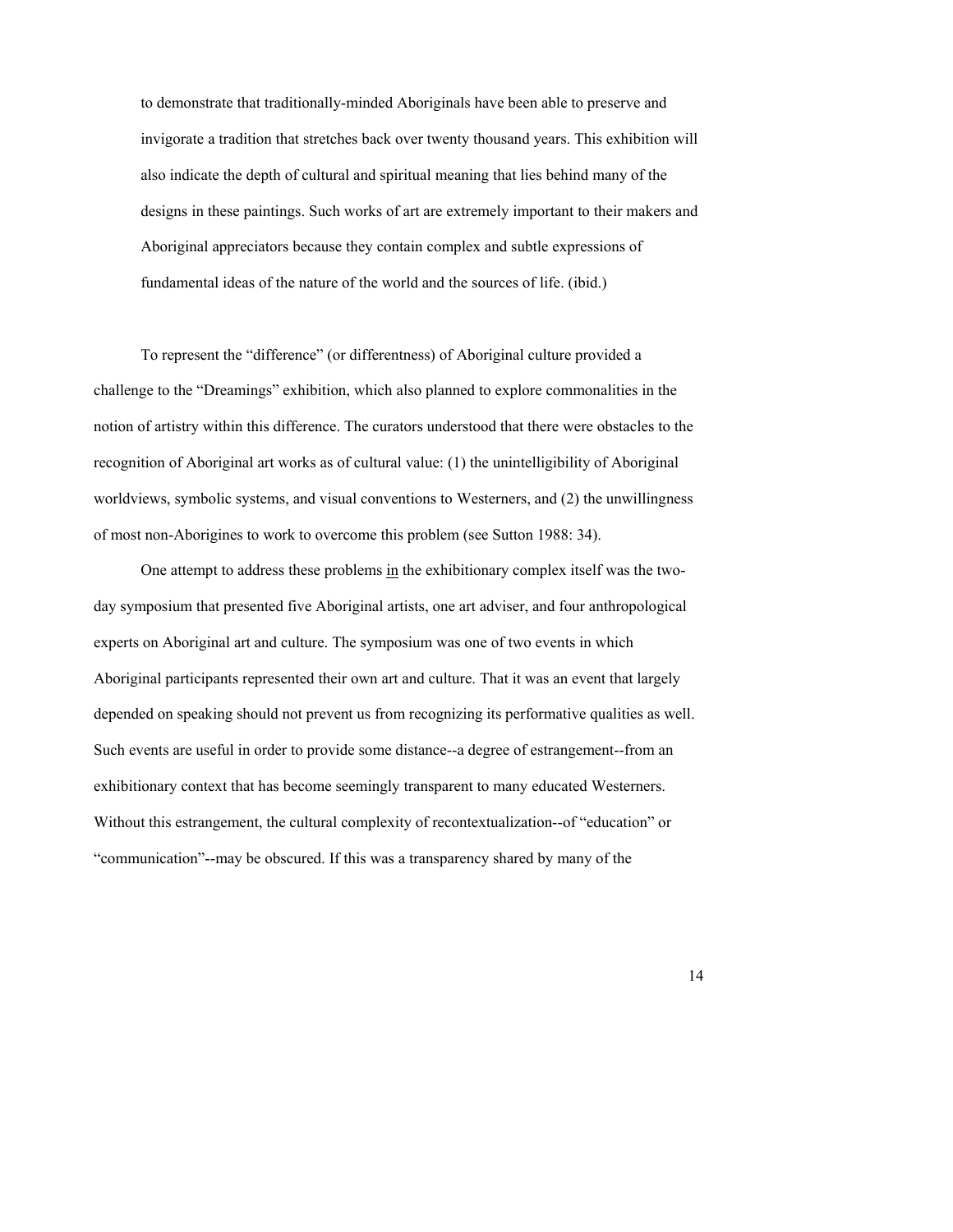to demonstrate that traditionally-minded Aboriginals have been able to preserve and invigorate a tradition that stretches back over twenty thousand years. This exhibition will also indicate the depth of cultural and spiritual meaning that lies behind many of the designs in these paintings. Such works of art are extremely important to their makers and Aboriginal appreciators because they contain complex and subtle expressions of fundamental ideas of the nature of the world and the sources of life. (ibid.)

 To represent the "difference" (or differentness) of Aboriginal culture provided a challenge to the "Dreamings" exhibition, which also planned to explore commonalities in the notion of artistry within this difference. The curators understood that there were obstacles to the recognition of Aboriginal art works as of cultural value: (1) the unintelligibility of Aboriginal worldviews, symbolic systems, and visual conventions to Westerners, and (2) the unwillingness of most non-Aborigines to work to overcome this problem (see Sutton 1988: 34).

 One attempt to address these problems in the exhibitionary complex itself was the twoday symposium that presented five Aboriginal artists, one art adviser, and four anthropological experts on Aboriginal art and culture. The symposium was one of two events in which Aboriginal participants represented their own art and culture. That it was an event that largely depended on speaking should not prevent us from recognizing its performative qualities as well. Such events are useful in order to provide some distance--a degree of estrangement--from an exhibitionary context that has become seemingly transparent to many educated Westerners. Without this estrangement, the cultural complexity of recontextualization--of "education" or "communication"--may be obscured. If this was a transparency shared by many of the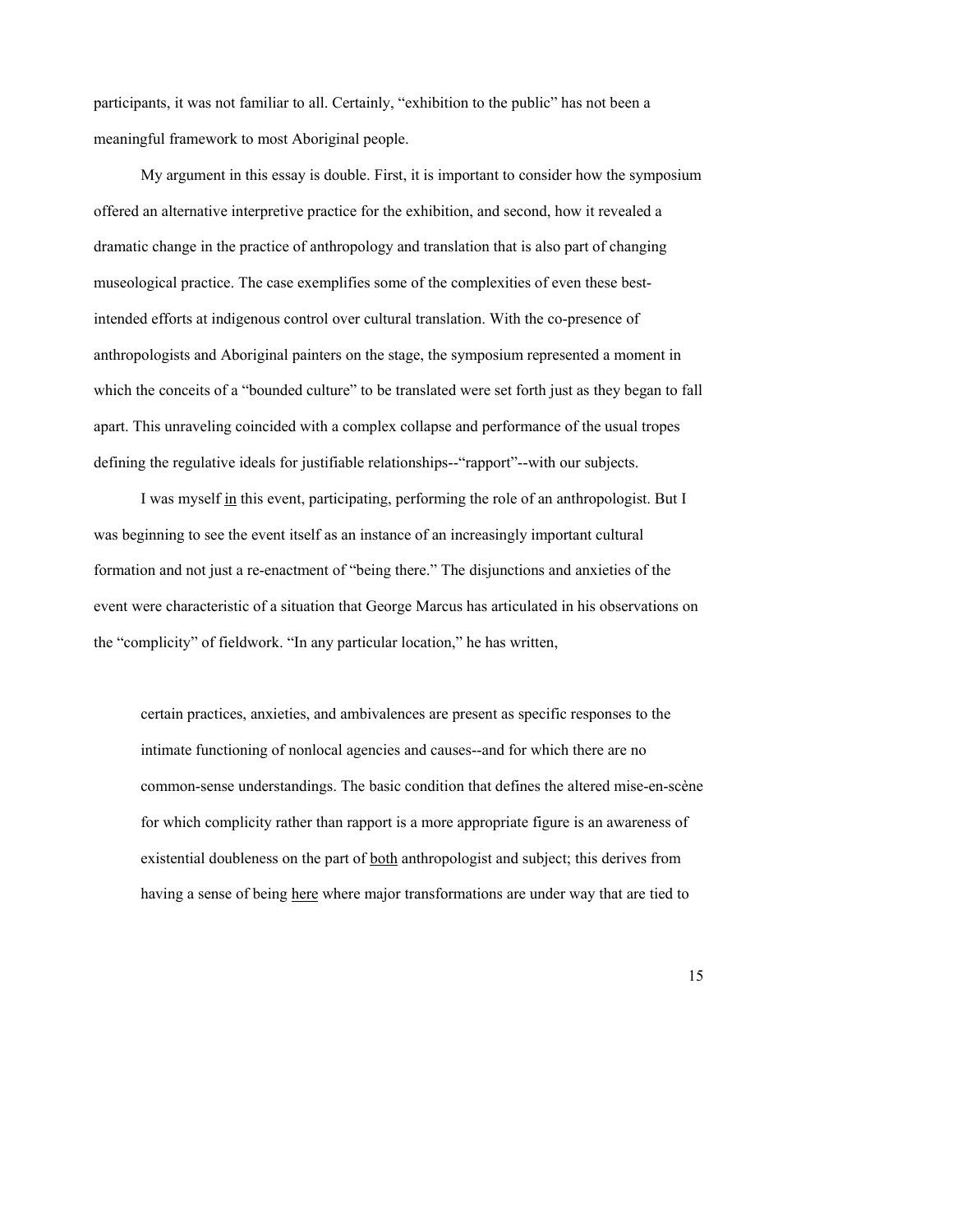participants, it was not familiar to all. Certainly, "exhibition to the public" has not been a meaningful framework to most Aboriginal people.

 My argument in this essay is double. First, it is important to consider how the symposium offered an alternative interpretive practice for the exhibition, and second, how it revealed a dramatic change in the practice of anthropology and translation that is also part of changing museological practice. The case exemplifies some of the complexities of even these bestintended efforts at indigenous control over cultural translation. With the co-presence of anthropologists and Aboriginal painters on the stage, the symposium represented a moment in which the conceits of a "bounded culture" to be translated were set forth just as they began to fall apart. This unraveling coincided with a complex collapse and performance of the usual tropes defining the regulative ideals for justifiable relationships--"rapport"--with our subjects.

 I was myself in this event, participating, performing the role of an anthropologist. But I was beginning to see the event itself as an instance of an increasingly important cultural formation and not just a re-enactment of "being there." The disjunctions and anxieties of the event were characteristic of a situation that George Marcus has articulated in his observations on the "complicity" of fieldwork. "In any particular location," he has written,

certain practices, anxieties, and ambivalences are present as specific responses to the intimate functioning of nonlocal agencies and causes--and for which there are no common-sense understandings. The basic condition that defines the altered mise-en-scène for which complicity rather than rapport is a more appropriate figure is an awareness of existential doubleness on the part of both anthropologist and subject; this derives from having a sense of being here where major transformations are under way that are tied to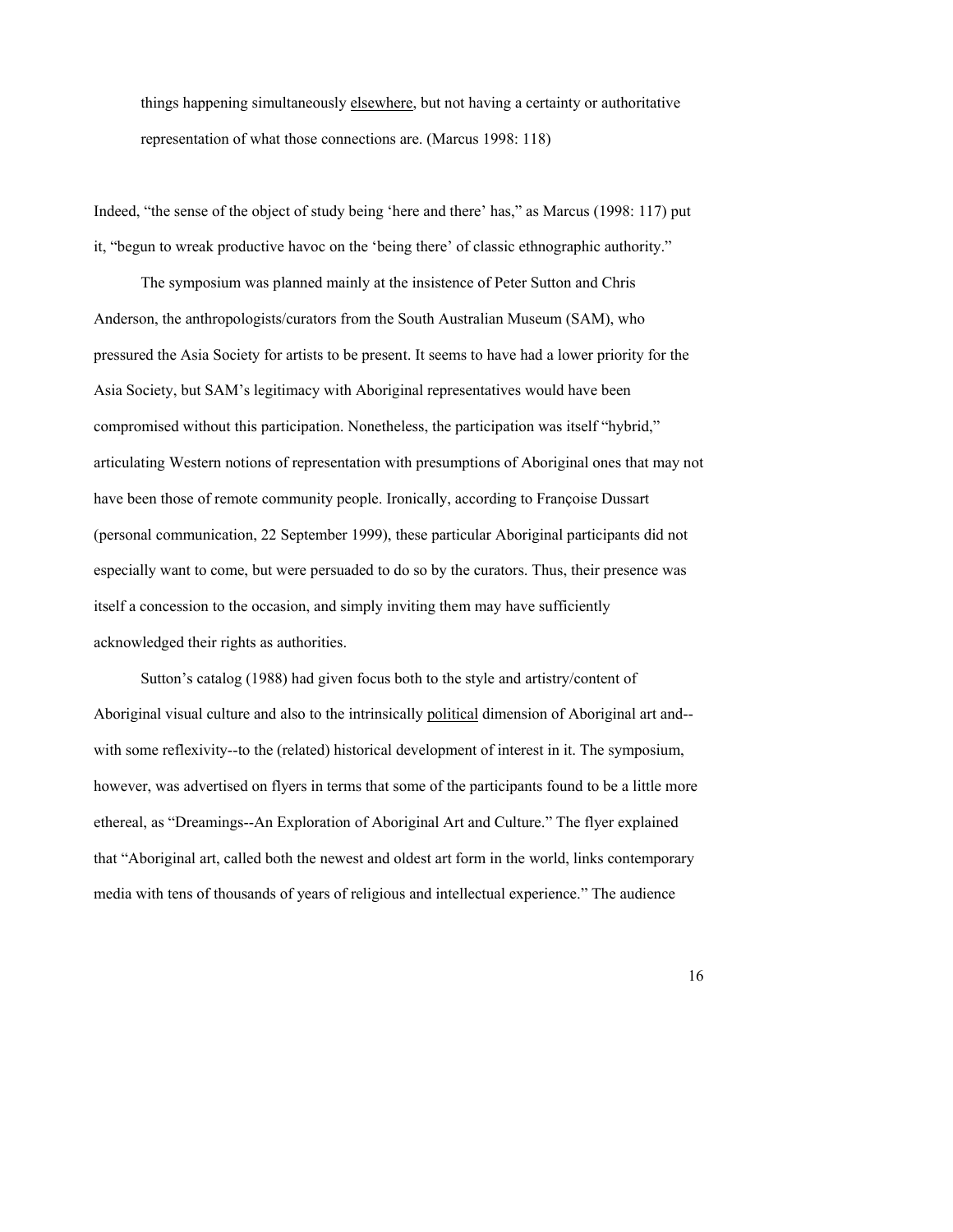things happening simultaneously elsewhere, but not having a certainty or authoritative representation of what those connections are. (Marcus 1998: 118)

Indeed, "the sense of the object of study being 'here and there' has," as Marcus (1998: 117) put it, "begun to wreak productive havoc on the 'being there' of classic ethnographic authority."

 The symposium was planned mainly at the insistence of Peter Sutton and Chris Anderson, the anthropologists/curators from the South Australian Museum (SAM), who pressured the Asia Society for artists to be present. It seems to have had a lower priority for the Asia Society, but SAM's legitimacy with Aboriginal representatives would have been compromised without this participation. Nonetheless, the participation was itself "hybrid," articulating Western notions of representation with presumptions of Aboriginal ones that may not have been those of remote community people. Ironically, according to Françoise Dussart (personal communication, 22 September 1999), these particular Aboriginal participants did not especially want to come, but were persuaded to do so by the curators. Thus, their presence was itself a concession to the occasion, and simply inviting them may have sufficiently acknowledged their rights as authorities.

 Sutton's catalog (1988) had given focus both to the style and artistry/content of Aboriginal visual culture and also to the intrinsically political dimension of Aboriginal art and- with some reflexivity--to the (related) historical development of interest in it. The symposium, however, was advertised on flyers in terms that some of the participants found to be a little more ethereal, as "Dreamings--An Exploration of Aboriginal Art and Culture." The flyer explained that "Aboriginal art, called both the newest and oldest art form in the world, links contemporary media with tens of thousands of years of religious and intellectual experience." The audience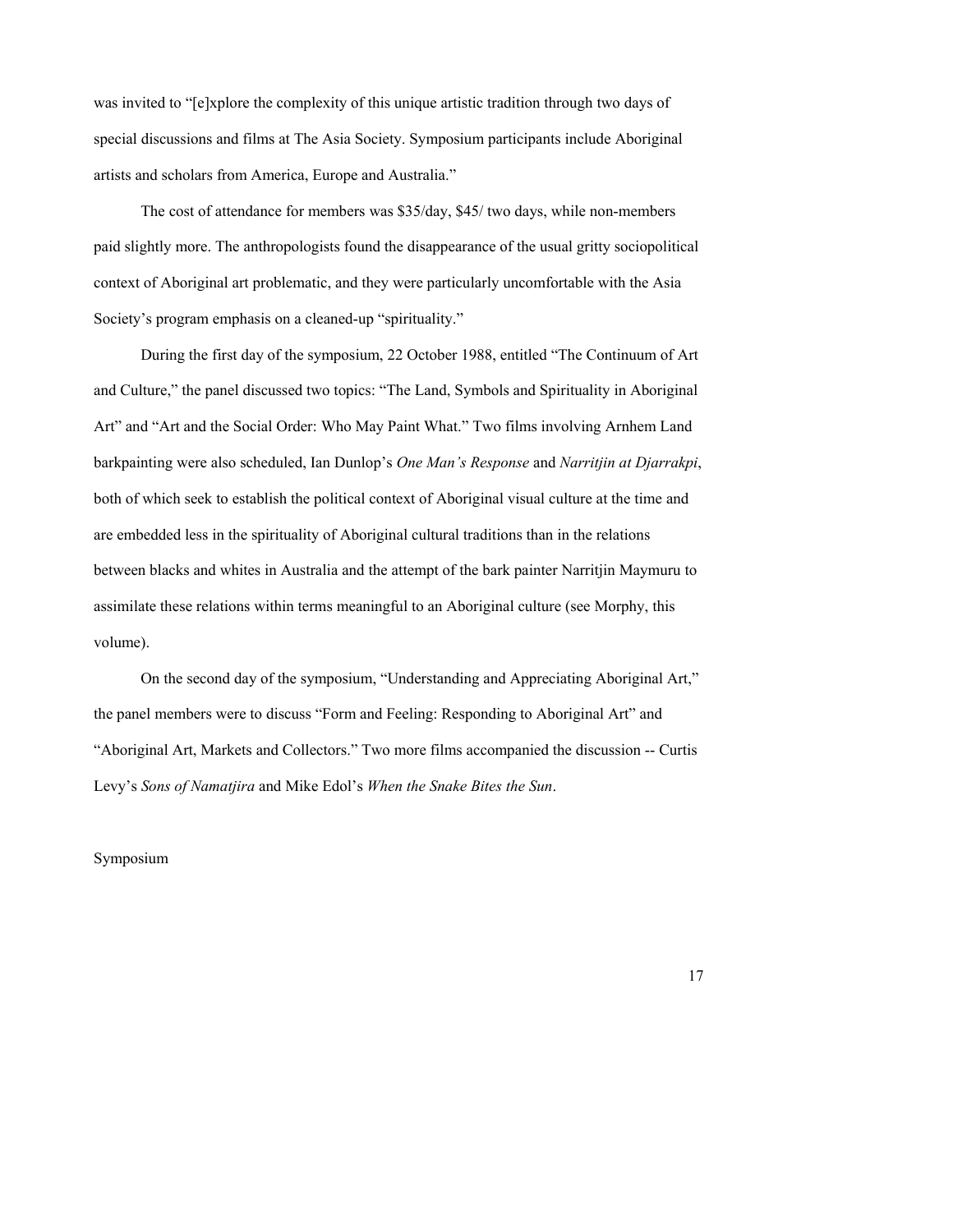was invited to "[e]xplore the complexity of this unique artistic tradition through two days of special discussions and films at The Asia Society. Symposium participants include Aboriginal artists and scholars from America, Europe and Australia."

 The cost of attendance for members was \$35/day, \$45/ two days, while non-members paid slightly more. The anthropologists found the disappearance of the usual gritty sociopolitical context of Aboriginal art problematic, and they were particularly uncomfortable with the Asia Society's program emphasis on a cleaned-up "spirituality."

 During the first day of the symposium, 22 October 1988, entitled "The Continuum of Art and Culture," the panel discussed two topics: "The Land, Symbols and Spirituality in Aboriginal Art" and "Art and the Social Order: Who May Paint What." Two films involving Arnhem Land barkpainting were also scheduled, Ian Dunlop's *One Man's Response* and *Narritjin at Djarrakpi*, both of which seek to establish the political context of Aboriginal visual culture at the time and are embedded less in the spirituality of Aboriginal cultural traditions than in the relations between blacks and whites in Australia and the attempt of the bark painter Narritjin Maymuru to assimilate these relations within terms meaningful to an Aboriginal culture (see Morphy, this volume).

 On the second day of the symposium, "Understanding and Appreciating Aboriginal Art," the panel members were to discuss "Form and Feeling: Responding to Aboriginal Art" and "Aboriginal Art, Markets and Collectors." Two more films accompanied the discussion -- Curtis Levy's *Sons of Namatjira* and Mike Edol's *When the Snake Bites the Sun*.

#### Symposium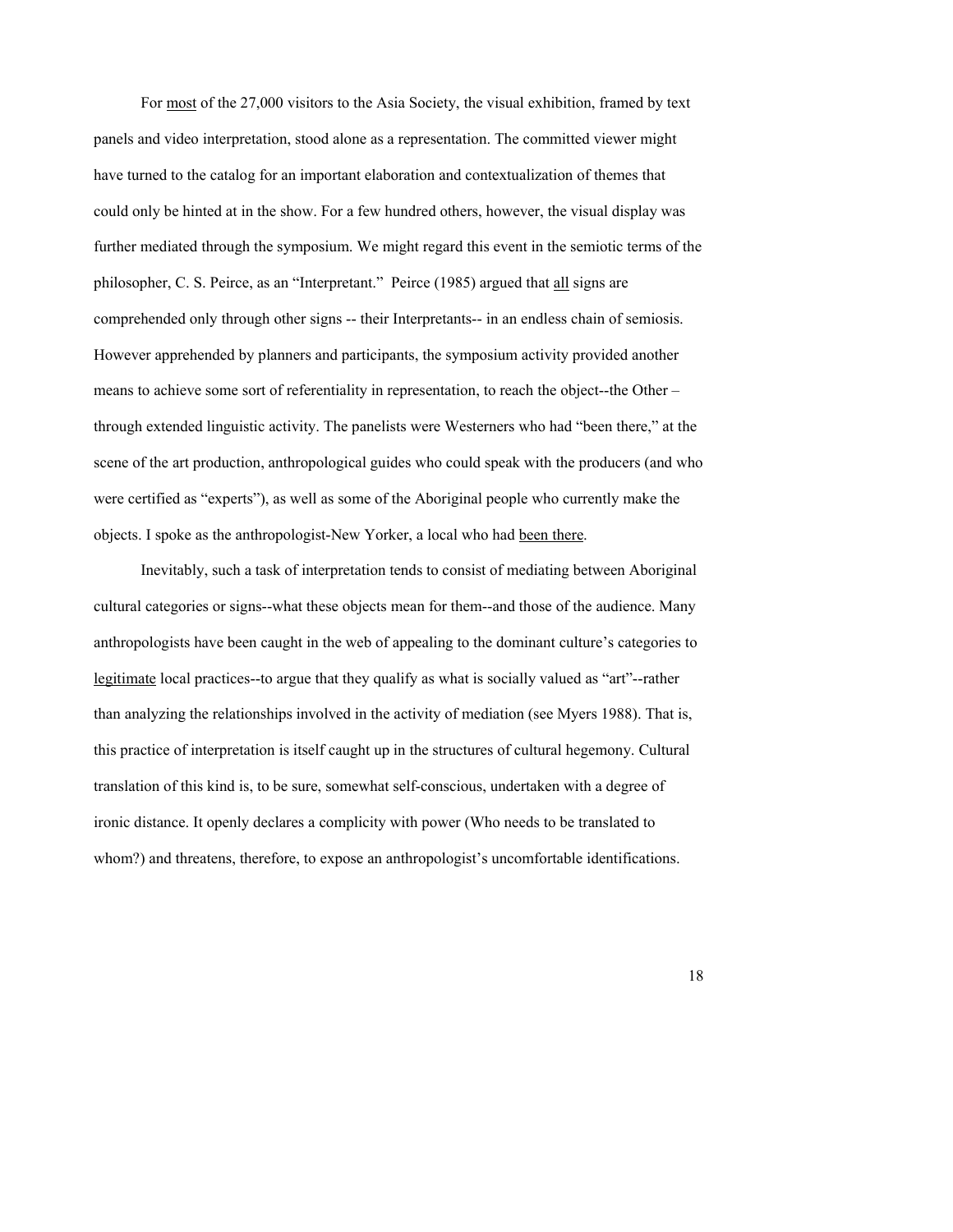For most of the 27,000 visitors to the Asia Society, the visual exhibition, framed by text panels and video interpretation, stood alone as a representation. The committed viewer might have turned to the catalog for an important elaboration and contextualization of themes that could only be hinted at in the show. For a few hundred others, however, the visual display was further mediated through the symposium. We might regard this event in the semiotic terms of the philosopher, C. S. Peirce, as an "Interpretant." Peirce (1985) argued that all signs are comprehended only through other signs -- their Interpretants-- in an endless chain of semiosis. However apprehended by planners and participants, the symposium activity provided another means to achieve some sort of referentiality in representation, to reach the object--the Other – through extended linguistic activity. The panelists were Westerners who had "been there," at the scene of the art production, anthropological guides who could speak with the producers (and who were certified as "experts"), as well as some of the Aboriginal people who currently make the objects. I spoke as the anthropologist-New Yorker, a local who had been there.

 Inevitably, such a task of interpretation tends to consist of mediating between Aboriginal cultural categories or signs--what these objects mean for them--and those of the audience. Many anthropologists have been caught in the web of appealing to the dominant culture's categories to legitimate local practices--to argue that they qualify as what is socially valued as "art"--rather than analyzing the relationships involved in the activity of mediation (see Myers 1988). That is, this practice of interpretation is itself caught up in the structures of cultural hegemony. Cultural translation of this kind is, to be sure, somewhat self-conscious, undertaken with a degree of ironic distance. It openly declares a complicity with power (Who needs to be translated to whom?) and threatens, therefore, to expose an anthropologist's uncomfortable identifications.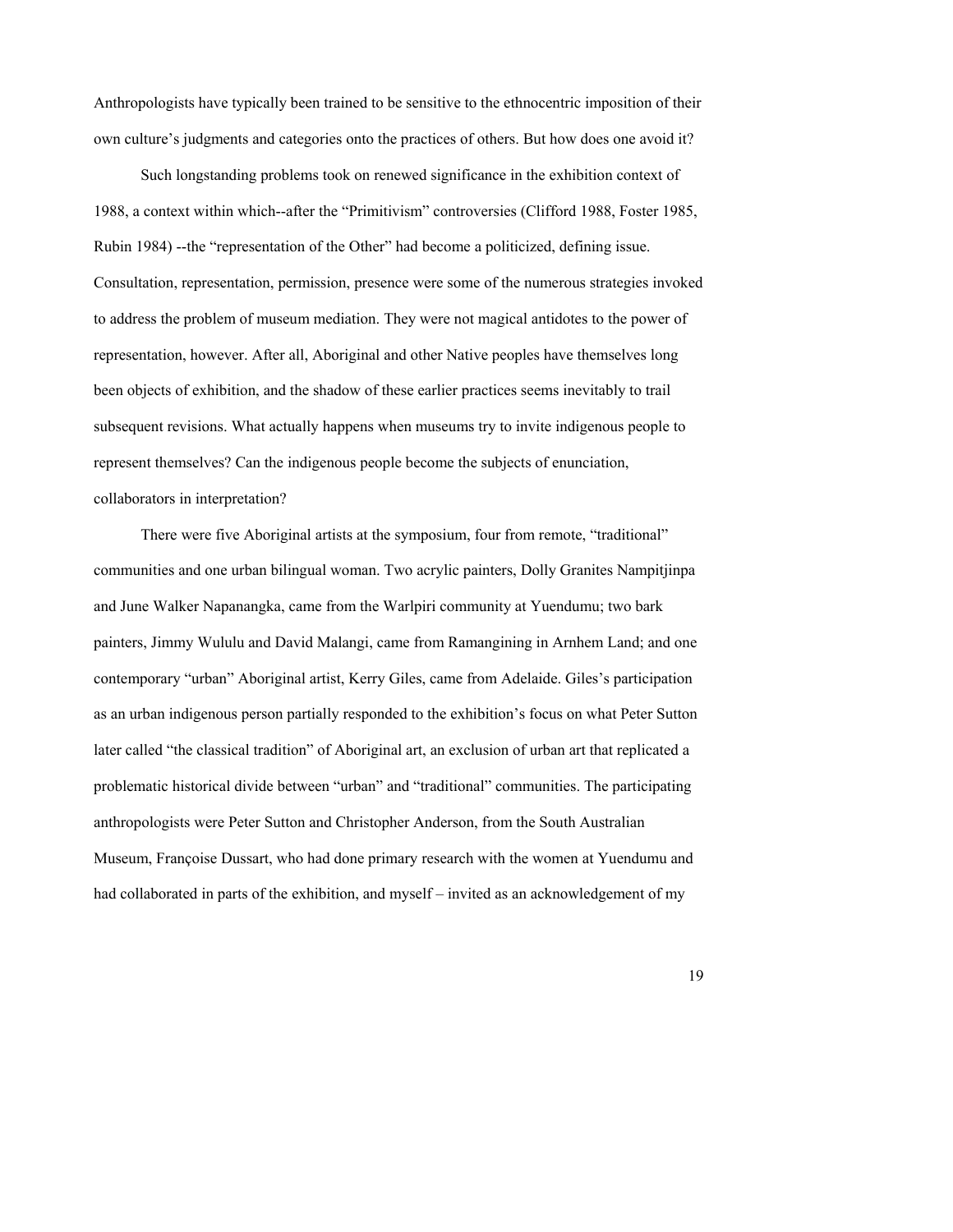Anthropologists have typically been trained to be sensitive to the ethnocentric imposition of their own culture's judgments and categories onto the practices of others. But how does one avoid it?

 Such longstanding problems took on renewed significance in the exhibition context of 1988, a context within which--after the "Primitivism" controversies (Clifford 1988, Foster 1985, Rubin 1984) --the "representation of the Other" had become a politicized, defining issue. Consultation, representation, permission, presence were some of the numerous strategies invoked to address the problem of museum mediation. They were not magical antidotes to the power of representation, however. After all, Aboriginal and other Native peoples have themselves long been objects of exhibition, and the shadow of these earlier practices seems inevitably to trail subsequent revisions. What actually happens when museums try to invite indigenous people to represent themselves? Can the indigenous people become the subjects of enunciation, collaborators in interpretation?

 There were five Aboriginal artists at the symposium, four from remote, "traditional" communities and one urban bilingual woman. Two acrylic painters, Dolly Granites Nampitjinpa and June Walker Napanangka, came from the Warlpiri community at Yuendumu; two bark painters, Jimmy Wululu and David Malangi, came from Ramangining in Arnhem Land; and one contemporary "urban" Aboriginal artist, Kerry Giles, came from Adelaide. Giles's participation as an urban indigenous person partially responded to the exhibition's focus on what Peter Sutton later called "the classical tradition" of Aboriginal art, an exclusion of urban art that replicated a problematic historical divide between "urban" and "traditional" communities. The participating anthropologists were Peter Sutton and Christopher Anderson, from the South Australian Museum, Françoise Dussart, who had done primary research with the women at Yuendumu and had collaborated in parts of the exhibition, and myself – invited as an acknowledgement of my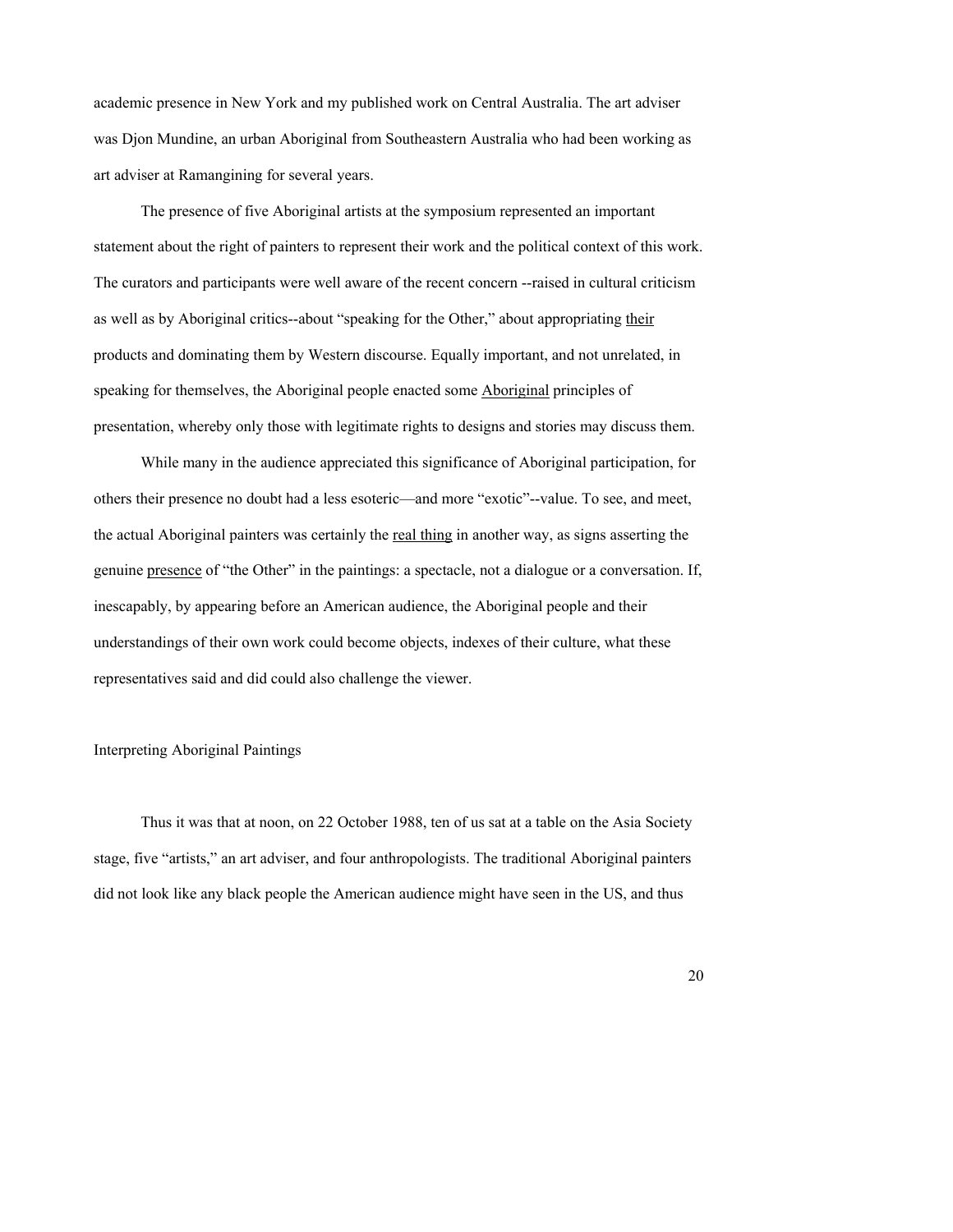academic presence in New York and my published work on Central Australia. The art adviser was Djon Mundine, an urban Aboriginal from Southeastern Australia who had been working as art adviser at Ramangining for several years.

 The presence of five Aboriginal artists at the symposium represented an important statement about the right of painters to represent their work and the political context of this work. The curators and participants were well aware of the recent concern --raised in cultural criticism as well as by Aboriginal critics--about "speaking for the Other," about appropriating their products and dominating them by Western discourse. Equally important, and not unrelated, in speaking for themselves, the Aboriginal people enacted some Aboriginal principles of presentation, whereby only those with legitimate rights to designs and stories may discuss them.

 While many in the audience appreciated this significance of Aboriginal participation, for others their presence no doubt had a less esoteric—and more "exotic"--value. To see, and meet, the actual Aboriginal painters was certainly the real thing in another way, as signs asserting the genuine presence of "the Other" in the paintings: a spectacle, not a dialogue or a conversation. If, inescapably, by appearing before an American audience, the Aboriginal people and their understandings of their own work could become objects, indexes of their culture, what these representatives said and did could also challenge the viewer.

#### Interpreting Aboriginal Paintings

 Thus it was that at noon, on 22 October 1988, ten of us sat at a table on the Asia Society stage, five "artists," an art adviser, and four anthropologists. The traditional Aboriginal painters did not look like any black people the American audience might have seen in the US, and thus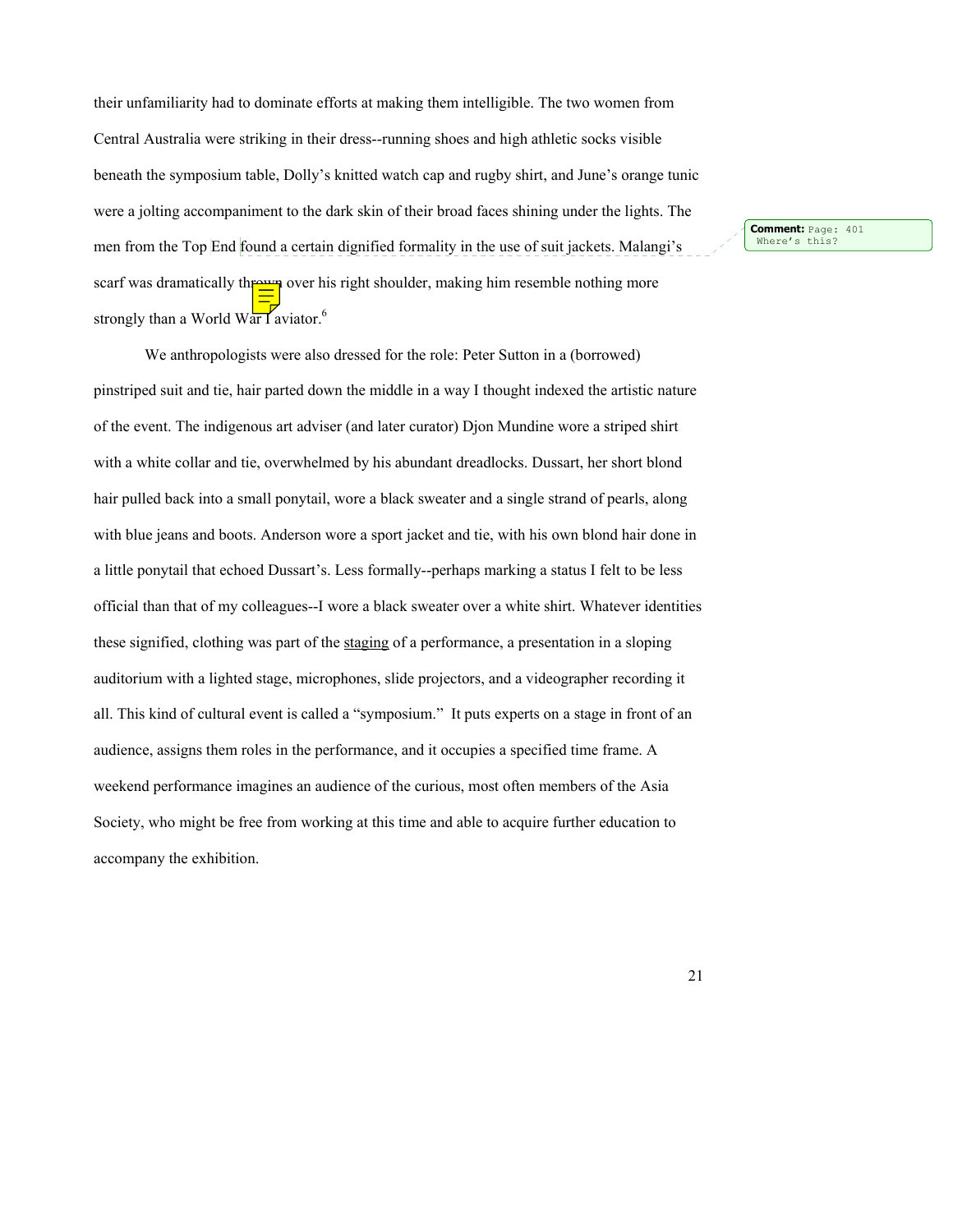their unfamiliarity had to dominate efforts at making them intelligible. The two women from Central Australia were striking in their dress--running shoes and high athletic socks visible beneath the symposium table, Dolly's knitted watch cap and rugby shirt, and June's orange tunic were a jolting accompaniment to the dark skin of their broad faces shining under the lights. The men from the Top End found a certain dignified formality in the use of suit jackets. Malangi's scarf was dramatically thrown over his right shoulder, making him resemble nothing more strongly than a World War I aviator.<sup>6</sup>

 We anthropologists were also dressed for the role: Peter Sutton in a (borrowed) pinstriped suit and tie, hair parted down the m[id](#page-49-5)dle in a way I thought indexed the artistic nature of the event. The indigenous art adviser (and later curator) Djon Mundine wore a striped shirt with a white collar and tie, overwhelmed by his abundant dreadlocks. Dussart, her short blond hair pulled back into a small ponytail, wore a black sweater and a single strand of pearls, along with blue jeans and boots. Anderson wore a sport jacket and tie, with his own blond hair done in a little ponytail that echoed Dussart's. Less formally--perhaps marking a status I felt to be less official than that of my colleagues--I wore a black sweater over a white shirt. Whatever identities these signified, clothing was part of the staging of a performance, a presentation in a sloping auditorium with a lighted stage, microphones, slide projectors, and a videographer recording it all. This kind of cultural event is called a "symposium." It puts experts on a stage in front of an audience, assigns them roles in the performance, and it occupies a specified time frame. A weekend performance imagines an audience of the curious, most often members of the Asia Society, who might be free from working at this time and able to acquire further education to accompany the exhibition.

**Comment:** Page: 401 Where's this?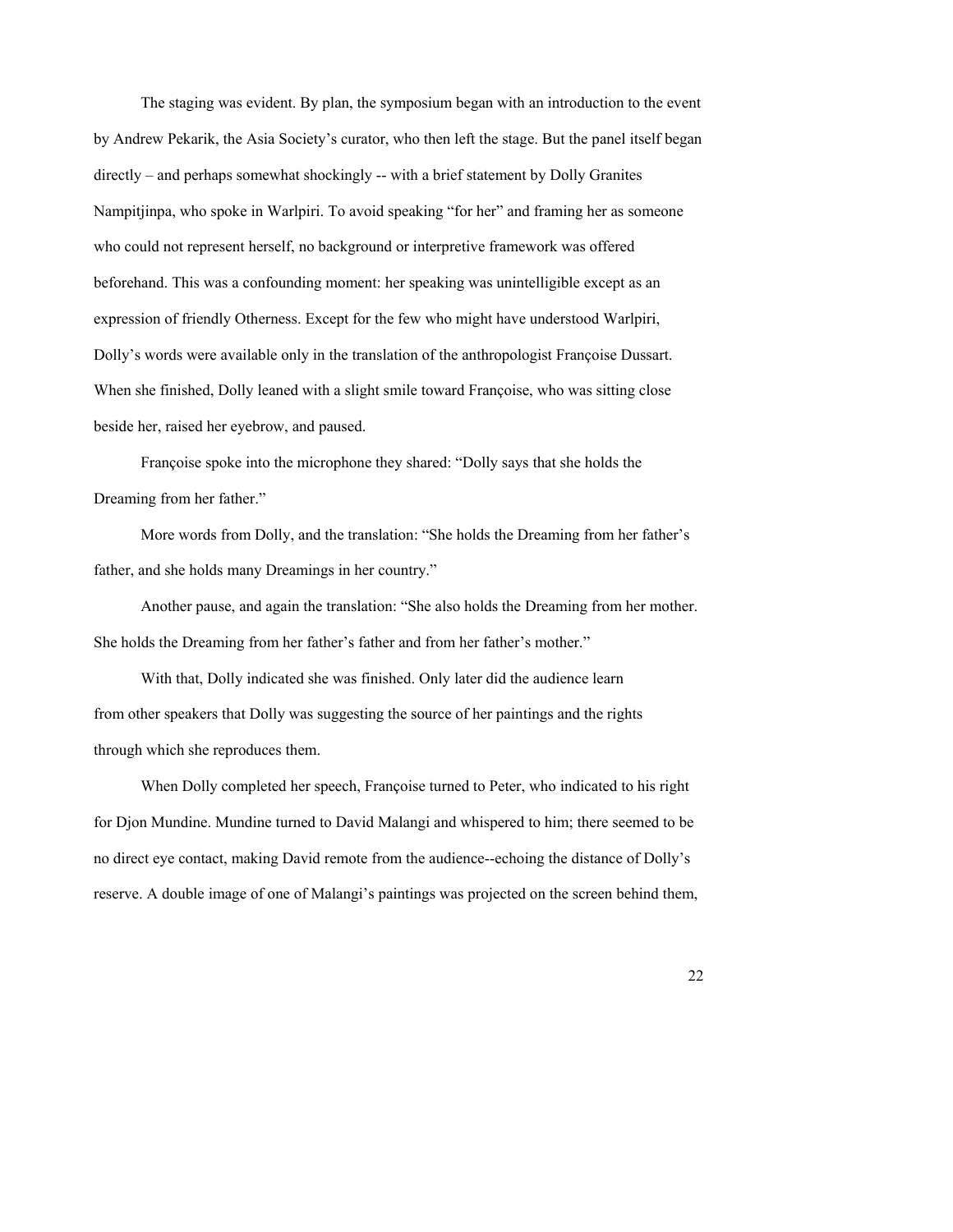The staging was evident. By plan, the symposium began with an introduction to the event by Andrew Pekarik, the Asia Society's curator, who then left the stage. But the panel itself began directly – and perhaps somewhat shockingly -- with a brief statement by Dolly Granites Nampitjinpa, who spoke in Warlpiri. To avoid speaking "for her" and framing her as someone who could not represent herself, no background or interpretive framework was offered beforehand. This was a confounding moment: her speaking was unintelligible except as an expression of friendly Otherness. Except for the few who might have understood Warlpiri, Dolly's words were available only in the translation of the anthropologist Françoise Dussart. When she finished, Dolly leaned with a slight smile toward Françoise, who was sitting close beside her, raised her eyebrow, and paused.

 Françoise spoke into the microphone they shared: "Dolly says that she holds the Dreaming from her father."

 More words from Dolly, and the translation: "She holds the Dreaming from her father's father, and she holds many Dreamings in her country."

 Another pause, and again the translation: "She also holds the Dreaming from her mother. She holds the Dreaming from her father's father and from her father's mother."

 With that, Dolly indicated she was finished. Only later did the audience learn from other speakers that Dolly was suggesting the source of her paintings and the rights through which she reproduces them.

 When Dolly completed her speech, Françoise turned to Peter, who indicated to his right for Djon Mundine. Mundine turned to David Malangi and whispered to him; there seemed to be no direct eye contact, making David remote from the audience--echoing the distance of Dolly's reserve. A double image of one of Malangi's paintings was projected on the screen behind them,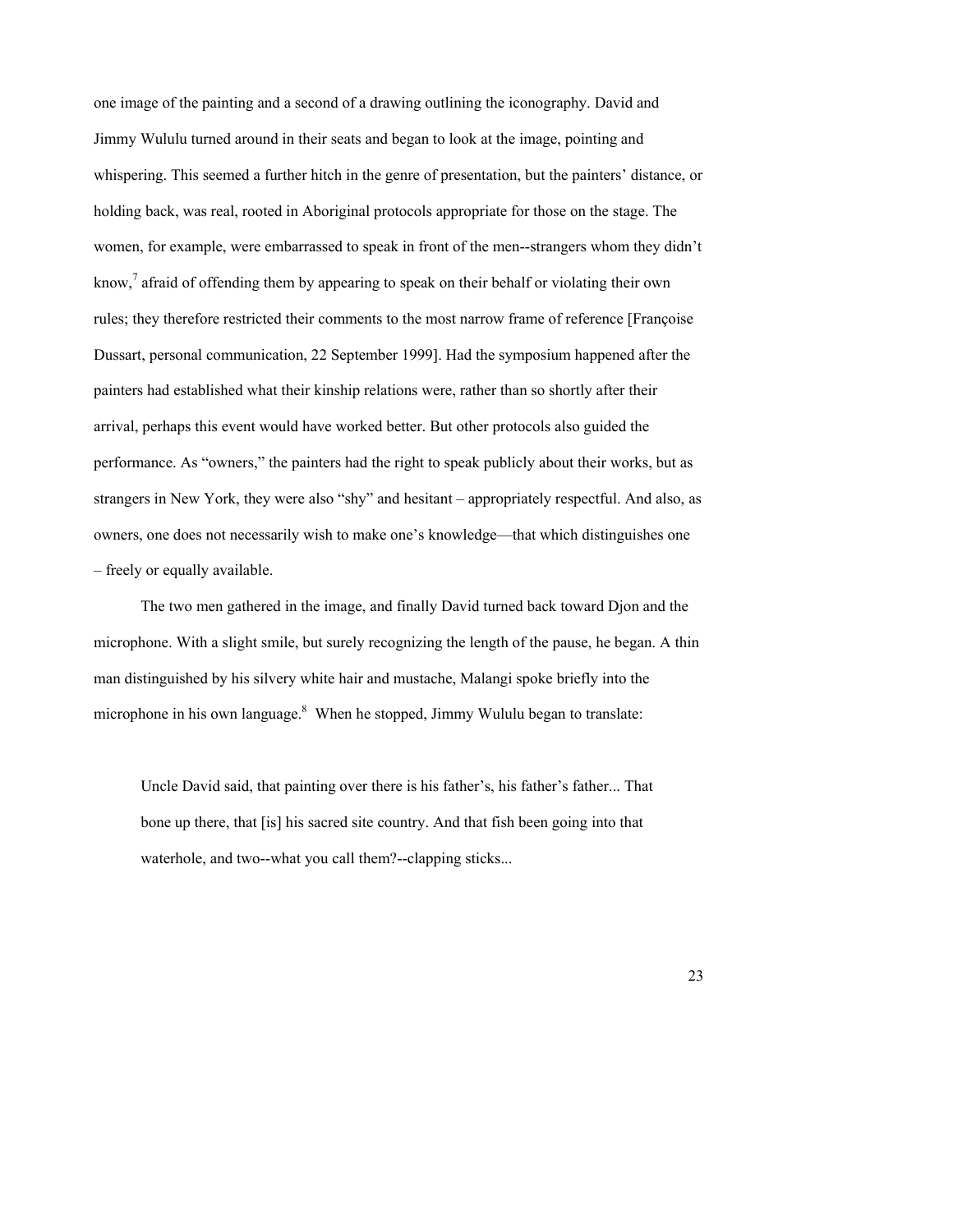one image of the painting and a second of a drawing outlining the iconography. David and Jimmy Wululu turned around in their seats and began to look at the image, pointing and whispering. This seemed a further hitch in the genre of presentation, but the painters' distance, or holding back, was real, rooted in Aboriginal protocols appropriate for those on the stage. The women, for example, were embarrassed to speak in front of the men--strangers whom they didn't know,<sup>7</sup> afraid of offending them by appearing to speak on their behalf or violating their own rules; the[y th](#page-49-0)erefore restricted their comments to the most narrow frame of reference [Françoise Dussart, personal communication, 22 September 1999]. Had the symposium happened after the painters had established what their kinship relations were, rather than so shortly after their arrival, perhaps this event would have worked better. But other protocols also guided the performance. As "owners," the painters had the right to speak publicly about their works, but as strangers in New York, they were also "shy" and hesitant – appropriately respectful. And also, as owners, one does not necessarily wish to make one's knowledge—that which distinguishes one – freely or equally available.

 The two men gathered in the image, and finally David turned back toward Djon and the microphone. With a slight smile, but surely recognizing the length of the pause, he began. A thin man distinguished by his silvery white hair and mustache, Malangi spoke briefly into the microphone in his own language.<sup>8</sup> When he stopped, Jimmy Wululu began to translate:

Uncle David said, that painting over there is his father's, his father's father... That bone up there, that [is] his sacred site country. And that fish been going into that waterhole, and two--what you call [th](#page-49-2)em?--clapping sticks...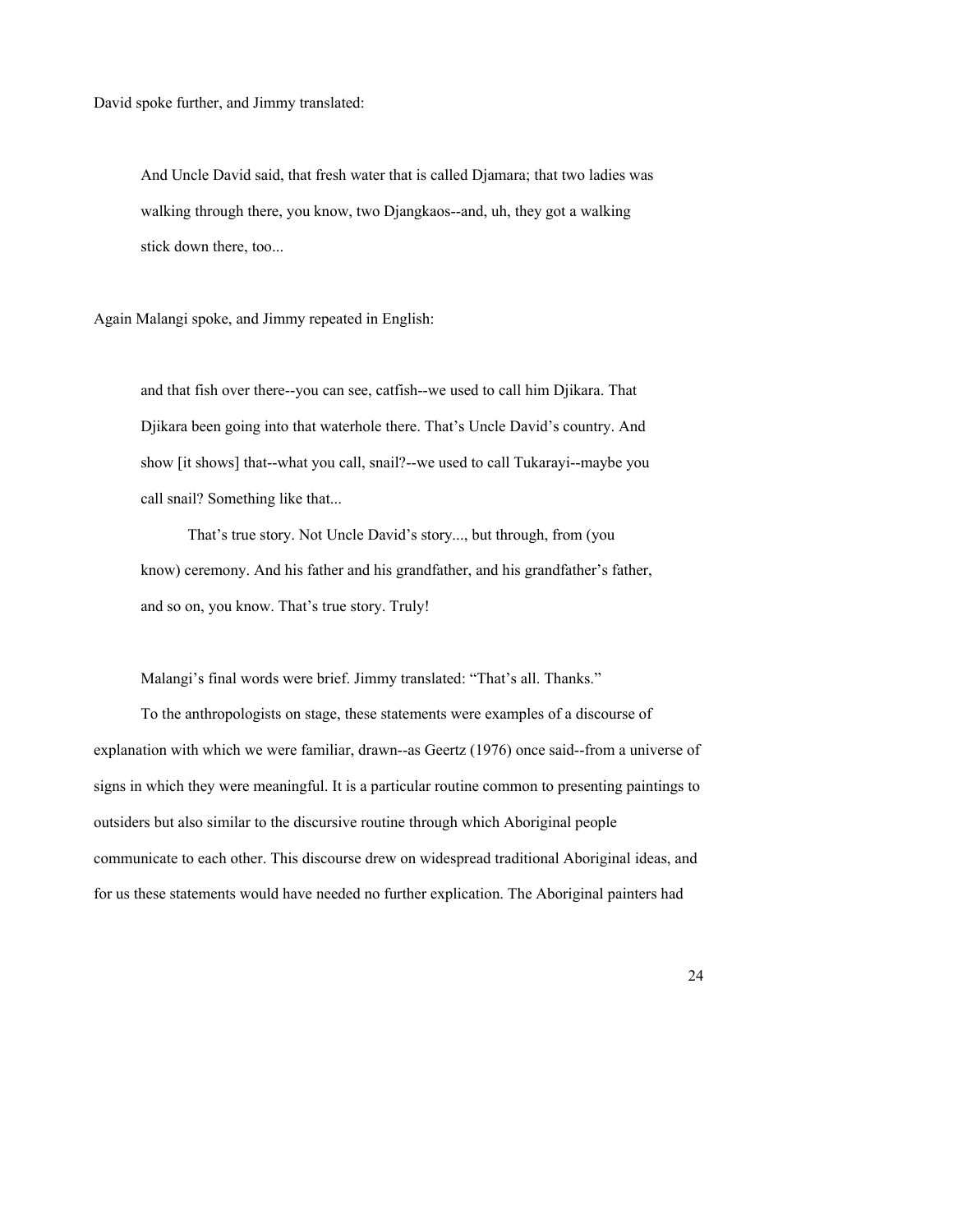David spoke further, and Jimmy translated:

And Uncle David said, that fresh water that is called Djamara; that two ladies was walking through there, you know, two Djangkaos--and, uh, they got a walking stick down there, too...

Again Malangi spoke, and Jimmy repeated in English:

and that fish over there--you can see, catfish--we used to call him Djikara. That Djikara been going into that waterhole there. That's Uncle David's country. And show [it shows] that--what you call, snail?--we used to call Tukarayi--maybe you call snail? Something like that...

 That's true story. Not Uncle David's story..., but through, from (you know) ceremony. And his father and his grandfather, and his grandfather's father, and so on, you know. That's true story. Truly!

Malangi's final words were brief. Jimmy translated: "That's all. Thanks."

 To the anthropologists on stage, these statements were examples of a discourse of explanation with which we were familiar, drawn--as Geertz (1976) once said--from a universe of signs in which they were meaningful. It is a particular routine common to presenting paintings to outsiders but also similar to the discursive routine through which Aboriginal people communicate to each other. This discourse drew on widespread traditional Aboriginal ideas, and for us these statements would have needed no further explication. The Aboriginal painters had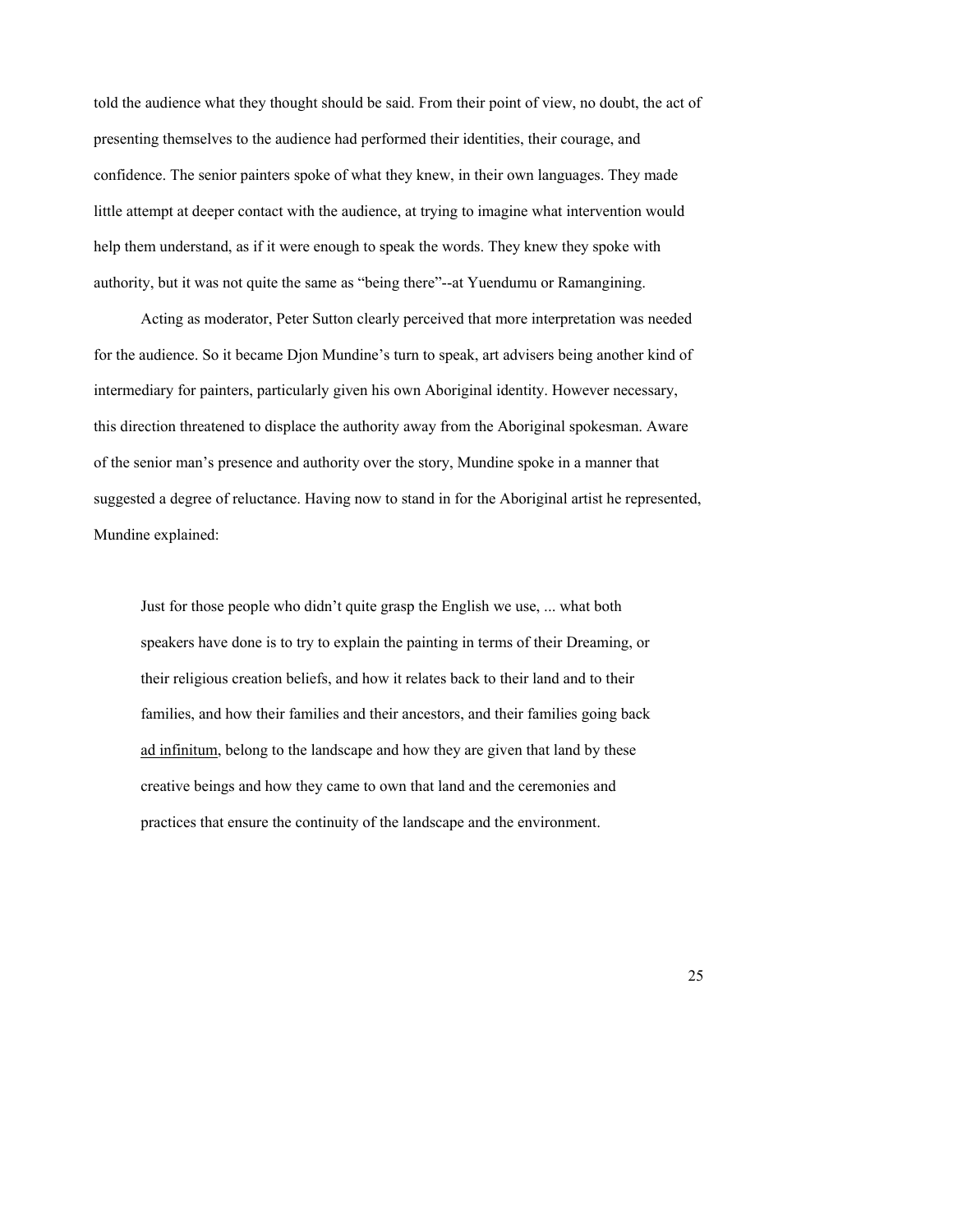told the audience what they thought should be said. From their point of view, no doubt, the act of presenting themselves to the audience had performed their identities, their courage, and confidence. The senior painters spoke of what they knew, in their own languages. They made little attempt at deeper contact with the audience, at trying to imagine what intervention would help them understand, as if it were enough to speak the words. They knew they spoke with authority, but it was not quite the same as "being there"--at Yuendumu or Ramangining.

 Acting as moderator, Peter Sutton clearly perceived that more interpretation was needed for the audience. So it became Djon Mundine's turn to speak, art advisers being another kind of intermediary for painters, particularly given his own Aboriginal identity. However necessary, this direction threatened to displace the authority away from the Aboriginal spokesman. Aware of the senior man's presence and authority over the story, Mundine spoke in a manner that suggested a degree of reluctance. Having now to stand in for the Aboriginal artist he represented, Mundine explained:

Just for those people who didn't quite grasp the English we use, ... what both speakers have done is to try to explain the painting in terms of their Dreaming, or their religious creation beliefs, and how it relates back to their land and to their families, and how their families and their ancestors, and their families going back ad infinitum, belong to the landscape and how they are given that land by these creative beings and how they came to own that land and the ceremonies and practices that ensure the continuity of the landscape and the environment.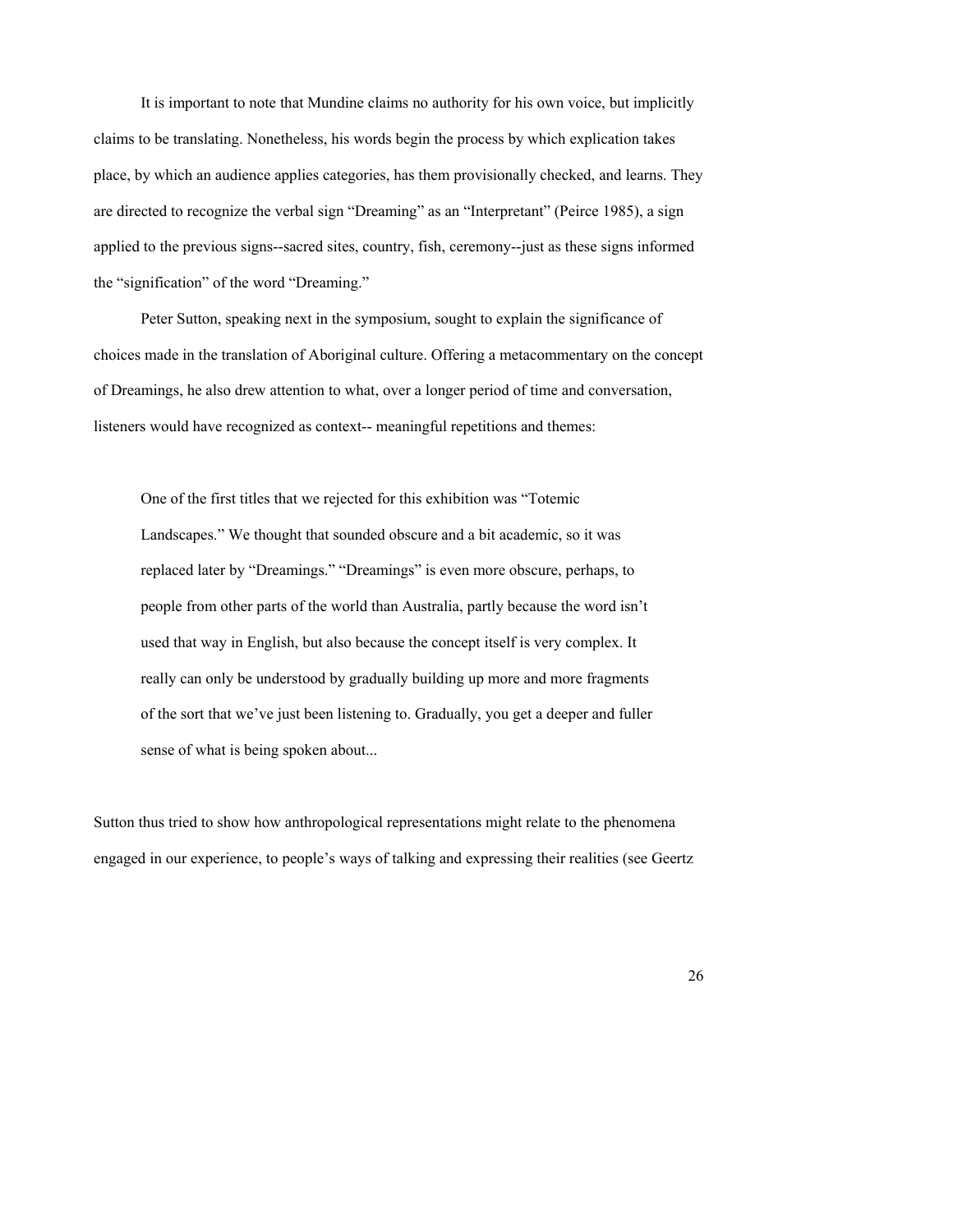It is important to note that Mundine claims no authority for his own voice, but implicitly claims to be translating. Nonetheless, his words begin the process by which explication takes place, by which an audience applies categories, has them provisionally checked, and learns. They are directed to recognize the verbal sign "Dreaming" as an "Interpretant" (Peirce 1985), a sign applied to the previous signs--sacred sites, country, fish, ceremony--just as these signs informed the "signification" of the word "Dreaming."

 Peter Sutton, speaking next in the symposium, sought to explain the significance of choices made in the translation of Aboriginal culture. Offering a metacommentary on the concept of Dreamings, he also drew attention to what, over a longer period of time and conversation, listeners would have recognized as context-- meaningful repetitions and themes:

One of the first titles that we rejected for this exhibition was "Totemic Landscapes." We thought that sounded obscure and a bit academic, so it was replaced later by "Dreamings." "Dreamings" is even more obscure, perhaps, to people from other parts of the world than Australia, partly because the word isn't used that way in English, but also because the concept itself is very complex. It really can only be understood by gradually building up more and more fragments of the sort that we've just been listening to. Gradually, you get a deeper and fuller sense of what is being spoken about...

Sutton thus tried to show how anthropological representations might relate to the phenomena engaged in our experience, to people's ways of talking and expressing their realities (see Geertz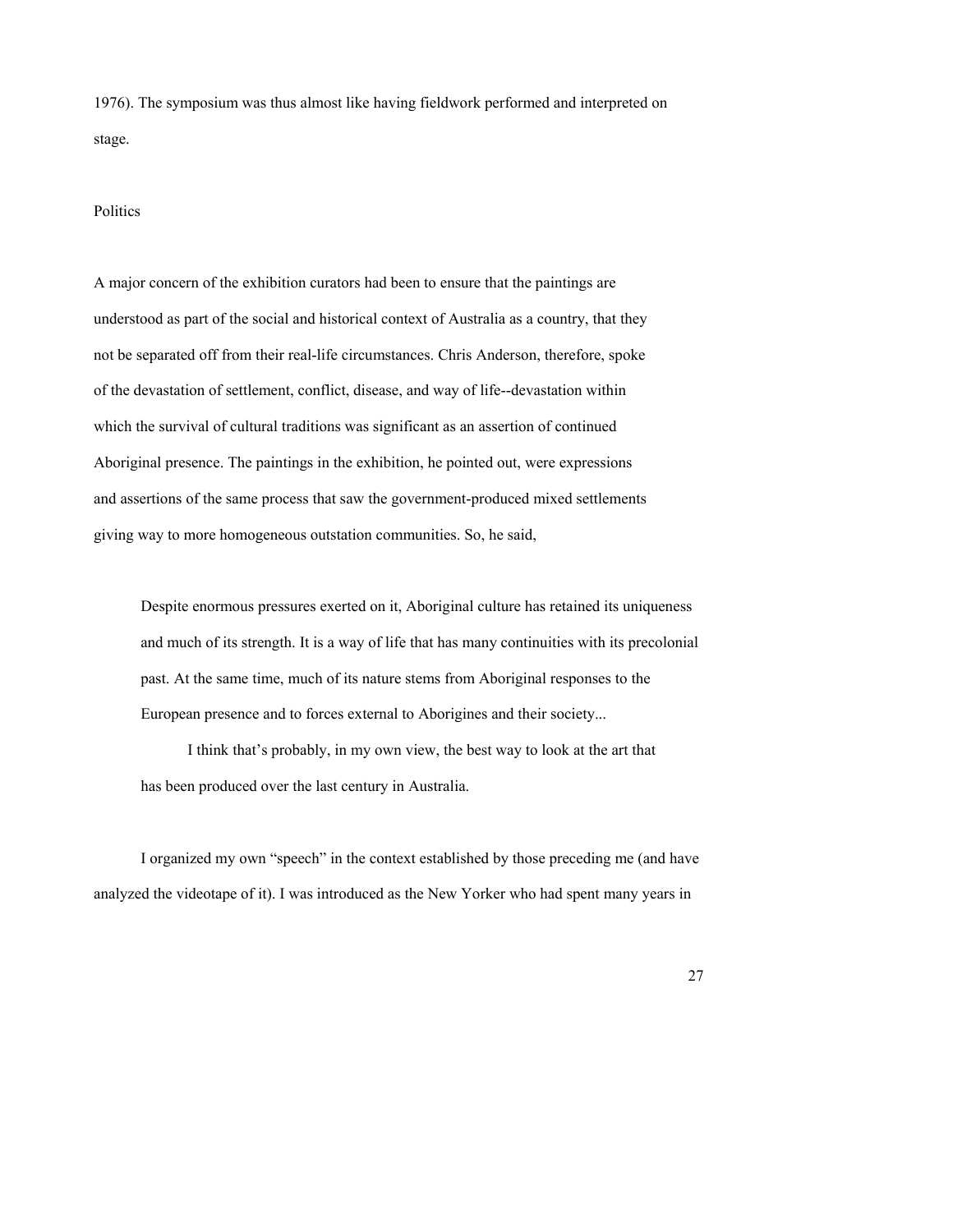1976). The symposium was thus almost like having fieldwork performed and interpreted on stage.

# **Politics**

A major concern of the exhibition curators had been to ensure that the paintings are understood as part of the social and historical context of Australia as a country, that they not be separated off from their real-life circumstances. Chris Anderson, therefore, spoke of the devastation of settlement, conflict, disease, and way of life--devastation within which the survival of cultural traditions was significant as an assertion of continued Aboriginal presence. The paintings in the exhibition, he pointed out, were expressions and assertions of the same process that saw the government-produced mixed settlements giving way to more homogeneous outstation communities. So, he said,

Despite enormous pressures exerted on it, Aboriginal culture has retained its uniqueness and much of its strength. It is a way of life that has many continuities with its precolonial past. At the same time, much of its nature stems from Aboriginal responses to the European presence and to forces external to Aborigines and their society...

 I think that's probably, in my own view, the best way to look at the art that has been produced over the last century in Australia.

 I organized my own "speech" in the context established by those preceding me (and have analyzed the videotape of it). I was introduced as the New Yorker who had spent many years in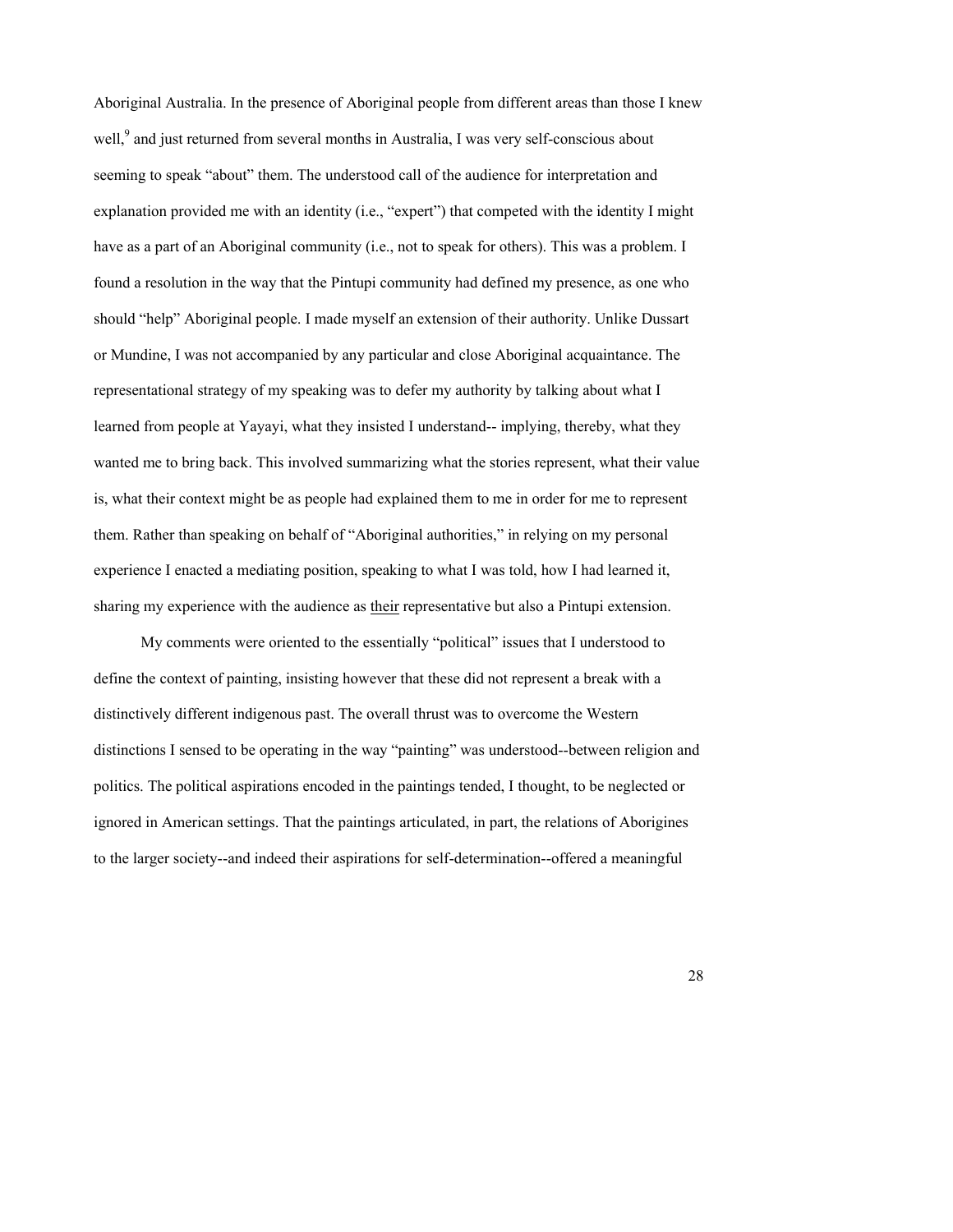Aboriginal Australia. In the presence of Aboriginal people from different areas than those I knew well,<sup>9</sup> and just returned from several months in Australia, I was very self-conscious about seeming [to](#page-49-6) speak "about" them. The understood call of the audience for interpretation and explanation provided me with an identity (i.e., "expert") that competed with the identity I might have as a part of an Aboriginal community (i.e., not to speak for others). This was a problem. I found a resolution in the way that the Pintupi community had defined my presence, as one who should "help" Aboriginal people. I made myself an extension of their authority. Unlike Dussart or Mundine, I was not accompanied by any particular and close Aboriginal acquaintance. The representational strategy of my speaking was to defer my authority by talking about what I learned from people at Yayayi, what they insisted I understand-- implying, thereby, what they wanted me to bring back. This involved summarizing what the stories represent, what their value is, what their context might be as people had explained them to me in order for me to represent them. Rather than speaking on behalf of "Aboriginal authorities," in relying on my personal experience I enacted a mediating position, speaking to what I was told, how I had learned it, sharing my experience with the audience as their representative but also a Pintupi extension.

 My comments were oriented to the essentially "political" issues that I understood to define the context of painting, insisting however that these did not represent a break with a distinctively different indigenous past. The overall thrust was to overcome the Western distinctions I sensed to be operating in the way "painting" was understood--between religion and politics. The political aspirations encoded in the paintings tended, I thought, to be neglected or ignored in American settings. That the paintings articulated, in part, the relations of Aborigines to the larger society--and indeed their aspirations for self-determination--offered a meaningful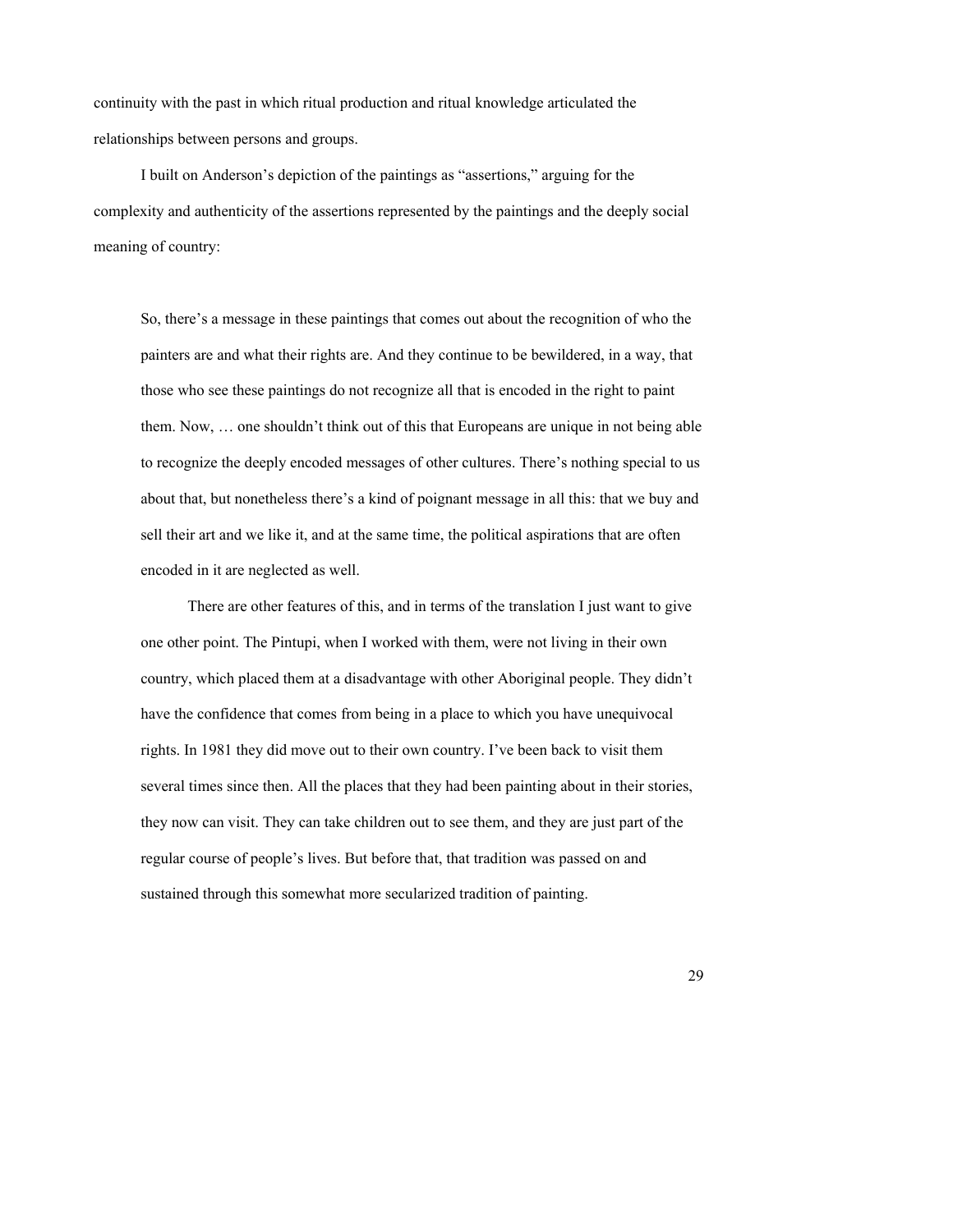continuity with the past in which ritual production and ritual knowledge articulated the relationships between persons and groups.

 I built on Anderson's depiction of the paintings as "assertions," arguing for the complexity and authenticity of the assertions represented by the paintings and the deeply social meaning of country:

So, there's a message in these paintings that comes out about the recognition of who the painters are and what their rights are. And they continue to be bewildered, in a way, that those who see these paintings do not recognize all that is encoded in the right to paint them. Now, … one shouldn't think out of this that Europeans are unique in not being able to recognize the deeply encoded messages of other cultures. There's nothing special to us about that, but nonetheless there's a kind of poignant message in all this: that we buy and sell their art and we like it, and at the same time, the political aspirations that are often encoded in it are neglected as well.

 There are other features of this, and in terms of the translation I just want to give one other point. The Pintupi, when I worked with them, were not living in their own country, which placed them at a disadvantage with other Aboriginal people. They didn't have the confidence that comes from being in a place to which you have unequivocal rights. In 1981 they did move out to their own country. I've been back to visit them several times since then. All the places that they had been painting about in their stories, they now can visit. They can take children out to see them, and they are just part of the regular course of people's lives. But before that, that tradition was passed on and sustained through this somewhat more secularized tradition of painting.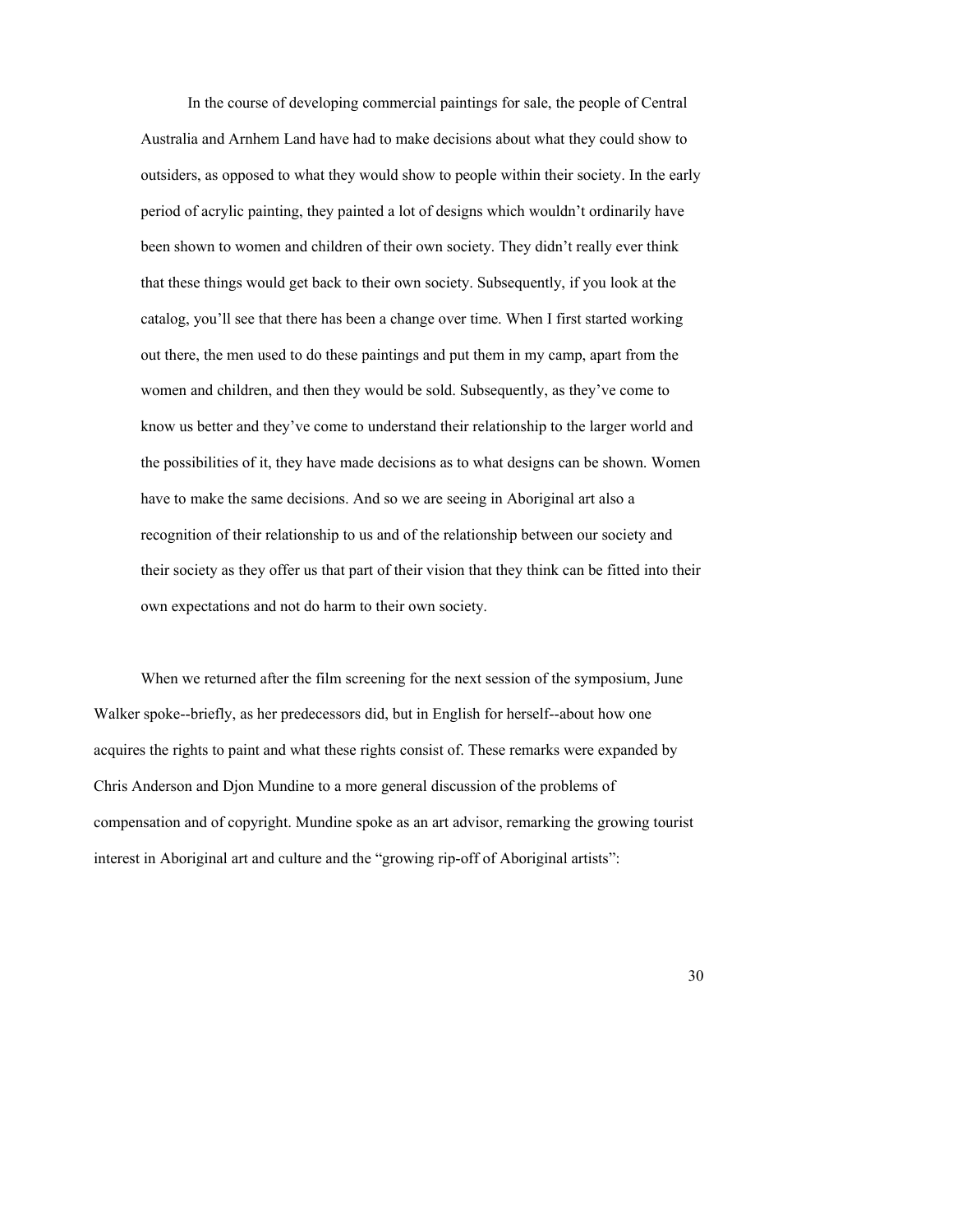In the course of developing commercial paintings for sale, the people of Central Australia and Arnhem Land have had to make decisions about what they could show to outsiders, as opposed to what they would show to people within their society. In the early period of acrylic painting, they painted a lot of designs which wouldn't ordinarily have been shown to women and children of their own society. They didn't really ever think that these things would get back to their own society. Subsequently, if you look at the catalog, you'll see that there has been a change over time. When I first started working out there, the men used to do these paintings and put them in my camp, apart from the women and children, and then they would be sold. Subsequently, as they've come to know us better and they've come to understand their relationship to the larger world and the possibilities of it, they have made decisions as to what designs can be shown. Women have to make the same decisions. And so we are seeing in Aboriginal art also a recognition of their relationship to us and of the relationship between our society and their society as they offer us that part of their vision that they think can be fitted into their own expectations and not do harm to their own society.

 When we returned after the film screening for the next session of the symposium, June Walker spoke--briefly, as her predecessors did, but in English for herself--about how one acquires the rights to paint and what these rights consist of. These remarks were expanded by Chris Anderson and Djon Mundine to a more general discussion of the problems of compensation and of copyright. Mundine spoke as an art advisor, remarking the growing tourist interest in Aboriginal art and culture and the "growing rip-off of Aboriginal artists":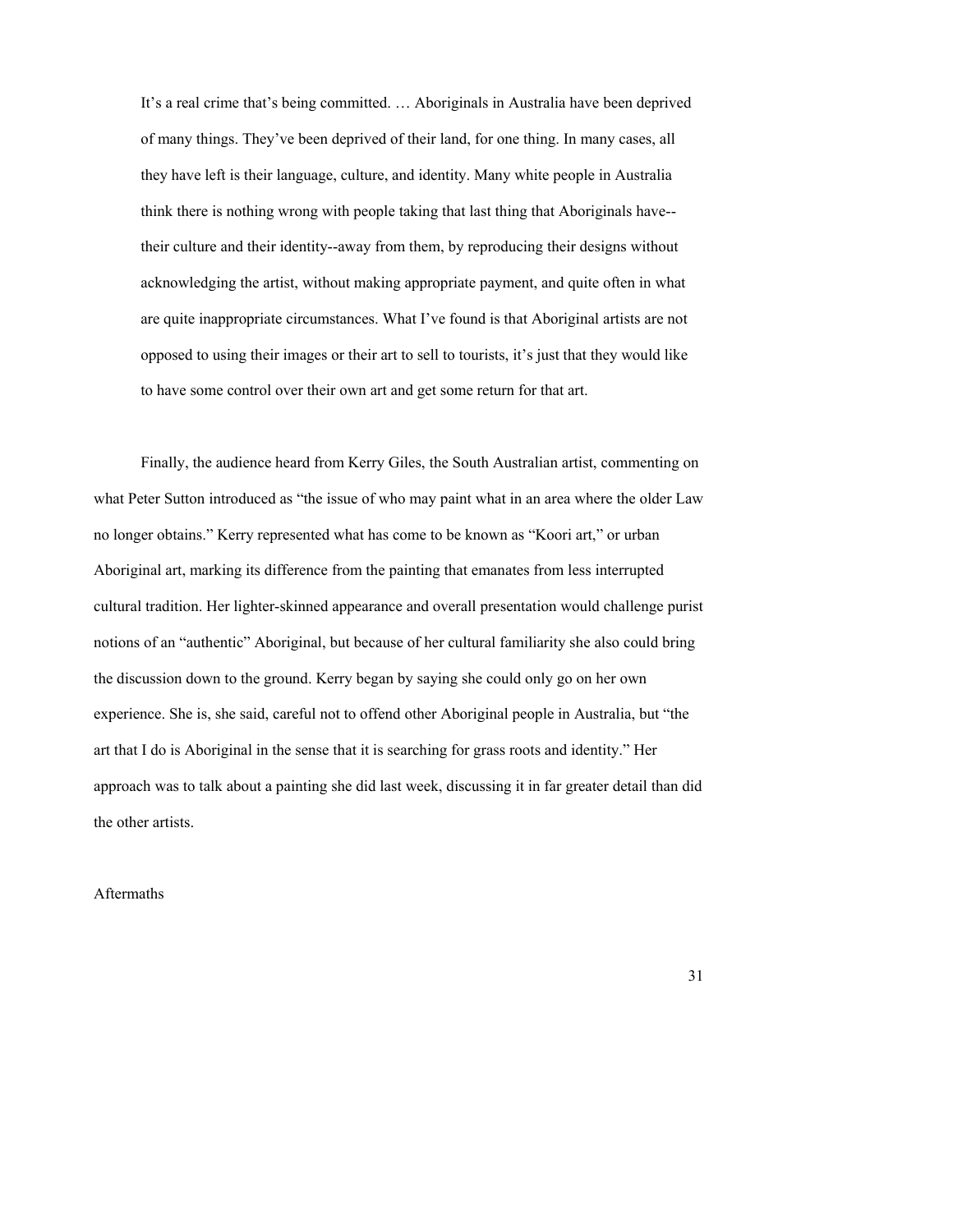It's a real crime that's being committed. … Aboriginals in Australia have been deprived of many things. They've been deprived of their land, for one thing. In many cases, all they have left is their language, culture, and identity. Many white people in Australia think there is nothing wrong with people taking that last thing that Aboriginals have- their culture and their identity--away from them, by reproducing their designs without acknowledging the artist, without making appropriate payment, and quite often in what are quite inappropriate circumstances. What I've found is that Aboriginal artists are not opposed to using their images or their art to sell to tourists, it's just that they would like to have some control over their own art and get some return for that art.

 Finally, the audience heard from Kerry Giles, the South Australian artist, commenting on what Peter Sutton introduced as "the issue of who may paint what in an area where the older Law no longer obtains." Kerry represented what has come to be known as "Koori art," or urban Aboriginal art, marking its difference from the painting that emanates from less interrupted cultural tradition. Her lighter-skinned appearance and overall presentation would challenge purist notions of an "authentic" Aboriginal, but because of her cultural familiarity she also could bring the discussion down to the ground. Kerry began by saying she could only go on her own experience. She is, she said, careful not to offend other Aboriginal people in Australia, but "the art that I do is Aboriginal in the sense that it is searching for grass roots and identity." Her approach was to talk about a painting she did last week, discussing it in far greater detail than did the other artists.

## Aftermaths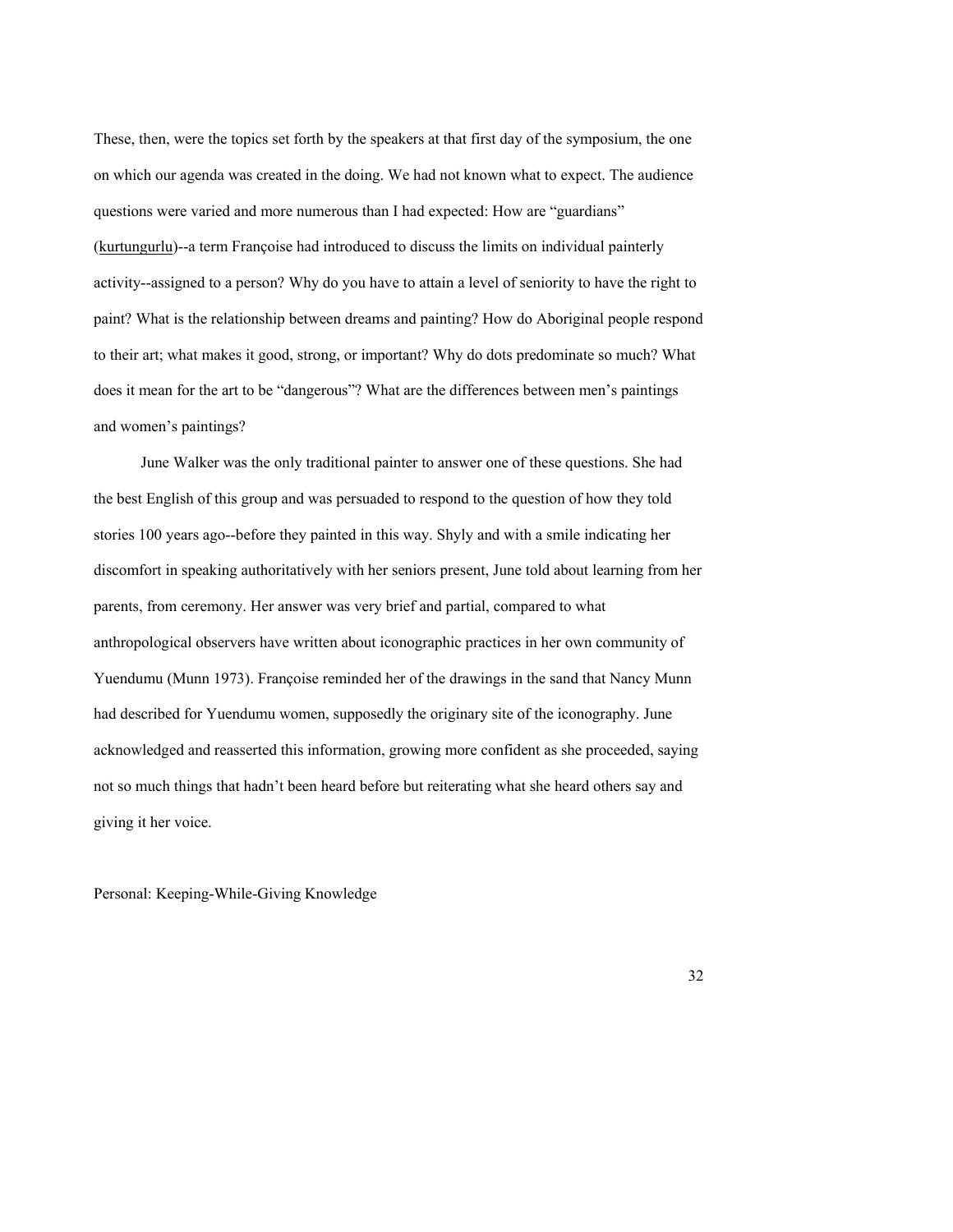These, then, were the topics set forth by the speakers at that first day of the symposium, the one on which our agenda was created in the doing. We had not known what to expect. The audience questions were varied and more numerous than I had expected: How are "guardians" (kurtungurlu)--a term Françoise had introduced to discuss the limits on individual painterly activity--assigned to a person? Why do you have to attain a level of seniority to have the right to paint? What is the relationship between dreams and painting? How do Aboriginal people respond to their art; what makes it good, strong, or important? Why do dots predominate so much? What does it mean for the art to be "dangerous"? What are the differences between men's paintings and women's paintings?

 June Walker was the only traditional painter to answer one of these questions. She had the best English of this group and was persuaded to respond to the question of how they told stories 100 years ago--before they painted in this way. Shyly and with a smile indicating her discomfort in speaking authoritatively with her seniors present, June told about learning from her parents, from ceremony. Her answer was very brief and partial, compared to what anthropological observers have written about iconographic practices in her own community of Yuendumu (Munn 1973). Françoise reminded her of the drawings in the sand that Nancy Munn had described for Yuendumu women, supposedly the originary site of the iconography. June acknowledged and reasserted this information, growing more confident as she proceeded, saying not so much things that hadn't been heard before but reiterating what she heard others say and giving it her voice.

Personal: Keeping-While-Giving Knowledge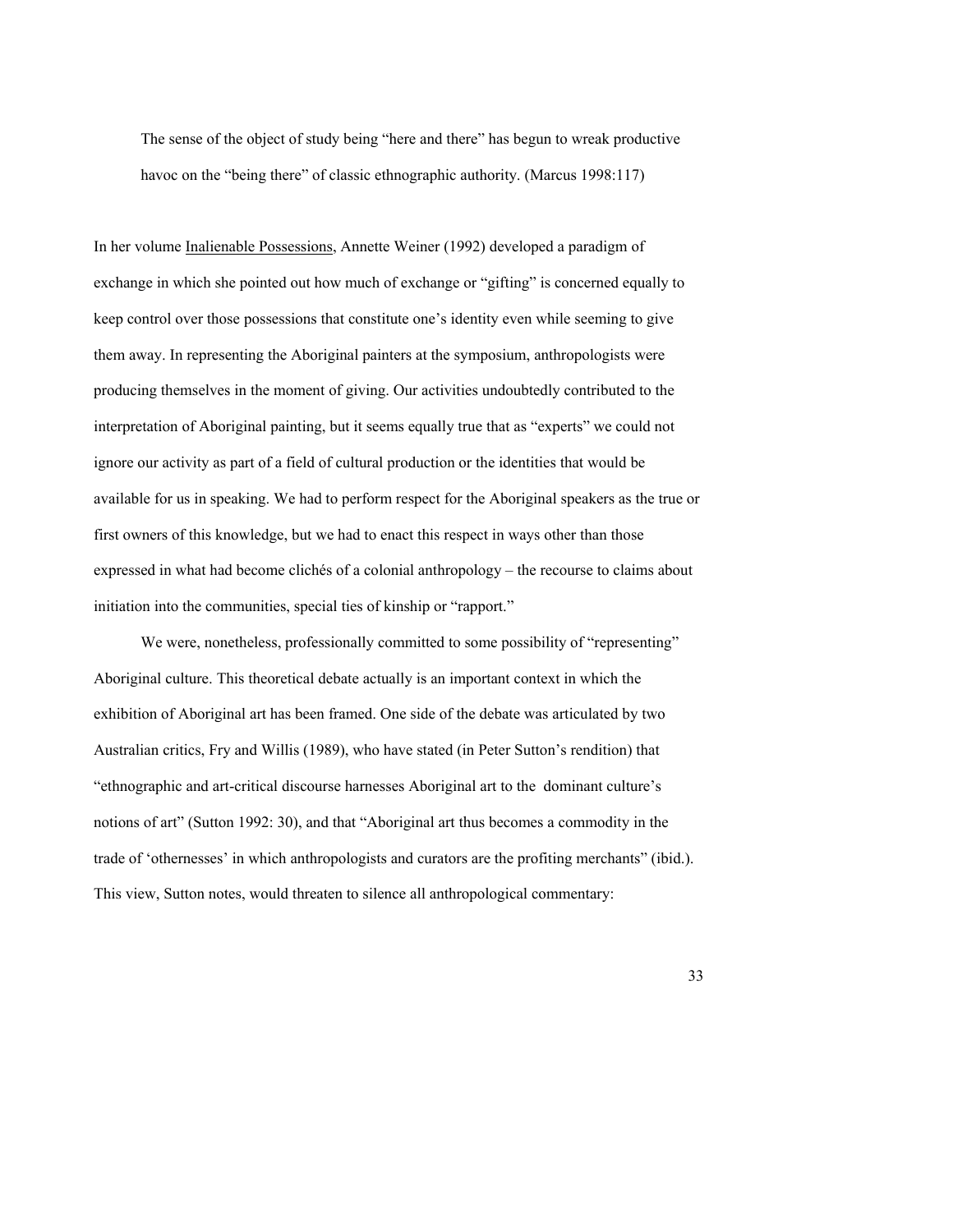The sense of the object of study being "here and there" has begun to wreak productive havoc on the "being there" of classic ethnographic authority. (Marcus 1998:117)

In her volume Inalienable Possessions, Annette Weiner (1992) developed a paradigm of exchange in which she pointed out how much of exchange or "gifting" is concerned equally to keep control over those possessions that constitute one's identity even while seeming to give them away. In representing the Aboriginal painters at the symposium, anthropologists were producing themselves in the moment of giving. Our activities undoubtedly contributed to the interpretation of Aboriginal painting, but it seems equally true that as "experts" we could not ignore our activity as part of a field of cultural production or the identities that would be available for us in speaking. We had to perform respect for the Aboriginal speakers as the true or first owners of this knowledge, but we had to enact this respect in ways other than those expressed in what had become clichés of a colonial anthropology – the recourse to claims about initiation into the communities, special ties of kinship or "rapport."

We were, nonetheless, professionally committed to some possibility of "representing" Aboriginal culture. This theoretical debate actually is an important context in which the exhibition of Aboriginal art has been framed. One side of the debate was articulated by two Australian critics, Fry and Willis (1989), who have stated (in Peter Sutton's rendition) that "ethnographic and art-critical discourse harnesses Aboriginal art to the dominant culture's notions of art" (Sutton 1992: 30), and that "Aboriginal art thus becomes a commodity in the trade of 'othernesses' in which anthropologists and curators are the profiting merchants" (ibid.). This view, Sutton notes, would threaten to silence all anthropological commentary: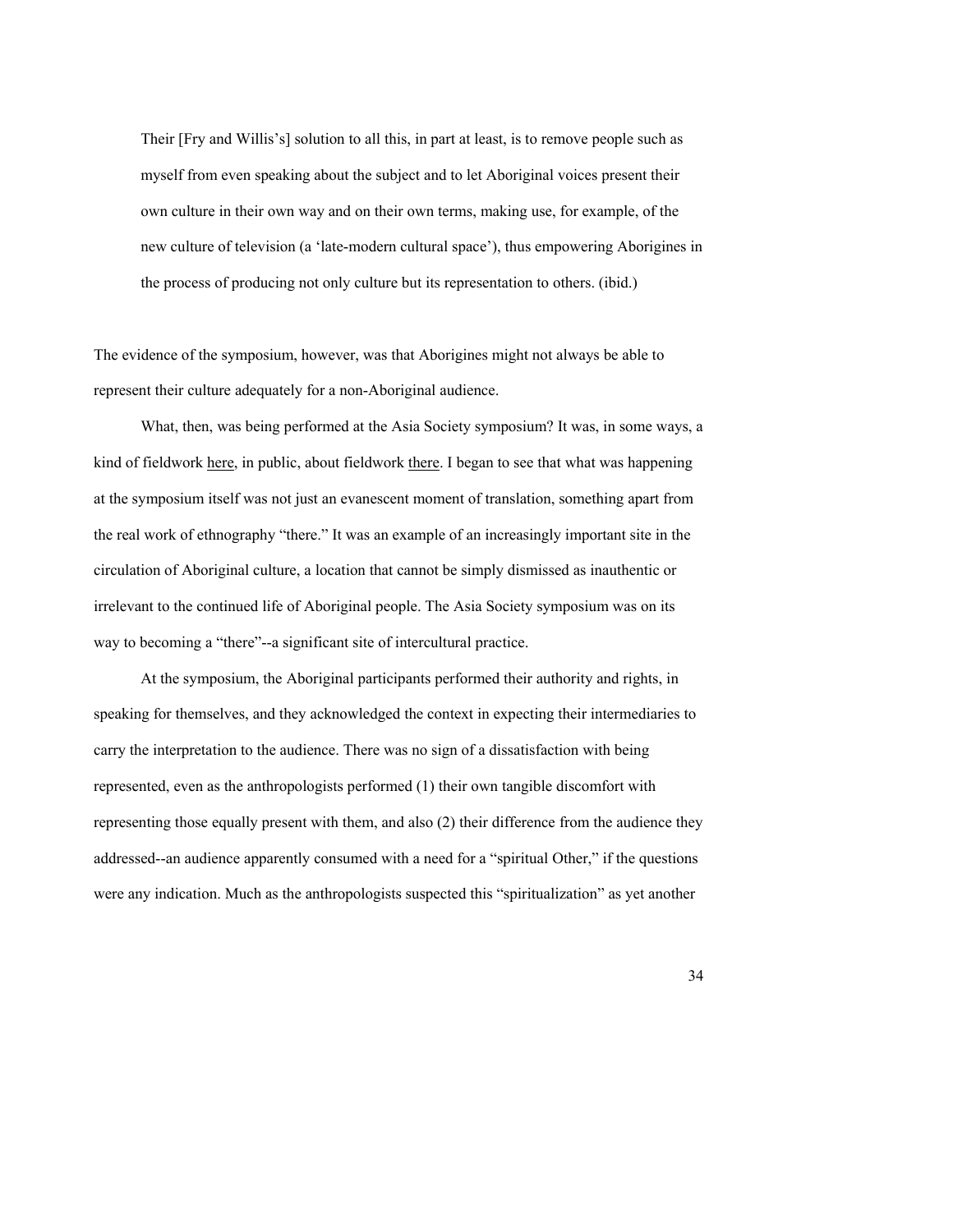Their [Fry and Willis's] solution to all this, in part at least, is to remove people such as myself from even speaking about the subject and to let Aboriginal voices present their own culture in their own way and on their own terms, making use, for example, of the new culture of television (a 'late-modern cultural space'), thus empowering Aborigines in the process of producing not only culture but its representation to others. (ibid.)

The evidence of the symposium, however, was that Aborigines might not always be able to represent their culture adequately for a non-Aboriginal audience.

 What, then, was being performed at the Asia Society symposium? It was, in some ways, a kind of fieldwork here, in public, about fieldwork there. I began to see that what was happening at the symposium itself was not just an evanescent moment of translation, something apart from the real work of ethnography "there." It was an example of an increasingly important site in the circulation of Aboriginal culture, a location that cannot be simply dismissed as inauthentic or irrelevant to the continued life of Aboriginal people. The Asia Society symposium was on its way to becoming a "there"--a significant site of intercultural practice.

 At the symposium, the Aboriginal participants performed their authority and rights, in speaking for themselves, and they acknowledged the context in expecting their intermediaries to carry the interpretation to the audience. There was no sign of a dissatisfaction with being represented, even as the anthropologists performed (1) their own tangible discomfort with representing those equally present with them, and also (2) their difference from the audience they addressed--an audience apparently consumed with a need for a "spiritual Other," if the questions were any indication. Much as the anthropologists suspected this "spiritualization" as yet another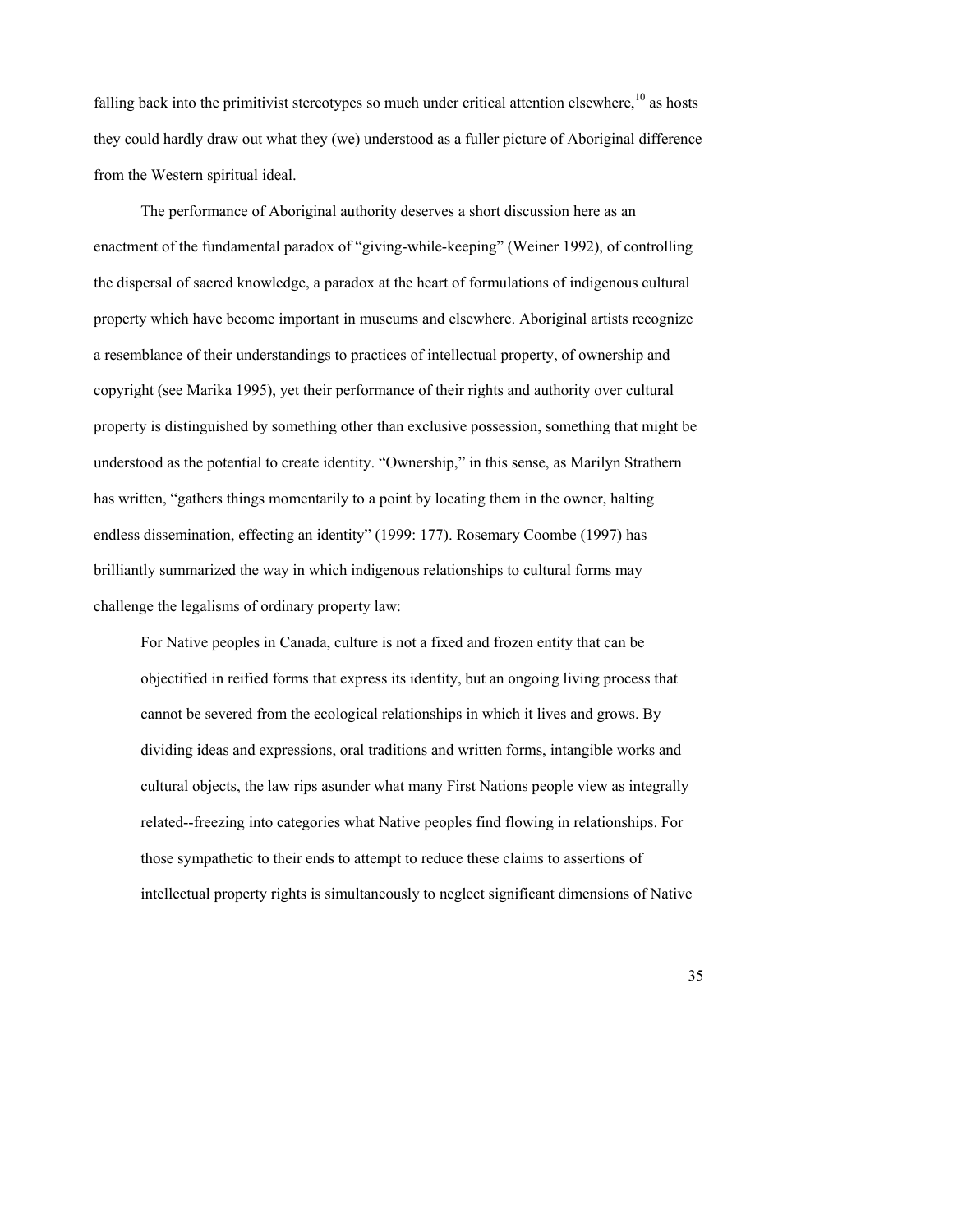falling back into the primitivist stereotypes so much under critical attention elsewhere,<sup>10</sup> as hosts they could hardly draw out what they (we) understood as a fuller picture of Aboriginal difference from the Western spiritual ideal.

 The performance of Aboriginal authority deserves a short discussion here as an enactment of the fundamental paradox of "giving-while-keeping" (Weiner 1992), of controlling the dispersal of sacred knowledge, a paradox at the heart of formulations of indigenous cultural property which have become important in museums and elsewhere. Aboriginal artists recognize a resemblance of their understandings to practices of intellectual property, of ownership and copyright (see Marika 1995), yet their performance of their rights and authority over cultural property is distinguished by something other than exclusive possession, something that might be understood as the potential to create identity. "Ownership," in this sense, as Marilyn Strathern has written, "gathers things momentarily to a point by locating them in the owner, halting endless dissemination, effecting an identity" (1999: 177). Rosemary Coombe (1997) has brilliantly summarized the way in which indigenous relationships to cultural forms may challenge the legalisms of ordinary property law:

For Native peoples in Canada, culture is not a fixed and frozen entity that can be objectified in reified forms that express its identity, but an ongoing living process that cannot be severed from the ecological relationships in which it lives and grows. By dividing ideas and expressions, oral traditions and written forms, intangible works and cultural objects, the law rips asunder what many First Nations people view as integrally related--freezing into categories what Native peoples find flowing in relationships. For those sympathetic to their ends to attempt to reduce these claims to assertions of intellectual property rights is simultaneously to neglect significant dimensions of Native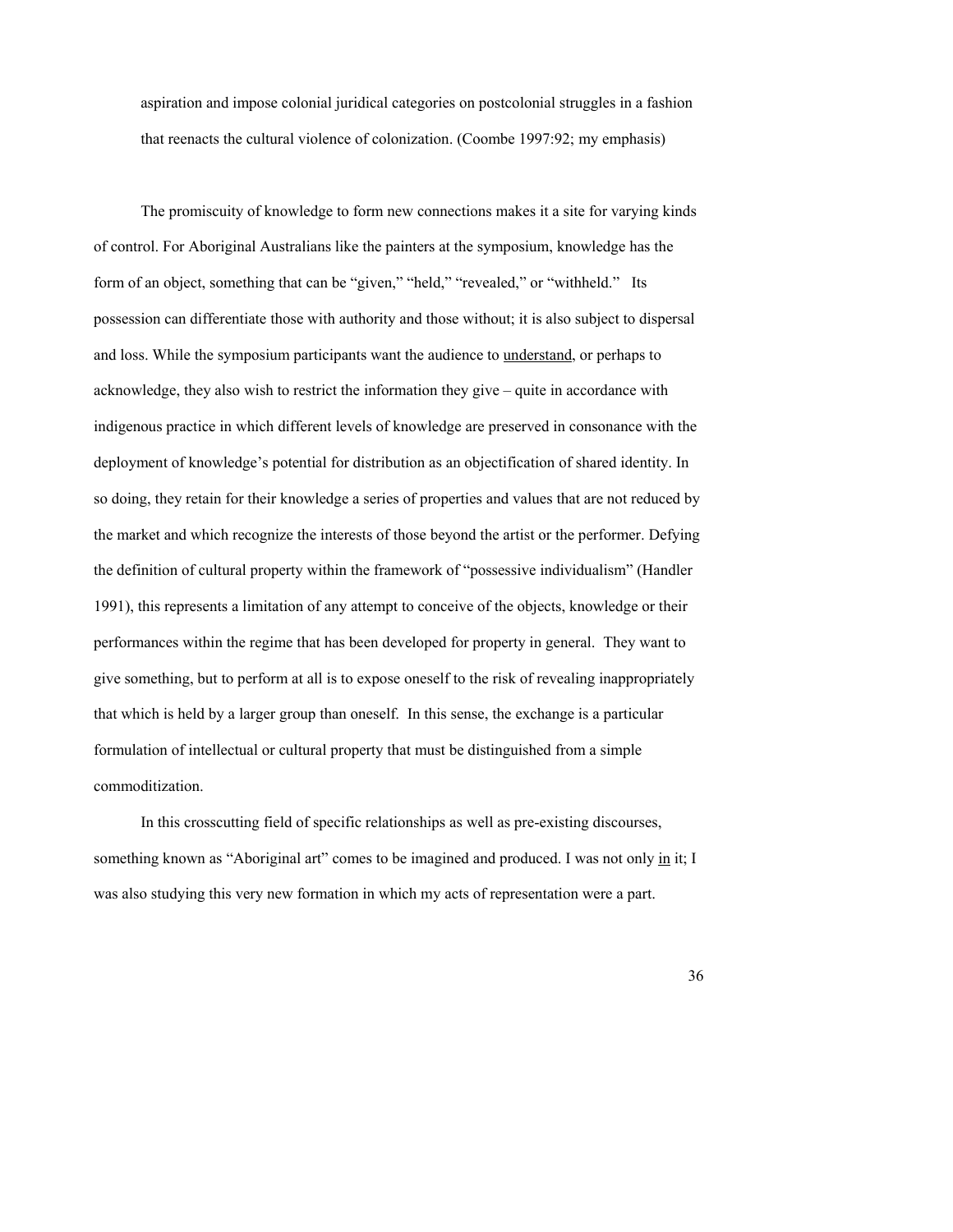aspiration and impose colonial juridical categories on postcolonial struggles in a fashion that reenacts the cultural violence of colonization. (Coombe 1997:92; my emphasis)

 The promiscuity of knowledge to form new connections makes it a site for varying kinds of control. For Aboriginal Australians like the painters at the symposium, knowledge has the form of an object, something that can be "given," "held," "revealed," or "withheld." Its possession can differentiate those with authority and those without; it is also subject to dispersal and loss. While the symposium participants want the audience to understand, or perhaps to acknowledge, they also wish to restrict the information they give – quite in accordance with indigenous practice in which different levels of knowledge are preserved in consonance with the deployment of knowledge's potential for distribution as an objectification of shared identity. In so doing, they retain for their knowledge a series of properties and values that are not reduced by the market and which recognize the interests of those beyond the artist or the performer. Defying the definition of cultural property within the framework of "possessive individualism" (Handler 1991), this represents a limitation of any attempt to conceive of the objects, knowledge or their performances within the regime that has been developed for property in general. They want to give something, but to perform at all is to expose oneself to the risk of revealing inappropriately that which is held by a larger group than oneself. In this sense, the exchange is a particular formulation of intellectual or cultural property that must be distinguished from a simple commoditization.

 In this crosscutting field of specific relationships as well as pre-existing discourses, something known as "Aboriginal art" comes to be imagined and produced. I was not only in it; I was also studying this very new formation in which my acts of representation were a part.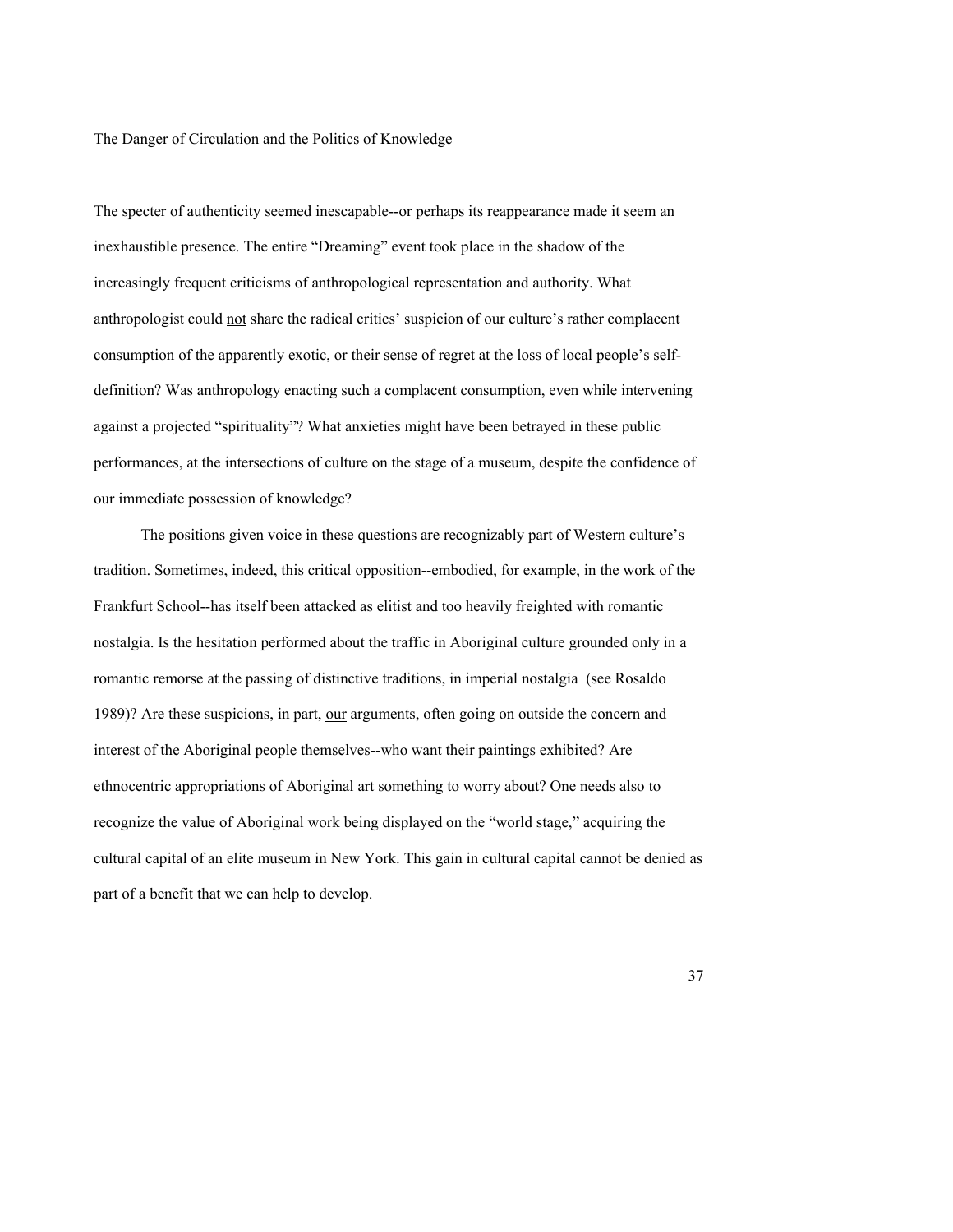The Danger of Circulation and the Politics of Knowledge

The specter of authenticity seemed inescapable--or perhaps its reappearance made it seem an inexhaustible presence. The entire "Dreaming" event took place in the shadow of the increasingly frequent criticisms of anthropological representation and authority. What anthropologist could not share the radical critics' suspicion of our culture's rather complacent consumption of the apparently exotic, or their sense of regret at the loss of local people's selfdefinition? Was anthropology enacting such a complacent consumption, even while intervening against a projected "spirituality"? What anxieties might have been betrayed in these public performances, at the intersections of culture on the stage of a museum, despite the confidence of our immediate possession of knowledge?

 The positions given voice in these questions are recognizably part of Western culture's tradition. Sometimes, indeed, this critical opposition--embodied, for example, in the work of the Frankfurt School--has itself been attacked as elitist and too heavily freighted with romantic nostalgia. Is the hesitation performed about the traffic in Aboriginal culture grounded only in a romantic remorse at the passing of distinctive traditions, in imperial nostalgia (see Rosaldo 1989)? Are these suspicions, in part, our arguments, often going on outside the concern and interest of the Aboriginal people themselves--who want their paintings exhibited? Are ethnocentric appropriations of Aboriginal art something to worry about? One needs also to recognize the value of Aboriginal work being displayed on the "world stage," acquiring the cultural capital of an elite museum in New York. This gain in cultural capital cannot be denied as part of a benefit that we can help to develop.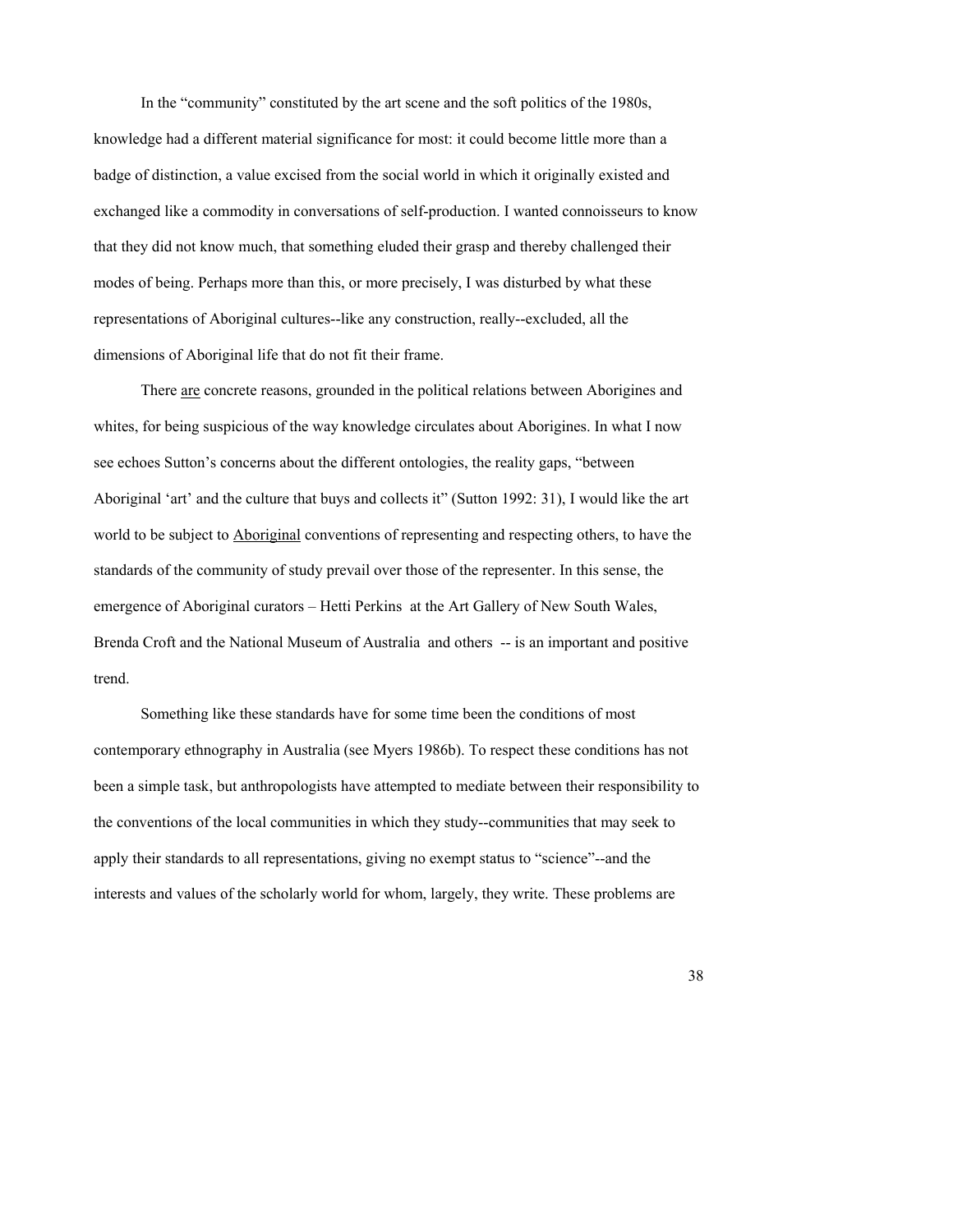In the "community" constituted by the art scene and the soft politics of the 1980s, knowledge had a different material significance for most: it could become little more than a badge of distinction, a value excised from the social world in which it originally existed and exchanged like a commodity in conversations of self-production. I wanted connoisseurs to know that they did not know much, that something eluded their grasp and thereby challenged their modes of being. Perhaps more than this, or more precisely, I was disturbed by what these representations of Aboriginal cultures--like any construction, really--excluded, all the dimensions of Aboriginal life that do not fit their frame.

 There are concrete reasons, grounded in the political relations between Aborigines and whites, for being suspicious of the way knowledge circulates about Aborigines. In what I now see echoes Sutton's concerns about the different ontologies, the reality gaps, "between Aboriginal 'art' and the culture that buys and collects it" (Sutton 1992: 31), I would like the art world to be subject to Aboriginal conventions of representing and respecting others, to have the standards of the community of study prevail over those of the representer. In this sense, the emergence of Aboriginal curators – Hetti Perkins at the Art Gallery of New South Wales, Brenda Croft and the National Museum of Australia and others -- is an important and positive trend.

 Something like these standards have for some time been the conditions of most contemporary ethnography in Australia (see Myers 1986b). To respect these conditions has not been a simple task, but anthropologists have attempted to mediate between their responsibility to the conventions of the local communities in which they study--communities that may seek to apply their standards to all representations, giving no exempt status to "science"--and the interests and values of the scholarly world for whom, largely, they write. These problems are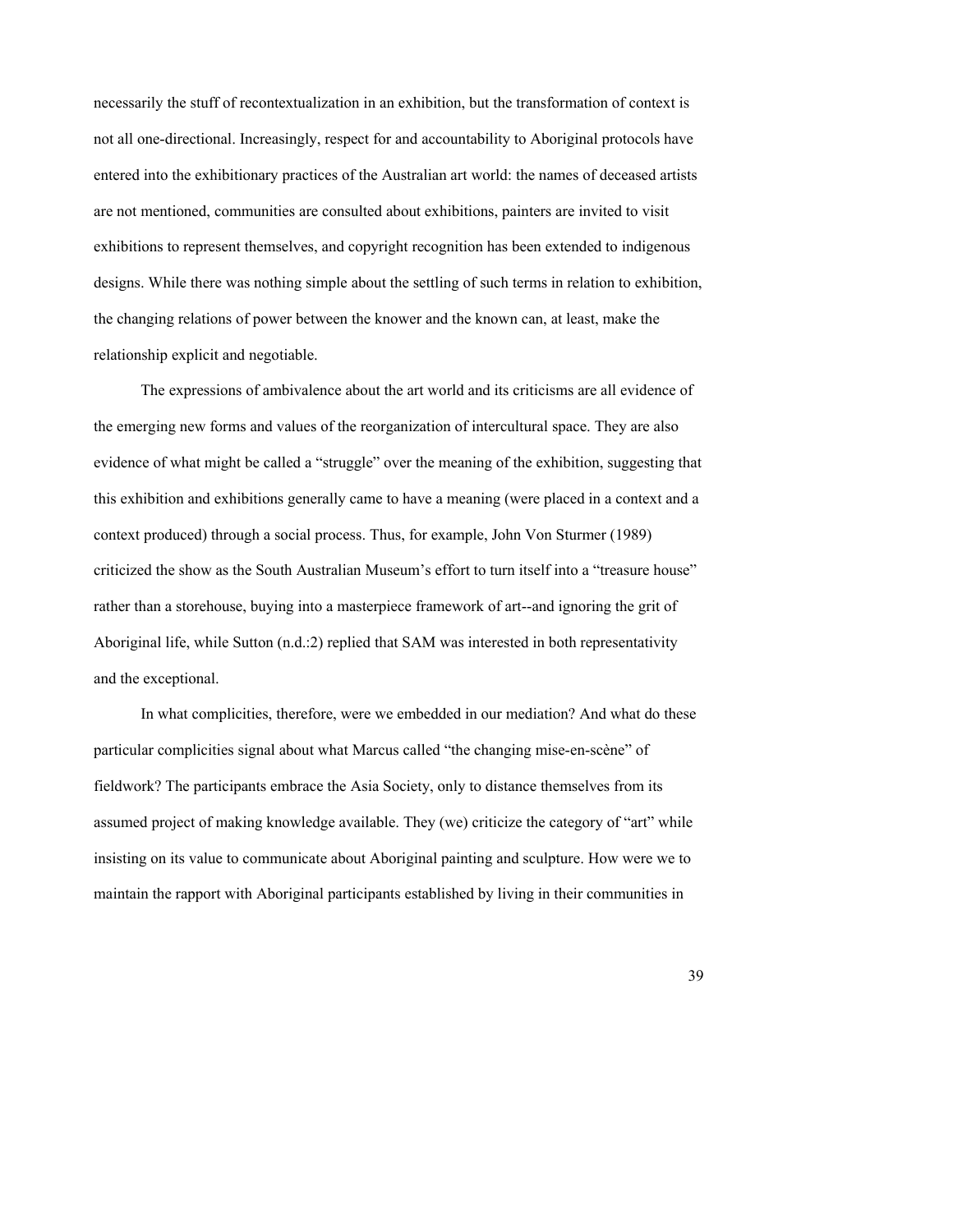necessarily the stuff of recontextualization in an exhibition, but the transformation of context is not all one-directional. Increasingly, respect for and accountability to Aboriginal protocols have entered into the exhibitionary practices of the Australian art world: the names of deceased artists are not mentioned, communities are consulted about exhibitions, painters are invited to visit exhibitions to represent themselves, and copyright recognition has been extended to indigenous designs. While there was nothing simple about the settling of such terms in relation to exhibition, the changing relations of power between the knower and the known can, at least, make the relationship explicit and negotiable.

 The expressions of ambivalence about the art world and its criticisms are all evidence of the emerging new forms and values of the reorganization of intercultural space. They are also evidence of what might be called a "struggle" over the meaning of the exhibition, suggesting that this exhibition and exhibitions generally came to have a meaning (were placed in a context and a context produced) through a social process. Thus, for example, John Von Sturmer (1989) criticized the show as the South Australian Museum's effort to turn itself into a "treasure house" rather than a storehouse, buying into a masterpiece framework of art--and ignoring the grit of Aboriginal life, while Sutton (n.d.:2) replied that SAM was interested in both representativity and the exceptional.

 In what complicities, therefore, were we embedded in our mediation? And what do these particular complicities signal about what Marcus called "the changing mise-en-scène" of fieldwork? The participants embrace the Asia Society, only to distance themselves from its assumed project of making knowledge available. They (we) criticize the category of "art" while insisting on its value to communicate about Aboriginal painting and sculpture. How were we to maintain the rapport with Aboriginal participants established by living in their communities in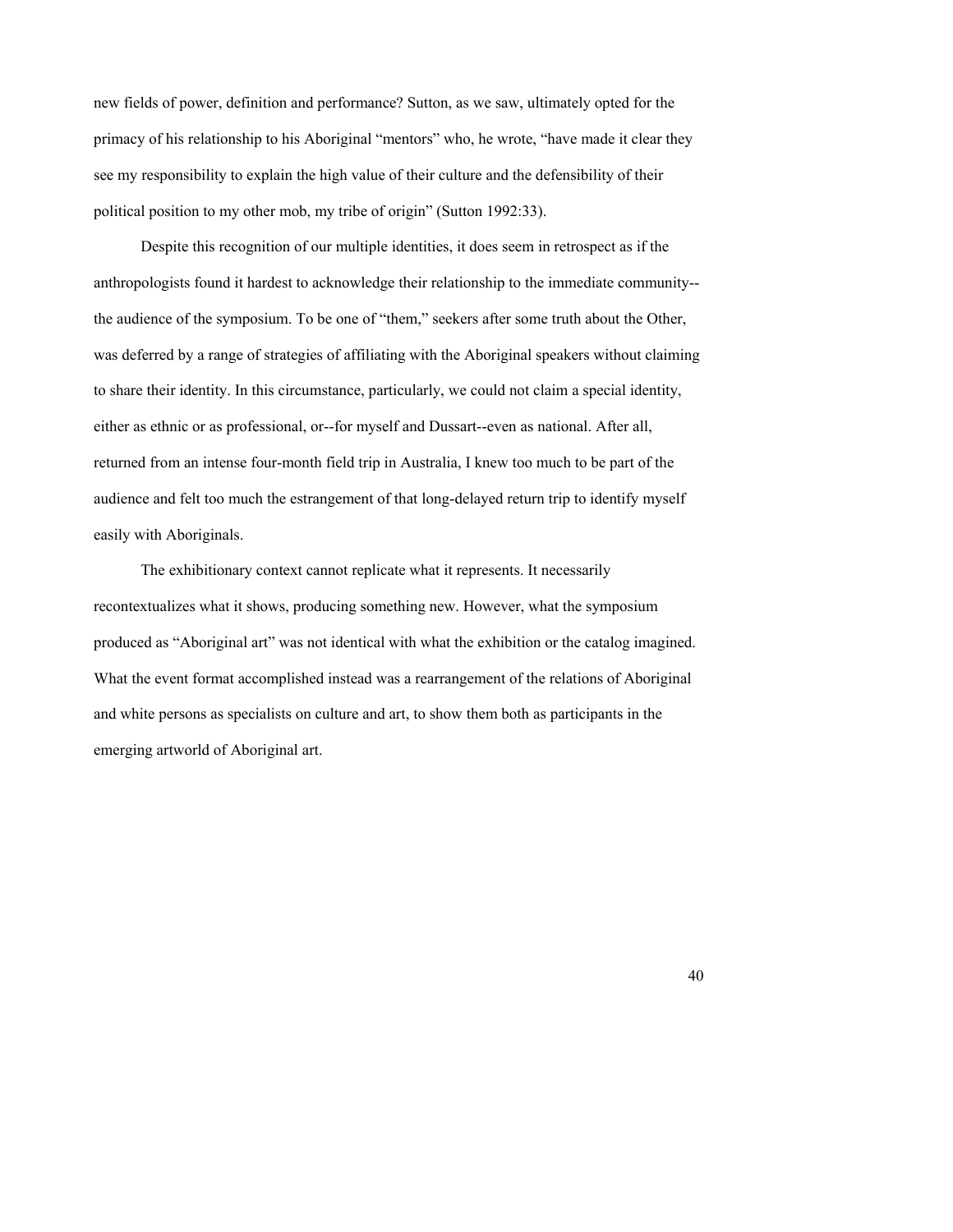new fields of power, definition and performance? Sutton, as we saw, ultimately opted for the primacy of his relationship to his Aboriginal "mentors" who, he wrote, "have made it clear they see my responsibility to explain the high value of their culture and the defensibility of their political position to my other mob, my tribe of origin" (Sutton 1992:33).

 Despite this recognition of our multiple identities, it does seem in retrospect as if the anthropologists found it hardest to acknowledge their relationship to the immediate community- the audience of the symposium. To be one of "them," seekers after some truth about the Other, was deferred by a range of strategies of affiliating with the Aboriginal speakers without claiming to share their identity. In this circumstance, particularly, we could not claim a special identity, either as ethnic or as professional, or--for myself and Dussart--even as national. After all, returned from an intense four-month field trip in Australia, I knew too much to be part of the audience and felt too much the estrangement of that long-delayed return trip to identify myself easily with Aboriginals.

 The exhibitionary context cannot replicate what it represents. It necessarily recontextualizes what it shows, producing something new. However, what the symposium produced as "Aboriginal art" was not identical with what the exhibition or the catalog imagined. What the event format accomplished instead was a rearrangement of the relations of Aboriginal and white persons as specialists on culture and art, to show them both as participants in the emerging artworld of Aboriginal art.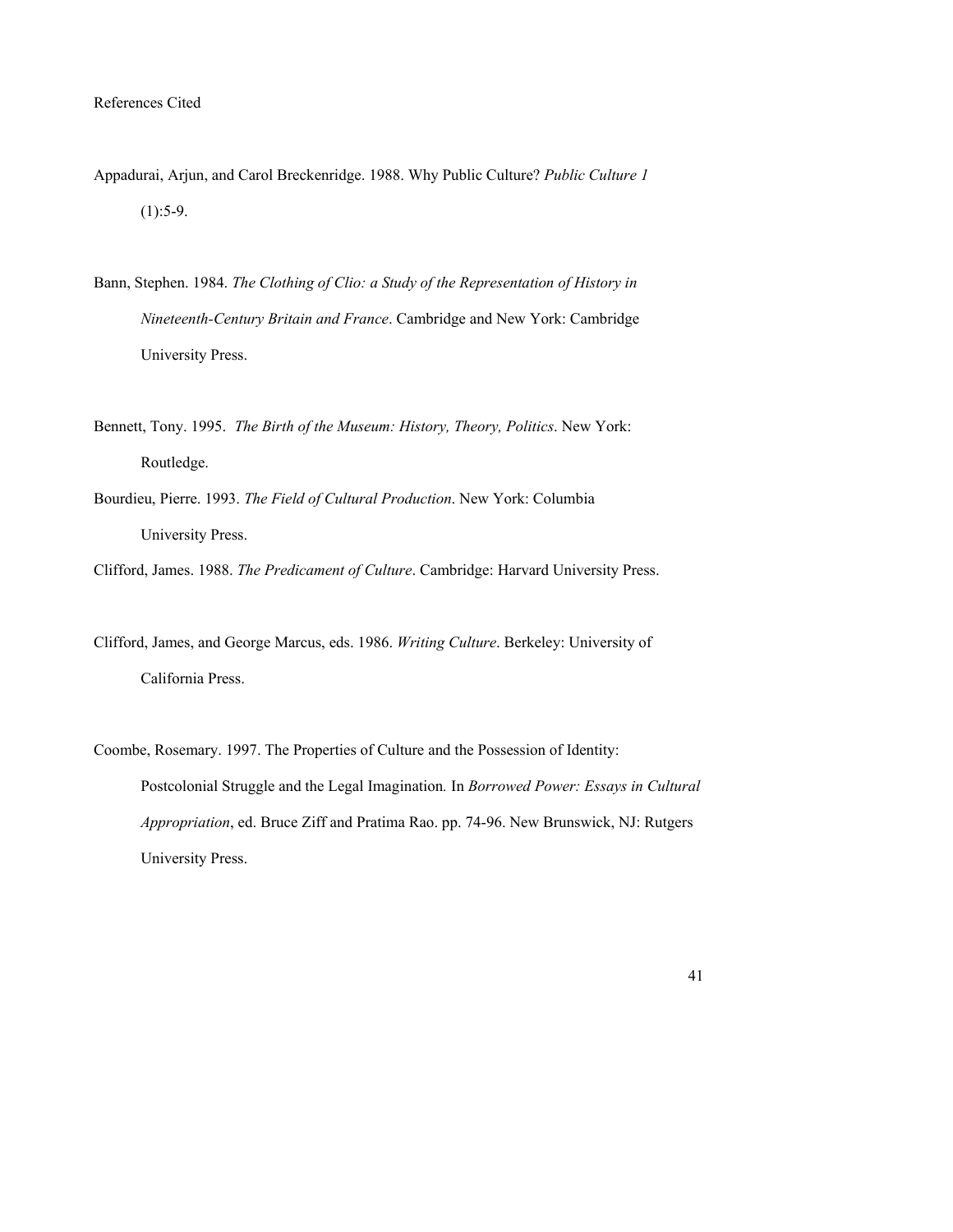- Appadurai, Arjun, and Carol Breckenridge. 1988. Why Public Culture? *Public Culture 1*  $(1):5-9.$
- Bann, Stephen. 1984. *The Clothing of Clio: a Study of the Representation of History in Nineteenth-Century Britain and France*. Cambridge and New York: Cambridge University Press.
- Bennett, Tony. 1995. *The Birth of the Museum: History, Theory, Politics*. New York: Routledge.
- Bourdieu, Pierre. 1993. *The Field of Cultural Production*. New York: Columbia University Press.

Clifford, James. 1988. *The Predicament of Culture*. Cambridge: Harvard University Press.

- Clifford, James, and George Marcus, eds. 1986. *Writing Culture*. Berkeley: University of California Press.
- Coombe, Rosemary. 1997. The Properties of Culture and the Possession of Identity: Postcolonial Struggle and the Legal Imagination*.* In *Borrowed Power: Essays in Cultural Appropriation*, ed. Bruce Ziff and Pratima Rao. pp. 74-96. New Brunswick, NJ: Rutgers University Press.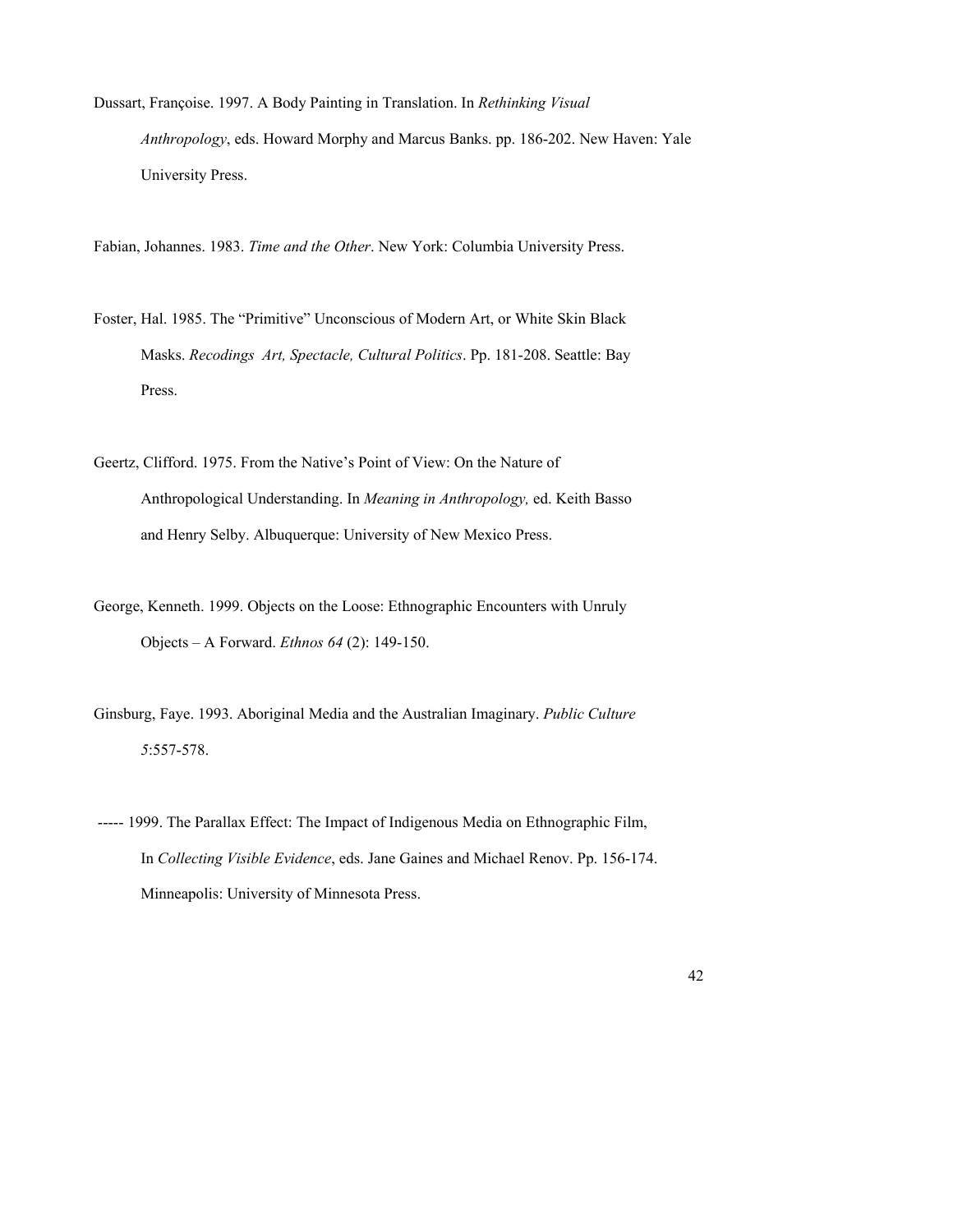Dussart, Françoise. 1997. A Body Painting in Translation. In *Rethinking Visual Anthropology*, eds. Howard Morphy and Marcus Banks. pp. 186-202. New Haven: Yale University Press.

Fabian, Johannes. 1983. *Time and the Other*. New York: Columbia University Press.

- Foster, Hal. 1985. The "Primitive" Unconscious of Modern Art, or White Skin Black Masks. *Recodings Art, Spectacle, Cultural Politics*. Pp. 181-208. Seattle: Bay Press.
- Geertz, Clifford. 1975. From the Native's Point of View: On the Nature of Anthropological Understanding. In *Meaning in Anthropology,* ed. Keith Basso and Henry Selby. Albuquerque: University of New Mexico Press.
- George, Kenneth. 1999. Objects on the Loose: Ethnographic Encounters with Unruly Objects – A Forward. *Ethnos 64* (2): 149-150.
- Ginsburg, Faye. 1993. Aboriginal Media and the Australian Imaginary. *Public Culture 5*:557-578.
- ----- 1999. The Parallax Effect: The Impact of Indigenous Media on Ethnographic Film, In *Collecting Visible Evidence*, eds. Jane Gaines and Michael Renov. Pp. 156-174. Minneapolis: University of Minnesota Press.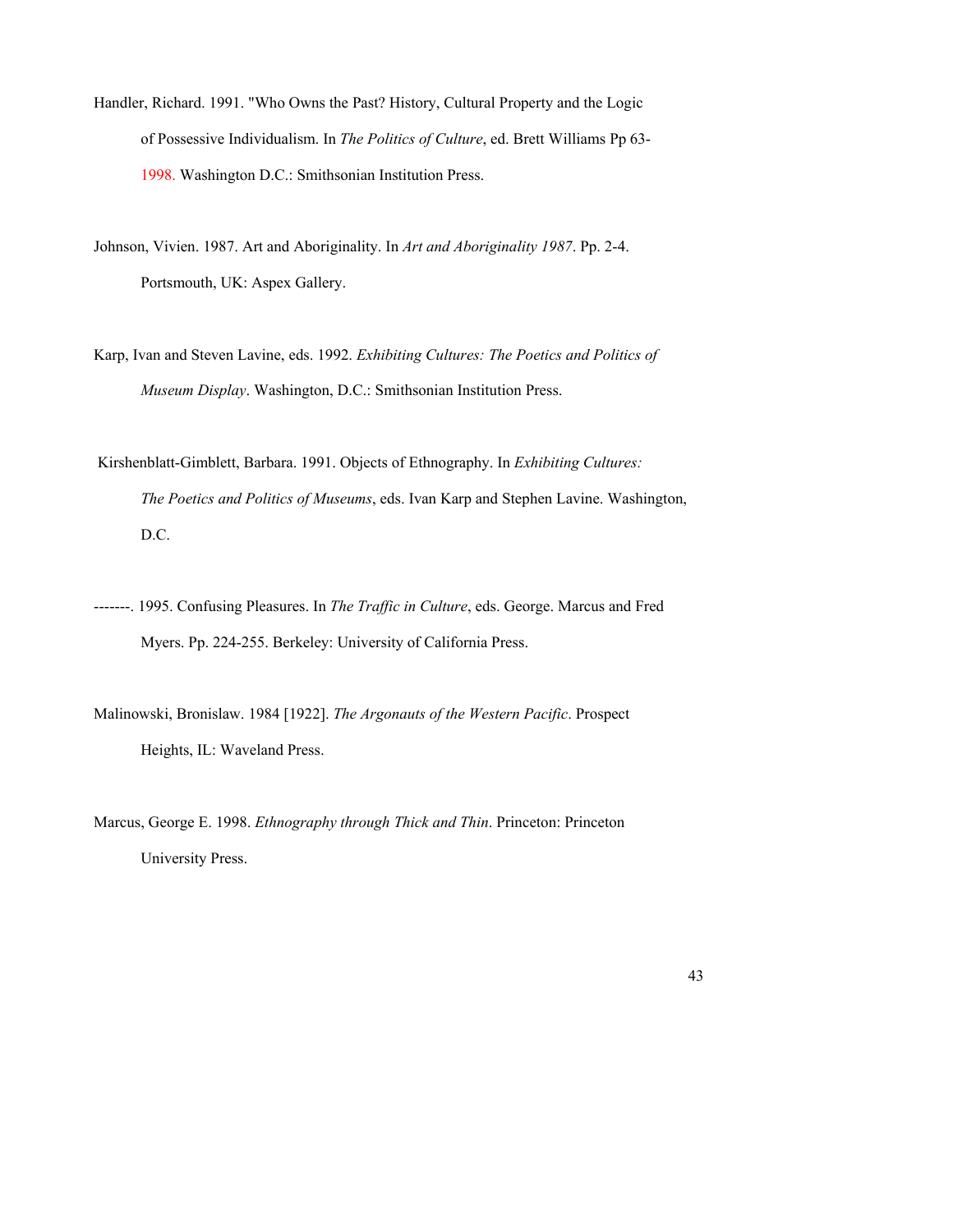- Handler, Richard. 1991. "Who Owns the Past? History, Cultural Property and the Logic of Possessive Individualism. In *The Politics of Culture*, ed. Brett Williams Pp 63- 1998. Washington D.C.: Smithsonian Institution Press.
- Johnson, Vivien. 1987. Art and Aboriginality. In *Art and Aboriginality 1987*. Pp. 2-4. Portsmouth, UK: Aspex Gallery.
- Karp, Ivan and Steven Lavine, eds. 1992. *Exhibiting Cultures: The Poetics and Politics of Museum Display*. Washington, D.C.: Smithsonian Institution Press.
- Kirshenblatt-Gimblett, Barbara. 1991. Objects of Ethnography. In *Exhibiting Cultures: The Poetics and Politics of Museums*, eds. Ivan Karp and Stephen Lavine. Washington, D.C.
- -------. 1995. Confusing Pleasures. In *The Traffic in Culture*, eds. George. Marcus and Fred Myers. Pp. 224-255. Berkeley: University of California Press.
- Malinowski, Bronislaw. 1984 [1922]. *The Argonauts of the Western Pacific*. Prospect Heights, IL: Waveland Press.
- Marcus, George E. 1998. *Ethnography through Thick and Thin*. Princeton: Princeton University Press.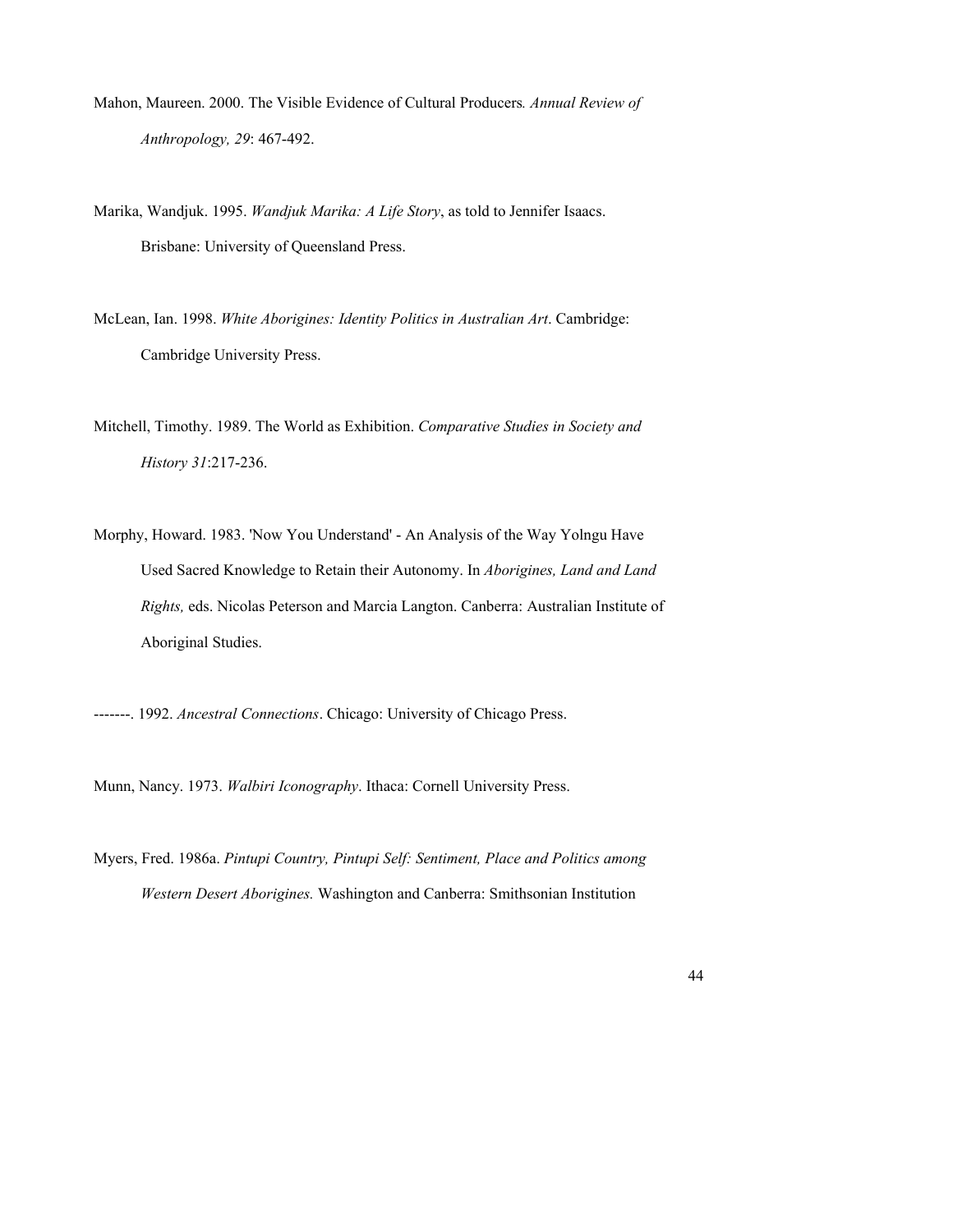- Mahon, Maureen. 2000. The Visible Evidence of Cultural Producers*. Annual Review of Anthropology, 29*: 467-492.
- Marika, Wandjuk. 1995. *Wandjuk Marika: A Life Story*, as told to Jennifer Isaacs. Brisbane: University of Queensland Press.
- McLean, Ian. 1998. *White Aborigines: Identity Politics in Australian Art*. Cambridge: Cambridge University Press.
- Mitchell, Timothy. 1989. The World as Exhibition. *Comparative Studies in Society and History 31*:217-236.
- Morphy, Howard. 1983. 'Now You Understand' An Analysis of the Way Yolngu Have Used Sacred Knowledge to Retain their Autonomy. In *Aborigines, Land and Land Rights,* eds. Nicolas Peterson and Marcia Langton. Canberra: Australian Institute of Aboriginal Studies.
- -------. 1992. *Ancestral Connections*. Chicago: University of Chicago Press.
- Munn, Nancy. 1973. *Walbiri Iconography*. Ithaca: Cornell University Press.
- Myers, Fred. 1986a. *Pintupi Country, Pintupi Self: Sentiment, Place and Politics among Western Desert Aborigines.* Washington and Canberra: Smithsonian Institution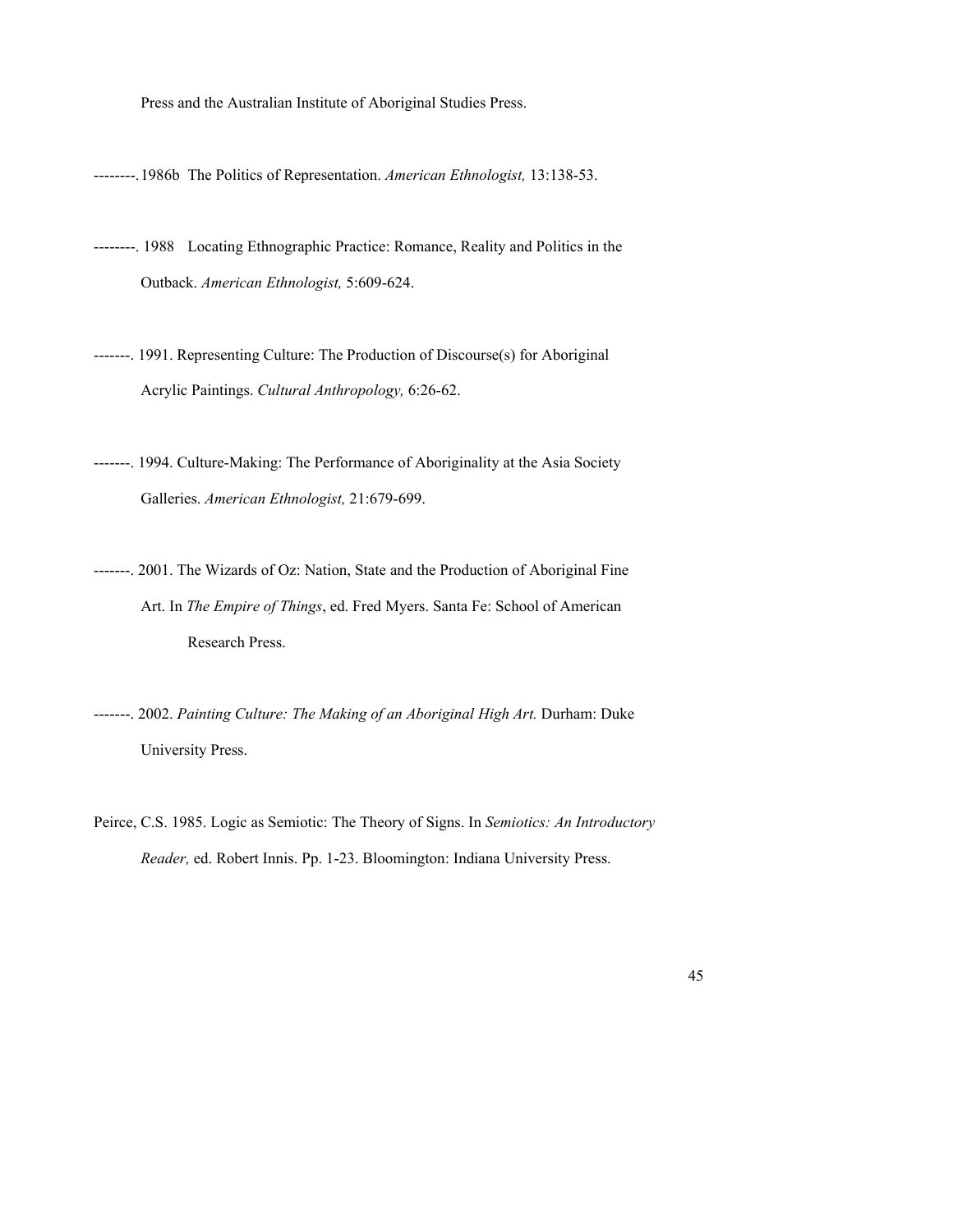Press and the Australian Institute of Aboriginal Studies Press.

- --------. 1986b The Politics of Representation. *American Ethnologist,* 13:138-53.
- --------. 1988 Locating Ethnographic Practice: Romance, Reality and Politics in the Outback. *American Ethnologist,* 5:609-624.
- -------. 1991. Representing Culture: The Production of Discourse(s) for Aboriginal Acrylic Paintings. *Cultural Anthropology,* 6:26-62.
- -------. 1994. Culture-Making: The Performance of Aboriginality at the Asia Society Galleries. *American Ethnologist,* 21:679-699.
- -------. 2001. The Wizards of Oz: Nation, State and the Production of Aboriginal Fine Art. In *The Empire of Things*, ed. Fred Myers. Santa Fe: School of American Research Press.
- -------. 2002. *Painting Culture: The Making of an Aboriginal High Art.* Durham: Duke University Press.
- Peirce, C.S. 1985. Logic as Semiotic: The Theory of Signs. In *Semiotics: An Introductory Reader,* ed. Robert Innis. Pp. 1-23. Bloomington: Indiana University Press.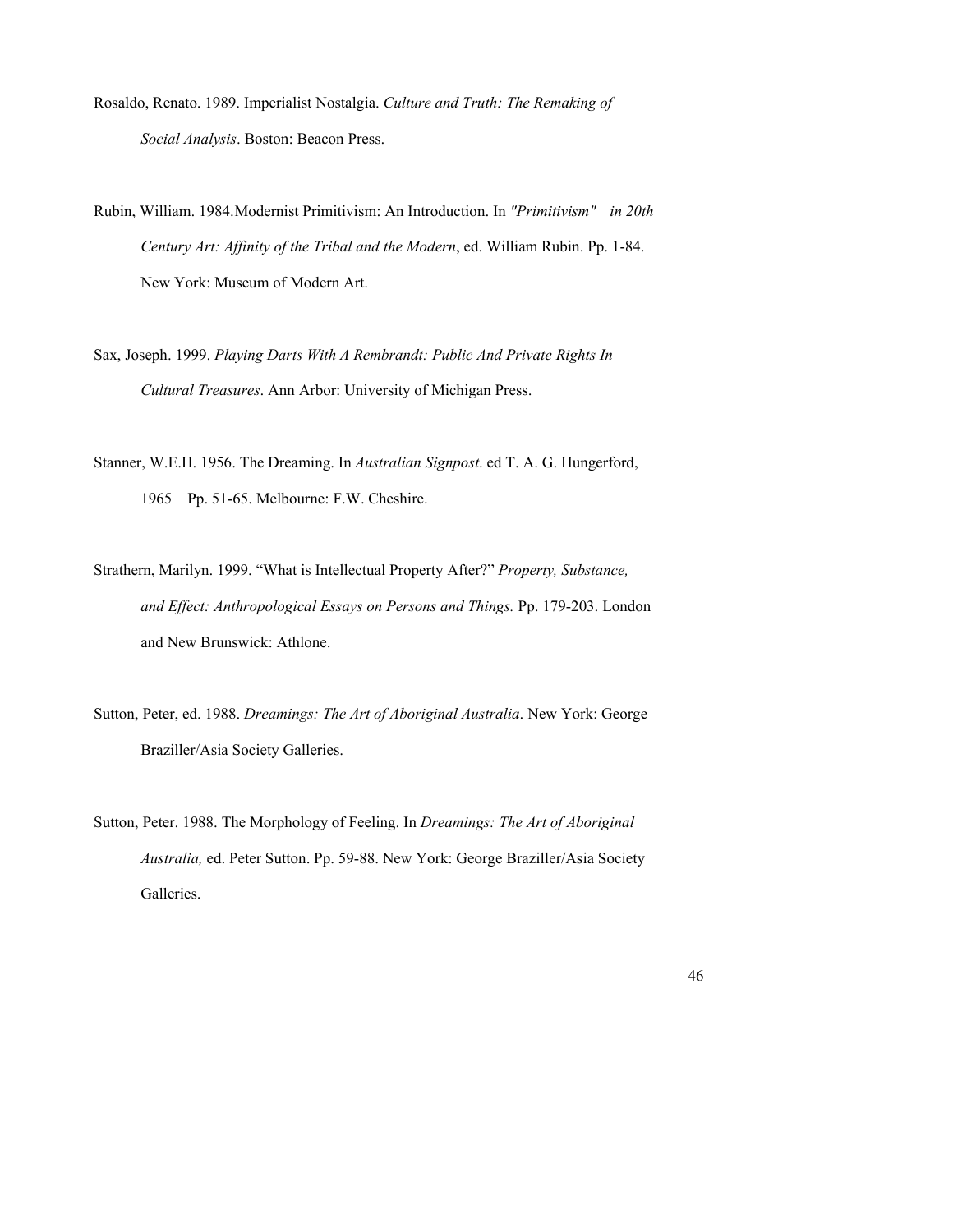- Rosaldo, Renato. 1989. Imperialist Nostalgia. *Culture and Truth: The Remaking of Social Analysis*. Boston: Beacon Press.
- Rubin, William. 1984. Modernist Primitivism: An Introduction. In *"Primitivism" in 20th Century Art: Affinity of the Tribal and the Modern*, ed. William Rubin. Pp. 1-84. New York: Museum of Modern Art.
- Sax, Joseph. 1999. *Playing Darts With A Rembrandt: Public And Private Rights In Cultural Treasures*. Ann Arbor: University of Michigan Press.
- Stanner, W.E.H. 1956. The Dreaming. In *Australian Signpost*. ed T. A. G. Hungerford, 1965 Pp. 51-65. Melbourne: F.W. Cheshire.
- Strathern, Marilyn. 1999. "What is Intellectual Property After?" *Property, Substance, and Effect: Anthropological Essays on Persons and Things.* Pp. 179-203. London and New Brunswick: Athlone.
- Sutton, Peter, ed. 1988. *Dreamings: The Art of Aboriginal Australia*. New York: George Braziller/Asia Society Galleries.
- Sutton, Peter. 1988. The Morphology of Feeling. In *Dreamings: The Art of Aboriginal Australia,* ed. Peter Sutton. Pp. 59-88. New York: George Braziller/Asia Society Galleries.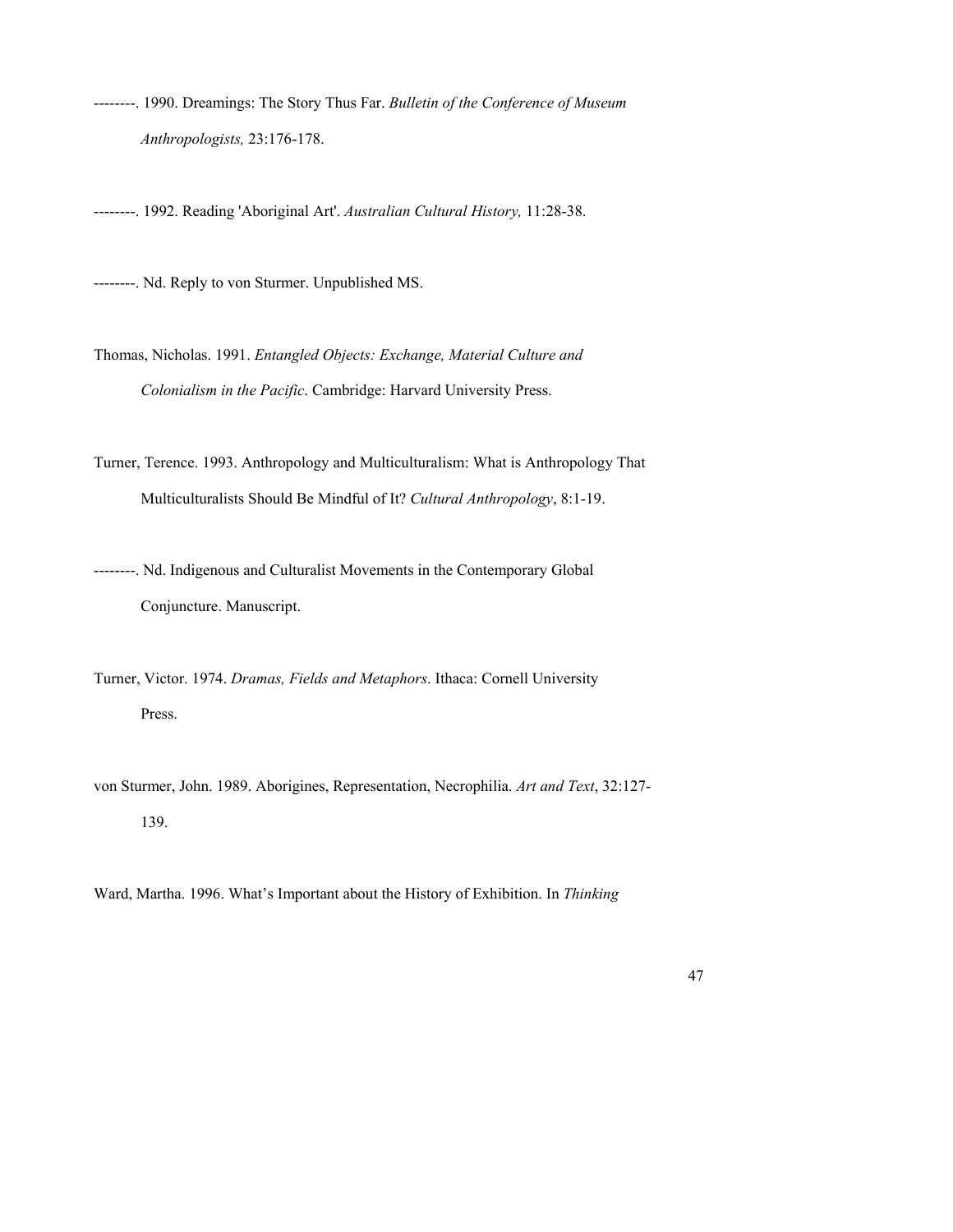--------. 1990. Dreamings: The Story Thus Far. *Bulletin of the Conference of Museum Anthropologists,* 23:176-178.

--------. 1992. Reading 'Aboriginal Art'. *Australian Cultural History,* 11:28-38.

--------. Nd. Reply to von Sturmer. Unpublished MS.

Thomas, Nicholas. 1991. *Entangled Objects: Exchange, Material Culture and Colonialism in the Pacific*. Cambridge: Harvard University Press.

Turner, Terence. 1993. Anthropology and Multiculturalism: What is Anthropology That Multiculturalists Should Be Mindful of It? *Cultural Anthropology*, 8:1-19.

--------. Nd. Indigenous and Culturalist Movements in the Contemporary Global Conjuncture. Manuscript.

Turner, Victor. 1974. *Dramas, Fields and Metaphors*. Ithaca: Cornell University Press.

von Sturmer, John. 1989. Aborigines, Representation, Necrophilia. *Art and Text*, 32:127- 139.

Ward, Martha. 1996. What's Important about the History of Exhibition. In *Thinking*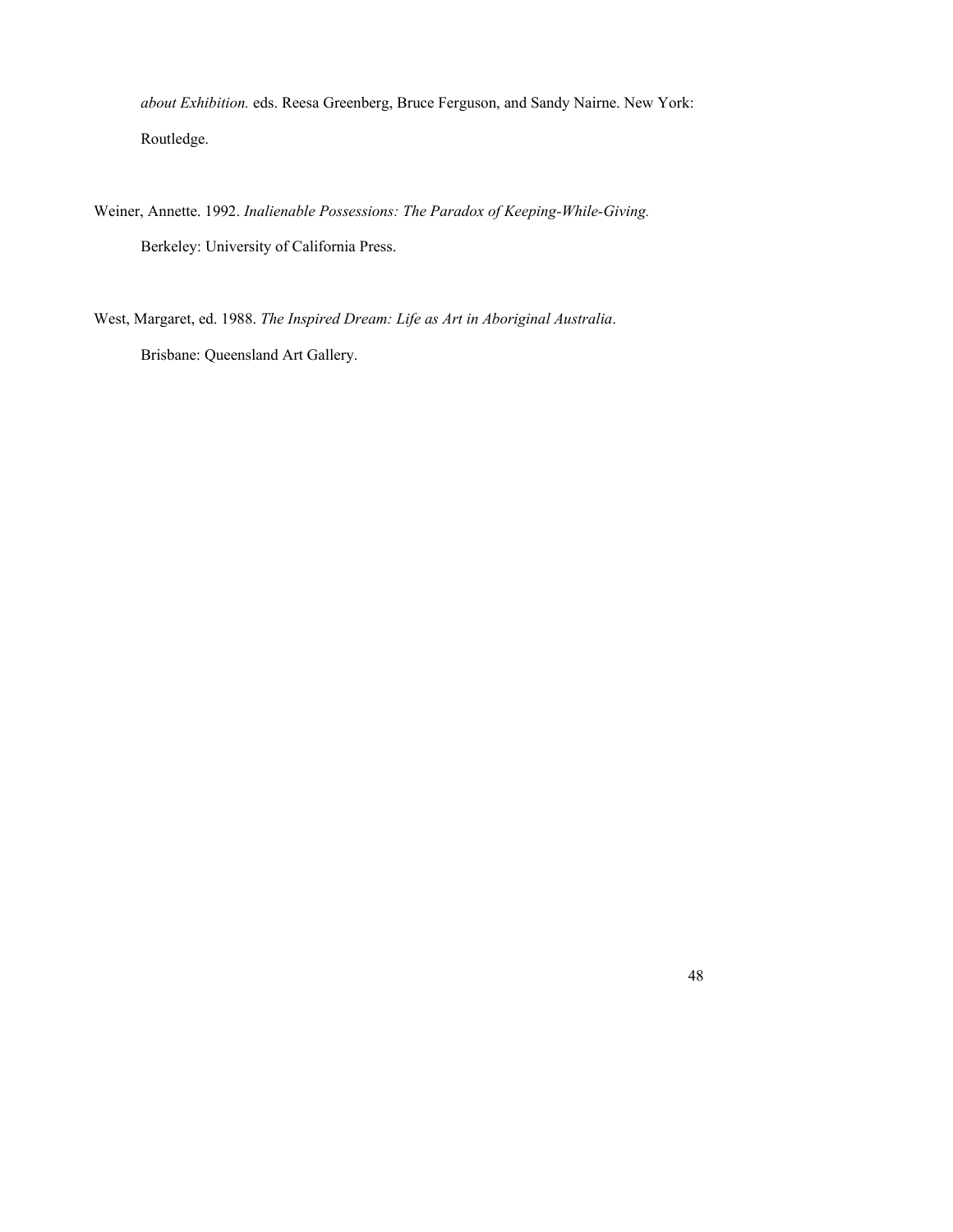*about Exhibition.* eds. Reesa Greenberg, Bruce Ferguson, and Sandy Nairne. New York: Routledge.

Weiner, Annette. 1992. *Inalienable Possessions: The Paradox of Keeping-While-Giving.* Berkeley: University of California Press.

West, Margaret, ed. 1988. *The Inspired Dream: Life as Art in Aboriginal Australia*. Brisbane: Queensland Art Gallery.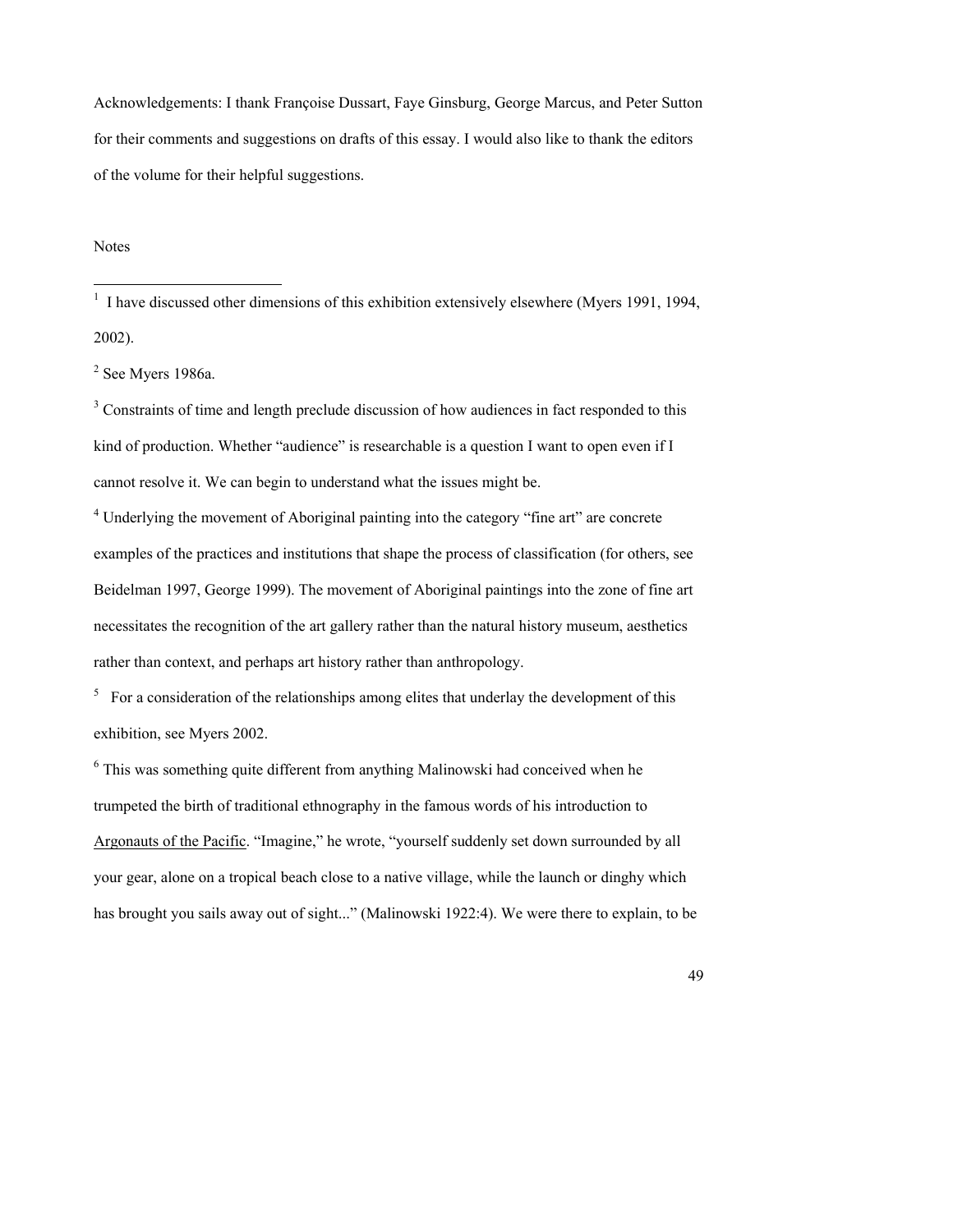Acknowledgements: I thank Françoise Dussart, Faye Ginsburg, George Marcus, and Peter Sutton for their comments and suggestions on drafts of this essay. I would also like to thank the editors of the volume for their helpful suggestions.

Notes

<sup>1</sup> I have discussed other dimensions of this exhibition extensively elsewhere (Myers 1991, 1994, 2002).

 $2$  See Myers 1986a.

<sup>3</sup> Constraints of time and length preclude discussion of how audiences in fact responded to this kind of production. Whether "audience" is researchable is a question I want to open even if I cannot resolve it. We can begin to understand what the issues might be.

<sup>4</sup> Underlying the movement of Aboriginal painting into the category "fine art" are concrete examples of the practices and institutions that shape the process of classification (for others, see Beidelman 1997, George 1999). The movement of Aboriginal paintings into the zone of fine art necessitates the recognition of the art gallery rather than the natural history museum, aesthetics rather than context, and perhaps art history rather than anthropology.

 $5$  For a consideration of the relationships among elites that underlay the development of this exhibition, see Myers 2002.

<sup>6</sup> This was something quite different from anything Malinowski had conceived when he trumpeted the birth of traditional ethnography in the famous words of his introduction to Argonauts of the Pacific. "Imagine," he wrote, "yourself suddenly set down surrounded by all your gear, alone on a tropical beach close to a native village, while the launch or dinghy which has brought you sails away out of sight..." (Malinowski 1922:4). We were there to explain, to be